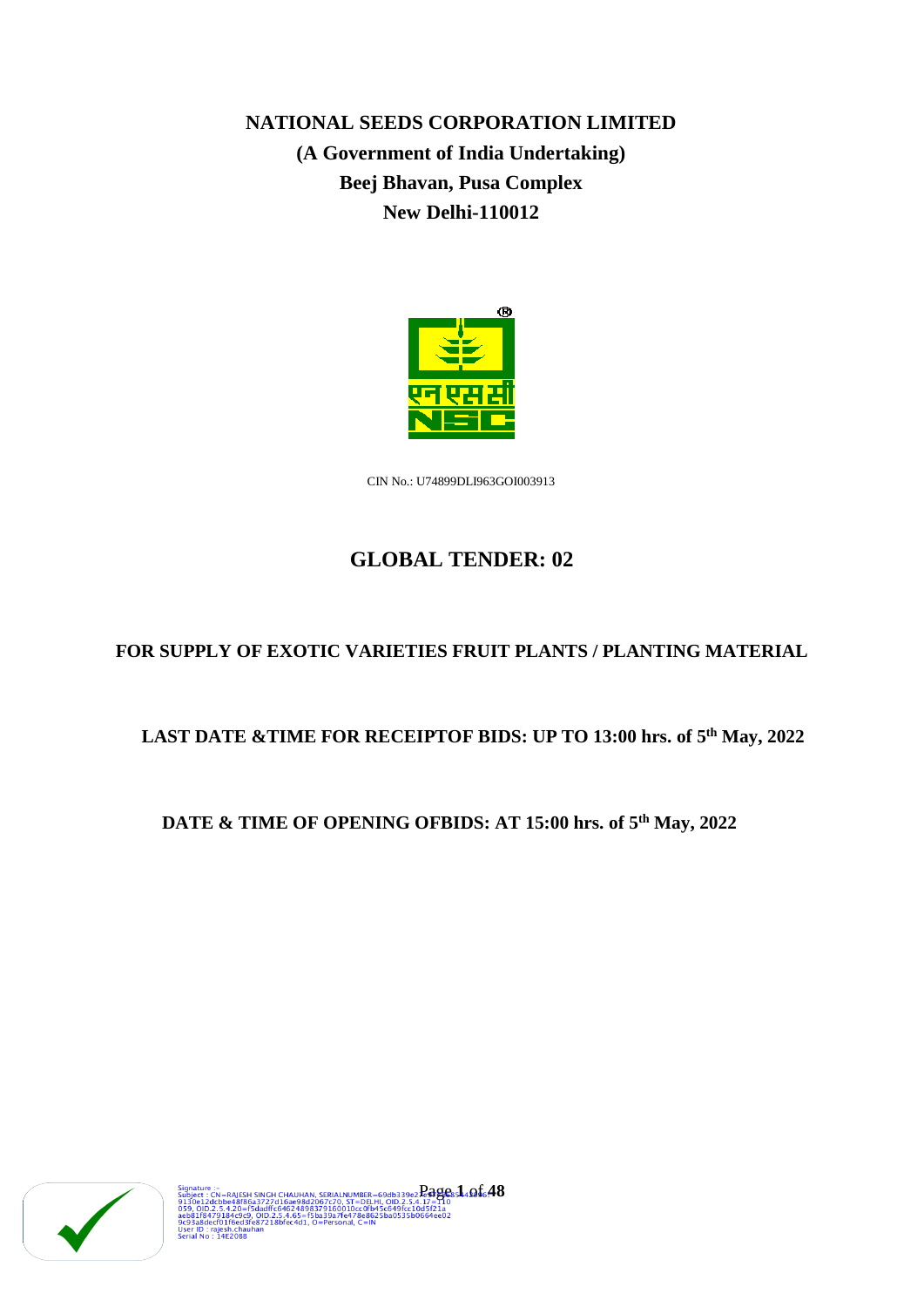**NATIONAL SEEDS CORPORATION LIMITED (A Government of India Undertaking) Beej Bhavan, Pusa Complex New Delhi-110012**



CIN No.: U74899DLI963GOI003913

# **GLOBAL TENDER: 02**

# **FOR SUPPLY OF EXOTIC VARIETIES FRUIT PLANTS / PLANTING MATERIAL**

# **LAST DATE &TIME FOR RECEIPTOF BIDS: UP TO 13:00 hrs. of 5th May, 2022**

# **DATE & TIME OF OPENING OFBIDS: AT 15:00 hrs. of 5th May, 2022**

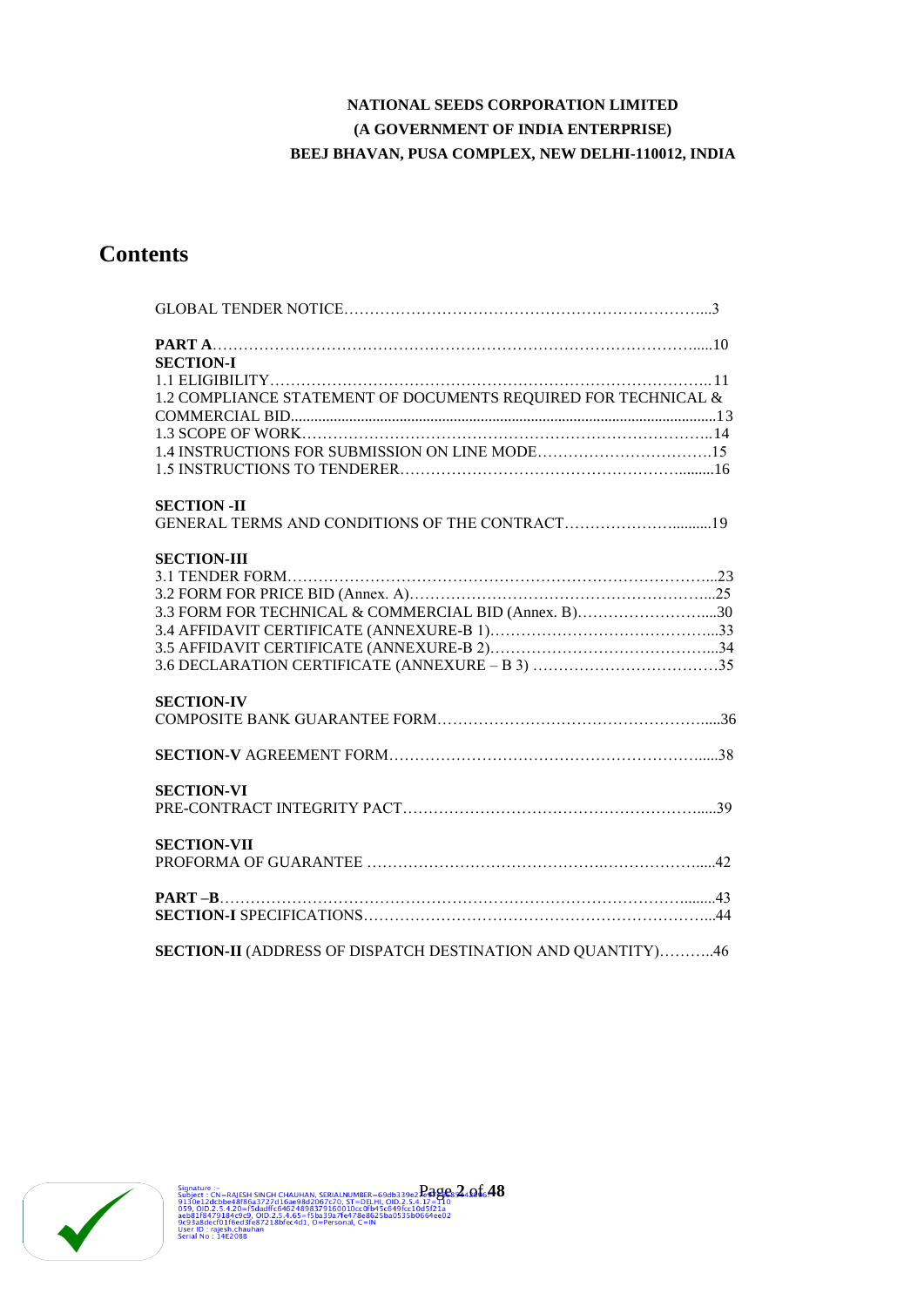# **NATIONAL SEEDS CORPORATION LIMITED (A GOVERNMENT OF INDIA ENTERPRISE) BEEJ BHAVAN, PUSA COMPLEX, NEW DELHI-110012, INDIA**

# **Contents**

| <b>SECTION-I</b>                                                   |  |
|--------------------------------------------------------------------|--|
|                                                                    |  |
| 1.2 COMPLIANCE STATEMENT OF DOCUMENTS REQUIRED FOR TECHNICAL &     |  |
|                                                                    |  |
|                                                                    |  |
|                                                                    |  |
|                                                                    |  |
| <b>SECTION - II</b>                                                |  |
| GENERAL TERMS AND CONDITIONS OF THE CONTRACT19                     |  |
| <b>SECTION-III</b>                                                 |  |
|                                                                    |  |
|                                                                    |  |
| 3.3 FORM FOR TECHNICAL & COMMERCIAL BID (Annex. B)30               |  |
|                                                                    |  |
|                                                                    |  |
|                                                                    |  |
| <b>SECTION-IV</b>                                                  |  |
|                                                                    |  |
|                                                                    |  |
| <b>SECTION-VI</b>                                                  |  |
|                                                                    |  |
| <b>SECTION-VII</b>                                                 |  |
|                                                                    |  |
|                                                                    |  |
|                                                                    |  |
| <b>SECTION-II</b> (ADDRESS OF DISPATCH DESTINATION AND QUANTITY)46 |  |

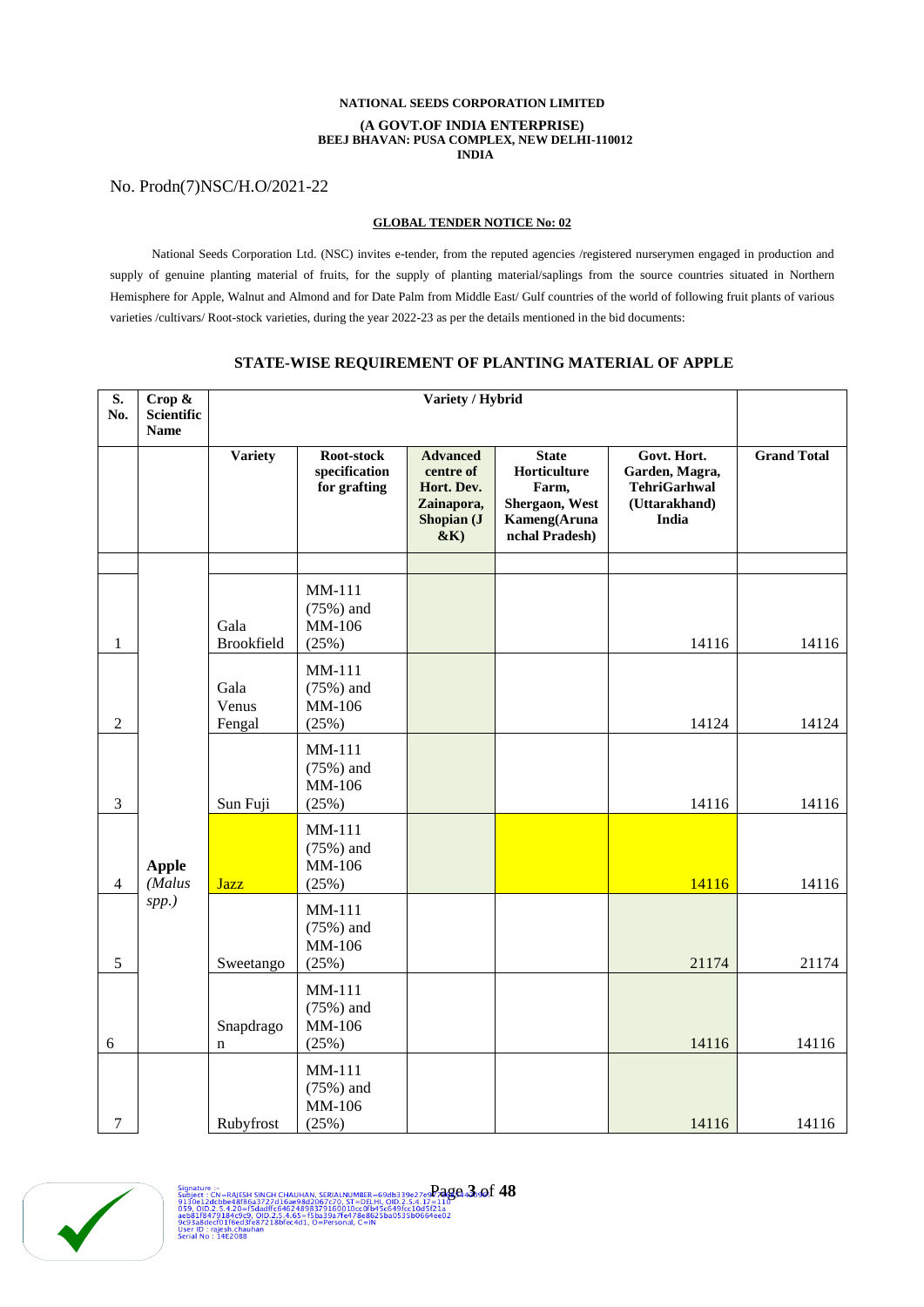## **NATIONAL SEEDS CORPORATION LIMITED (A GOVT.OF INDIA ENTERPRISE) BEEJ BHAVAN: PUSA COMPLEX, NEW DELHI-110012 INDIA**

# No. Prodn(7)NSC/H.O/2021-22

## **GLOBAL TENDER NOTICE No: 02**

National Seeds Corporation Ltd. (NSC) invites e-tender, from the reputed agencies /registered nurserymen engaged in production and supply of genuine planting material of fruits, for the supply of planting material/saplings from the source countries situated in Northern Hemisphere for Apple, Walnut and Almond and for Date Palm from Middle East/ Gulf countries of the world of following fruit plants of various varieties /cultivars/ Root-stock varieties, during the year 2022-23 as per the details mentioned in the bid documents:

| S.<br>No.      | Crop &<br><b>Scientific</b><br><b>Name</b> | Variety / Hybrid          |                                             |                                                                              |                                                                                           |                                                                                |                    |
|----------------|--------------------------------------------|---------------------------|---------------------------------------------|------------------------------------------------------------------------------|-------------------------------------------------------------------------------------------|--------------------------------------------------------------------------------|--------------------|
|                |                                            | <b>Variety</b>            | Root-stock<br>specification<br>for grafting | <b>Advanced</b><br>centre of<br>Hort. Dev.<br>Zainapora,<br>Shopian (J<br>&K | <b>State</b><br>Horticulture<br>Farm,<br>Shergaon, West<br>Kameng(Aruna<br>nchal Pradesh) | Govt. Hort.<br>Garden, Magra,<br><b>TehriGarhwal</b><br>(Uttarakhand)<br>India | <b>Grand Total</b> |
| 1              |                                            | Gala<br><b>Brookfield</b> | MM-111<br>$(75%)$ and<br>MM-106<br>(25%)    |                                                                              |                                                                                           | 14116                                                                          | 14116              |
| $\overline{2}$ |                                            | Gala<br>Venus<br>Fengal   | MM-111<br>$(75%)$ and<br>MM-106<br>(25%)    |                                                                              |                                                                                           | 14124                                                                          | 14124              |
| 3              |                                            | Sun Fuji                  | MM-111<br>$(75%)$ and<br>MM-106<br>(25%)    |                                                                              |                                                                                           | 14116                                                                          | 14116              |
| 4              | <b>Apple</b><br>(Malus                     | <b>Jazz</b>               | MM-111<br>$(75%)$ and<br>MM-106<br>(25%)    |                                                                              |                                                                                           | 14116                                                                          | 14116              |
| 5              | $spp.$ )                                   | Sweetango                 | MM-111<br>$(75%)$ and<br>MM-106<br>(25%)    |                                                                              |                                                                                           | 21174                                                                          | 21174              |
| 6              |                                            | Snapdrago<br>n            | MM-111<br>$(75%)$ and<br>MM-106<br>(25%)    |                                                                              |                                                                                           | 14116                                                                          | 14116              |
| 7              |                                            | Rubyfrost                 | MM-111<br>$(75%)$ and<br>MM-106<br>(25%)    |                                                                              |                                                                                           | 14116                                                                          | 14116              |

## **STATE-WISE REQUIREMENT OF PLANTING MATERIAL OF APPLE**

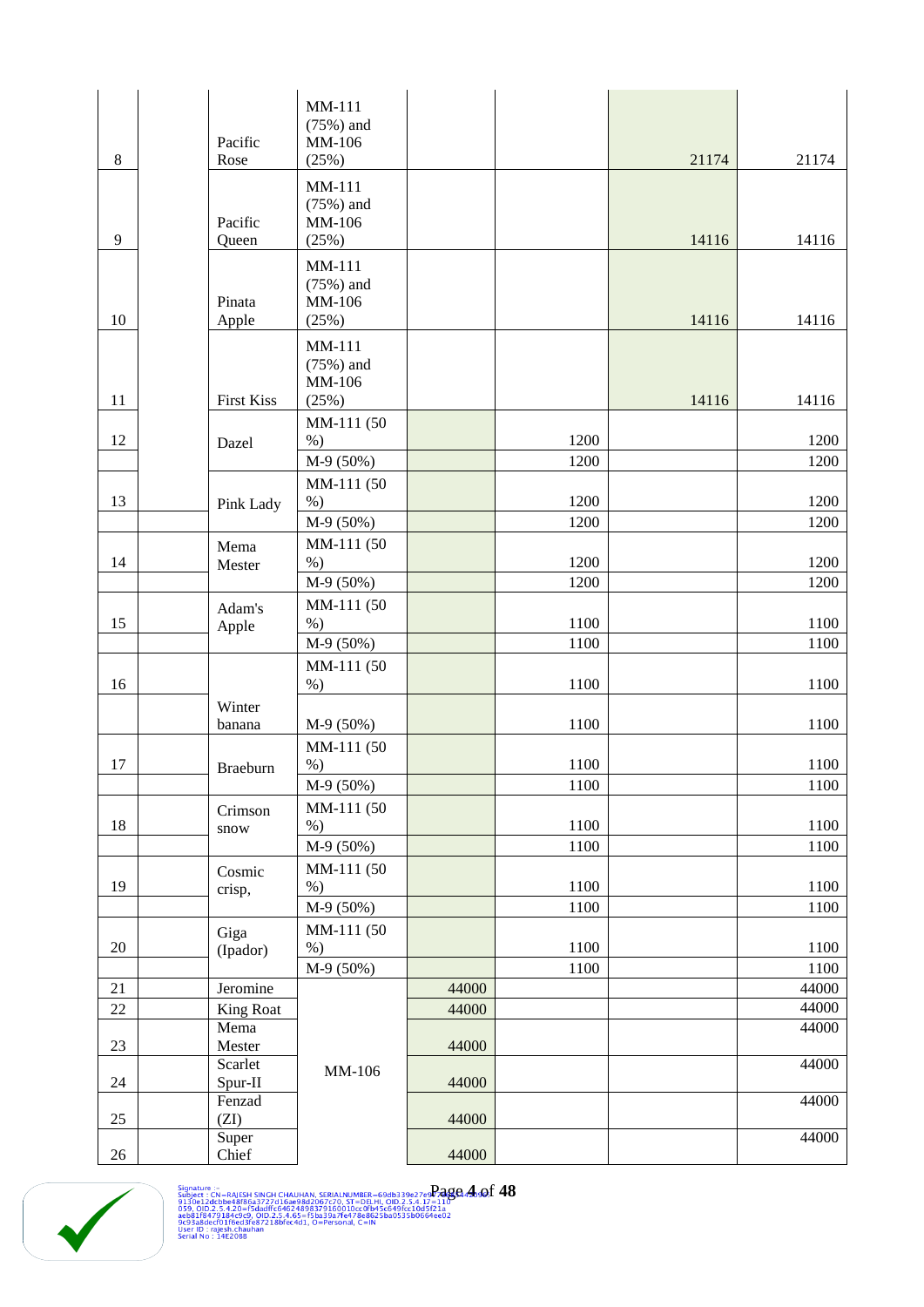| 8      | Pacific<br>Rose         | MM-111<br>$(75%)$ and<br>MM-106<br>(25%) |       |              | 21174 | 21174            |
|--------|-------------------------|------------------------------------------|-------|--------------|-------|------------------|
| 9      | Pacific<br>Queen        | MM-111<br>$(75%)$ and<br>MM-106<br>(25%) |       |              | 14116 | 14116            |
| 10     | Pinata<br>Apple         | MM-111<br>$(75%)$ and<br>MM-106<br>(25%) |       |              | 14116 | 14116            |
| 11     | <b>First Kiss</b>       | MM-111<br>$(75%)$ and<br>MM-106<br>(25%) |       |              | 14116 | 14116            |
| 12     | Dazel                   | MM-111 (50<br>$%$ )<br>M-9 (50%)         |       | 1200<br>1200 |       | 1200<br>1200     |
| 13     | Pink Lady               | MM-111 (50<br>$%$ )<br>M-9 (50%)         |       | 1200<br>1200 |       | 1200<br>1200     |
| 14     | Mema<br>Mester          | MM-111 (50<br>$%$ )<br>M-9 (50%)         |       | 1200<br>1200 |       | 1200<br>1200     |
| 15     | Adam's<br>Apple         | MM-111 (50<br>$%$ )<br>$M-9(50%)$        |       | 1100<br>1100 |       | 1100<br>1100     |
| 16     |                         | MM-111 (50<br>$%$ )                      |       | 1100         |       | 1100             |
|        | Winter<br>banana        | $M-9(50%)$                               |       | 1100         |       | 1100             |
| 17     | <b>Braeburn</b>         | MM-111 (50<br>$%$ )<br>M-9 (50%)         |       | 1100<br>1100 |       | 1100<br>$1100\,$ |
| 18     | Crimson<br>snow         | MM-111 (50<br>$%$ )<br>M-9 (50%)         |       | 1100<br>1100 |       | 1100<br>1100     |
| 19     | Cosmic<br>crisp,        | MM-111 (50<br>$\%$ )<br>$M-9(50%)$       |       | 1100<br>1100 |       | 1100<br>1100     |
| $20\,$ | Giga<br>(Ipador)        | MM-111 (50<br>$%$ )<br>$M-9(50%)$        |       | 1100<br>1100 |       | 1100<br>1100     |
| 21     | Jeromine                |                                          | 44000 |              |       | 44000            |
| 22     | <b>King Roat</b>        |                                          | 44000 |              |       | 44000            |
| 23     | Mema<br>Mester          |                                          | 44000 |              |       | 44000            |
| 24     | Scarlet<br>Spur-II      | MM-106                                   | 44000 |              |       | 44000            |
| 25     | Fenzad<br>(ZI)<br>Super |                                          | 44000 |              |       | 44000<br>44000   |
| 26     | Chief                   |                                          | 44000 |              |       |                  |

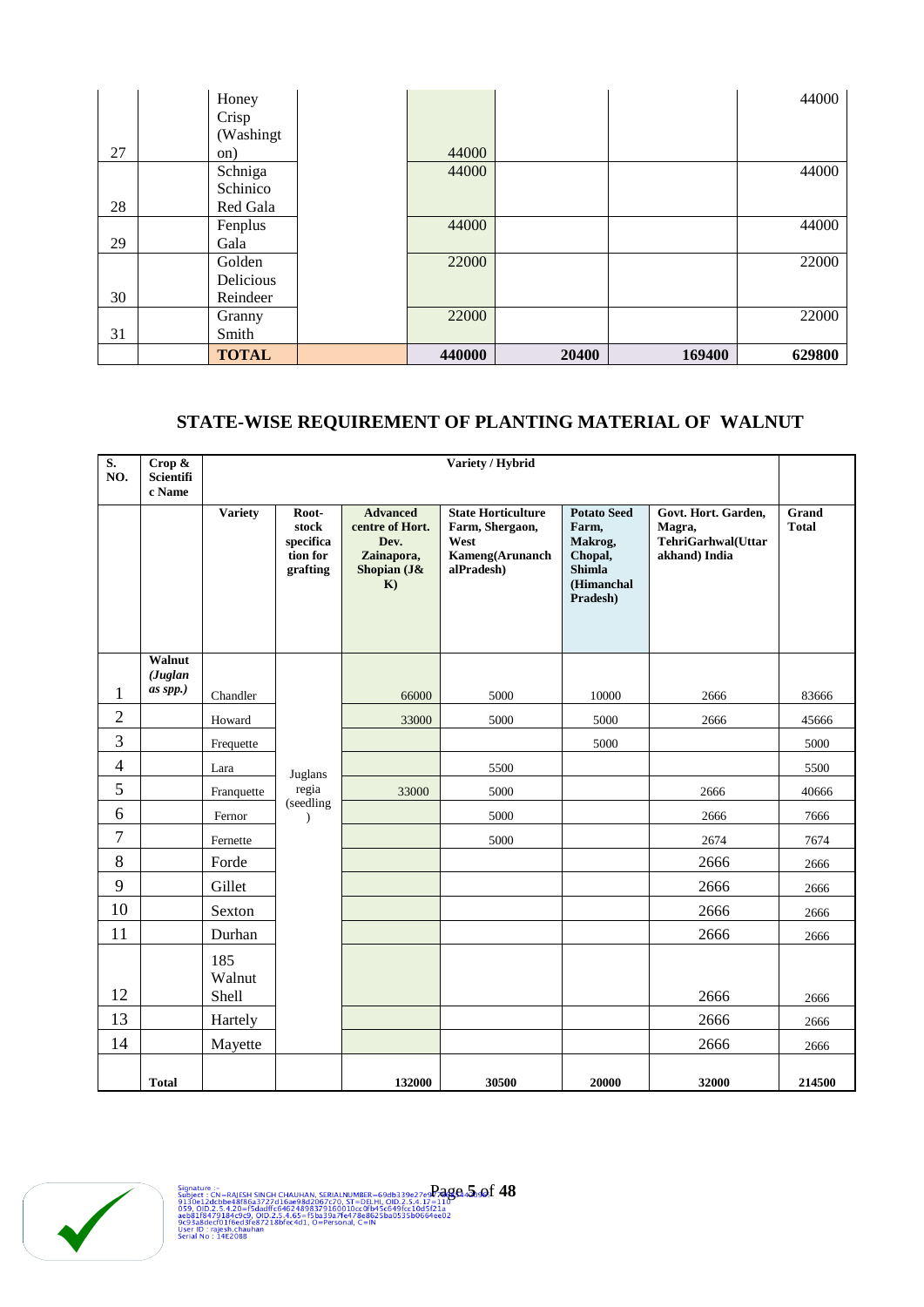|    | Honey        |        |       |        | 44000  |
|----|--------------|--------|-------|--------|--------|
|    | Crisp        |        |       |        |        |
|    | (Washingt)   |        |       |        |        |
| 27 | on)          | 44000  |       |        |        |
|    | Schniga      | 44000  |       |        | 44000  |
|    | Schinico     |        |       |        |        |
| 28 | Red Gala     |        |       |        |        |
|    | Fenplus      | 44000  |       |        | 44000  |
| 29 | Gala         |        |       |        |        |
|    | Golden       | 22000  |       |        | 22000  |
|    | Delicious    |        |       |        |        |
| 30 | Reindeer     |        |       |        |        |
|    | Granny       | 22000  |       |        | 22000  |
| 31 | Smith        |        |       |        |        |
|    | <b>TOTAL</b> | 440000 | 20400 | 169400 | 629800 |

# **STATE-WISE REQUIREMENT OF PLANTING MATERIAL OF WALNUT**

| $\overline{\mathbf{S}}$ .<br>NO. | Crop &<br>Scientifi<br>c Name |                        |                                                     |                                                                               | Variety / Hybrid                                                                      |                                                                                              |                                                                      |                       |
|----------------------------------|-------------------------------|------------------------|-----------------------------------------------------|-------------------------------------------------------------------------------|---------------------------------------------------------------------------------------|----------------------------------------------------------------------------------------------|----------------------------------------------------------------------|-----------------------|
|                                  |                               | <b>Variety</b>         | Root-<br>stock<br>specifica<br>tion for<br>grafting | <b>Advanced</b><br>centre of Hort.<br>Dev.<br>Zainapora,<br>Shopian (J&<br>K) | <b>State Horticulture</b><br>Farm, Shergaon,<br>West<br>Kameng(Arunanch<br>alPradesh) | <b>Potato Seed</b><br>Farm,<br>Makrog,<br>Chopal,<br><b>Shimla</b><br>(Himanchal<br>Pradesh) | Govt. Hort. Garden,<br>Magra,<br>TehriGarhwal(Uttar<br>akhand) India | Grand<br><b>Total</b> |
|                                  | Walnut<br>(Juglan             |                        |                                                     |                                                                               |                                                                                       |                                                                                              |                                                                      |                       |
| 1                                | as spp.)                      | Chandler               |                                                     | 66000                                                                         | 5000                                                                                  | 10000                                                                                        | 2666                                                                 | 83666                 |
| $\overline{2}$                   |                               | Howard                 |                                                     | 33000                                                                         | 5000                                                                                  | 5000                                                                                         | 2666                                                                 | 45666                 |
| 3                                |                               | Frequette              |                                                     |                                                                               |                                                                                       | 5000                                                                                         |                                                                      | 5000                  |
| $\overline{4}$                   |                               | Lara                   | Juglans                                             |                                                                               | 5500                                                                                  |                                                                                              |                                                                      | 5500                  |
| 5                                |                               | Franquette             | regia                                               | 33000                                                                         | 5000                                                                                  |                                                                                              | 2666                                                                 | 40666                 |
| 6                                |                               | Fernor                 | (seedling<br>$\lambda$                              |                                                                               | 5000                                                                                  |                                                                                              | 2666                                                                 | 7666                  |
| 7                                |                               | Fernette               |                                                     |                                                                               | 5000                                                                                  |                                                                                              | 2674                                                                 | 7674                  |
| $\,8\,$                          |                               | Forde                  |                                                     |                                                                               |                                                                                       |                                                                                              | 2666                                                                 | 2666                  |
| 9                                |                               | Gillet                 |                                                     |                                                                               |                                                                                       |                                                                                              | 2666                                                                 | 2666                  |
| 10                               |                               | Sexton                 |                                                     |                                                                               |                                                                                       |                                                                                              | 2666                                                                 | 2666                  |
| 11                               |                               | Durhan                 |                                                     |                                                                               |                                                                                       |                                                                                              | 2666                                                                 | 2666                  |
| 12                               |                               | 185<br>Walnut<br>Shell |                                                     |                                                                               |                                                                                       |                                                                                              | 2666                                                                 | 2666                  |
| 13                               |                               | Hartely                |                                                     |                                                                               |                                                                                       |                                                                                              | 2666                                                                 | 2666                  |
| 14                               |                               | Mayette                |                                                     |                                                                               |                                                                                       |                                                                                              | 2666                                                                 | 2666                  |
|                                  | <b>Total</b>                  |                        |                                                     | 132000                                                                        | 30500                                                                                 | 20000                                                                                        | 32000                                                                | 214500                |

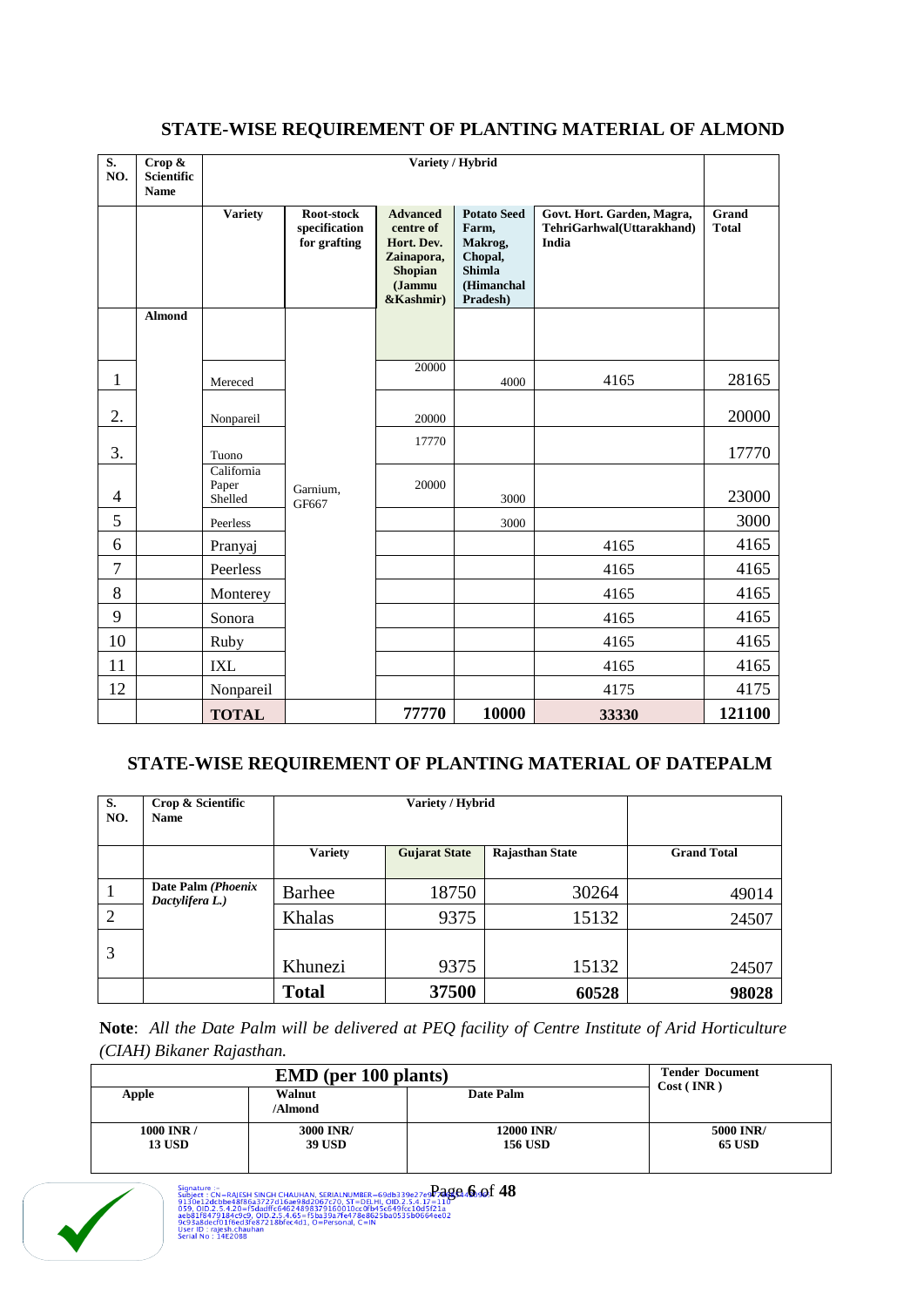| S.<br>NO.      | Crop &<br><b>Scientific</b> |                                |                                             | Variety / Hybrid                                                                                  |                                                                                              |                                                                  |                       |
|----------------|-----------------------------|--------------------------------|---------------------------------------------|---------------------------------------------------------------------------------------------------|----------------------------------------------------------------------------------------------|------------------------------------------------------------------|-----------------------|
|                | <b>Name</b>                 |                                |                                             |                                                                                                   |                                                                                              |                                                                  |                       |
|                |                             | <b>Variety</b>                 | Root-stock<br>specification<br>for grafting | <b>Advanced</b><br>centre of<br>Hort. Dev.<br>Zainapora,<br><b>Shopian</b><br>(Jammu<br>&Kashmir) | <b>Potato Seed</b><br>Farm,<br>Makrog,<br>Chopal,<br><b>Shimla</b><br>(Himanchal<br>Pradesh) | Govt. Hort. Garden, Magra,<br>TehriGarhwal(Uttarakhand)<br>India | Grand<br><b>Total</b> |
|                | <b>Almond</b>               |                                |                                             |                                                                                                   |                                                                                              |                                                                  |                       |
|                |                             |                                |                                             |                                                                                                   |                                                                                              |                                                                  |                       |
| $\mathbf{1}$   |                             | Mereced                        |                                             | 20000                                                                                             | 4000                                                                                         | 4165                                                             | 28165                 |
|                |                             |                                |                                             |                                                                                                   |                                                                                              |                                                                  |                       |
| 2.             |                             | Nonpareil                      |                                             | 20000                                                                                             |                                                                                              |                                                                  | 20000                 |
| 3.             |                             | Tuono                          |                                             | 17770                                                                                             |                                                                                              |                                                                  | 17770                 |
| $\overline{4}$ |                             | California<br>Paper<br>Shelled | Garnium,<br>GF667                           | 20000                                                                                             | 3000                                                                                         |                                                                  | 23000                 |
| 5              |                             | Peerless                       |                                             |                                                                                                   | 3000                                                                                         |                                                                  | 3000                  |
| 6              |                             | Pranyaj                        |                                             |                                                                                                   |                                                                                              | 4165                                                             | 4165                  |
| $\overline{7}$ |                             | Peerless                       |                                             |                                                                                                   |                                                                                              | 4165                                                             | 4165                  |
| 8              |                             | Monterey                       |                                             |                                                                                                   |                                                                                              | 4165                                                             | 4165                  |
| 9              |                             | Sonora                         |                                             |                                                                                                   |                                                                                              | 4165                                                             | 4165                  |
| 10             |                             | Ruby                           |                                             |                                                                                                   |                                                                                              | 4165                                                             | 4165                  |
| 11             |                             | <b>IXL</b>                     |                                             |                                                                                                   |                                                                                              | 4165                                                             | 4165                  |
| 12             |                             | Nonpareil                      |                                             |                                                                                                   |                                                                                              | 4175                                                             | 4175                  |
|                |                             | <b>TOTAL</b>                   |                                             | 77770                                                                                             | 10000                                                                                        | 33330                                                            | 121100                |

# **STATE-WISE REQUIREMENT OF PLANTING MATERIAL OF ALMOND**

# **STATE-WISE REQUIREMENT OF PLANTING MATERIAL OF DATEPALM**

| S.<br>NO.    | Crop & Scientific<br><b>Name</b>      | Variety / Hybrid |                      |                        |                    |
|--------------|---------------------------------------|------------------|----------------------|------------------------|--------------------|
|              |                                       | <b>Variety</b>   | <b>Gujarat State</b> | <b>Rajasthan State</b> | <b>Grand Total</b> |
| $\mathbf{1}$ | Date Palm (Phoenix<br>Dactylifera L.) | Barhee           | 18750                | 30264                  | 49014              |
| 2            |                                       | Khalas           | 9375                 | 15132                  | 24507              |
| 3            |                                       | Khunezi          | 9375                 | 15132                  | 24507              |
|              |                                       | <b>Total</b>     | 37500                | 60528                  | 98028              |

**Note**: *All the Date Palm will be delivered at PEQ facility of Centre Institute of Arid Horticulture (CIAH) Bikaner Rajasthan.*

|                 | <b>Tender Document</b> |                |               |  |
|-----------------|------------------------|----------------|---------------|--|
| Walnut<br>Apple |                        | Date Palm      | Cost (INR)    |  |
|                 | /Almond                |                |               |  |
| 1000 INR /      | 3000 INR/              | 12000 INR/     | 5000 INR/     |  |
| <b>13 USD</b>   | <b>39 USD</b>          | <b>156 USD</b> | <b>65 USD</b> |  |
|                 |                        |                |               |  |

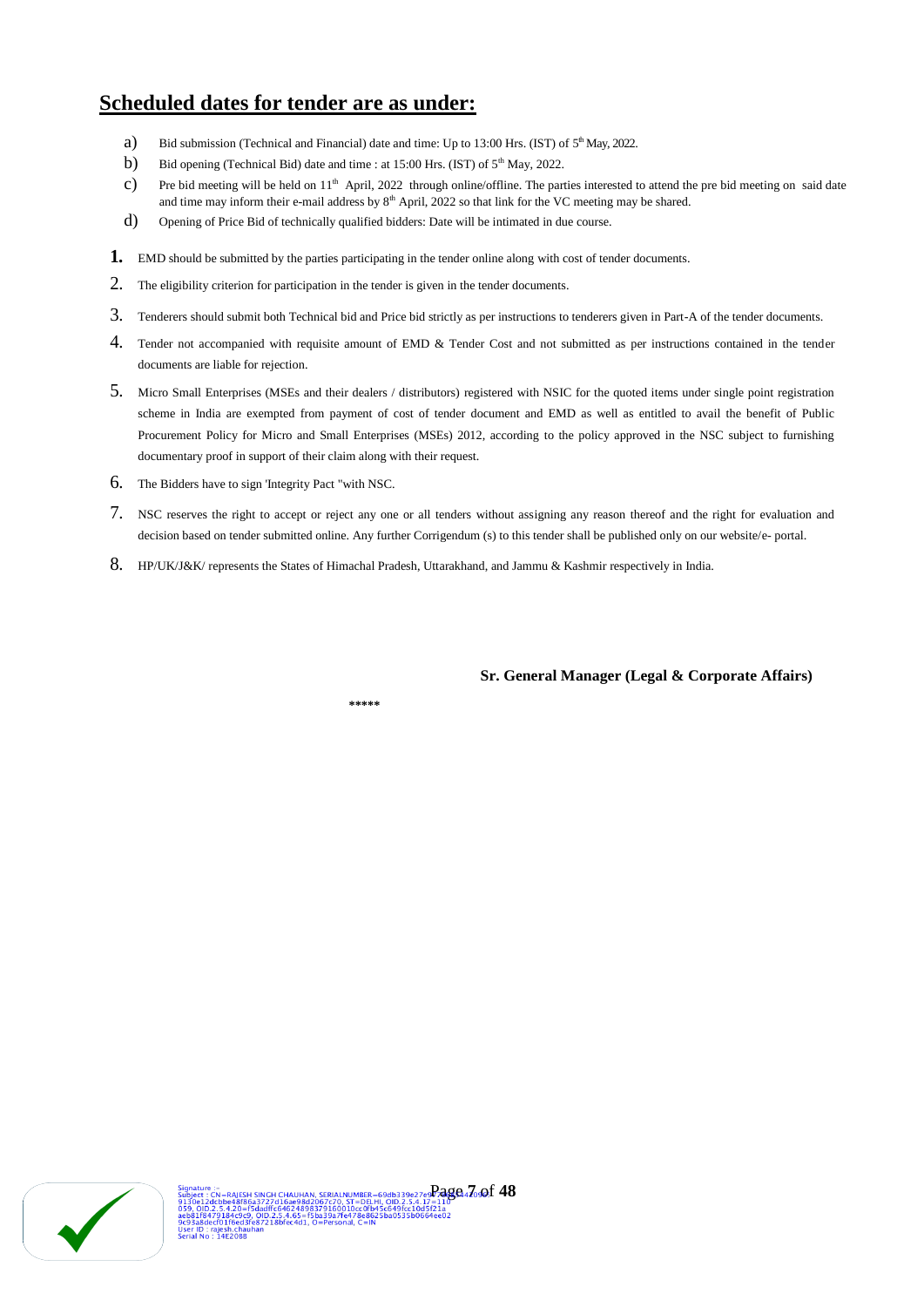# **Scheduled dates for tender are as under:**

- a) Bid submission (Technical and Financial) date and time: Up to 13:00 Hrs. (IST) of  $5<sup>th</sup>$  May, 2022.
- b) Bid opening (Technical Bid) date and time : at  $15:00$  Hrs. (IST) of  $5<sup>th</sup>$  May, 2022.
- $c$ ) Pre bid meeting will be held on 11<sup>th</sup> April, 2022 through online/offline. The parties interested to attend the pre bid meeting on said date and time may inform their e-mail address by 8<sup>th</sup> April, 2022 so that link for the VC meeting may be shared.
- d) Opening of Price Bid of technically qualified bidders: Date will be intimated in due course.
- 1. EMD should be submitted by the parties participating in the tender online along with cost of tender documents.
- 2. The eligibility criterion for participation in the tender is given in the tender documents.
- 3. Tenderers should submit both Technical bid and Price bid strictly as per instructions to tenderers given in Part-A of the tender documents.
- 4. Tender not accompanied with requisite amount of EMD & Tender Cost and not submitted as per instructions contained in the tender documents are liable for rejection.
- 5. Micro Small Enterprises (MSEs and their dealers / distributors) registered with NSIC for the quoted items under single point registration scheme in India are exempted from payment of cost of tender document and EMD as well as entitled to avail the benefit of Public Procurement Policy for Micro and Small Enterprises (MSEs) 2012, according to the policy approved in the NSC subject to furnishing documentary proof in support of their claim along with their request.
- 6. The Bidders have to sign 'Integrity Pact "with NSC.
- 7. NSC reserves the right to accept or reject any one or all tenders without assigning any reason thereof and the right for evaluation and decision based on tender submitted online. Any further Corrigendum (s) to this tender shall be published only on our website/e- portal.
- 8. HP/UK/J&K/ represents the States of Himachal Pradesh, Uttarakhand, and Jammu & Kashmir respectively in India.

**Sr. General Manager (Legal & Corporate Affairs)**

 **\*\*\*\*\***

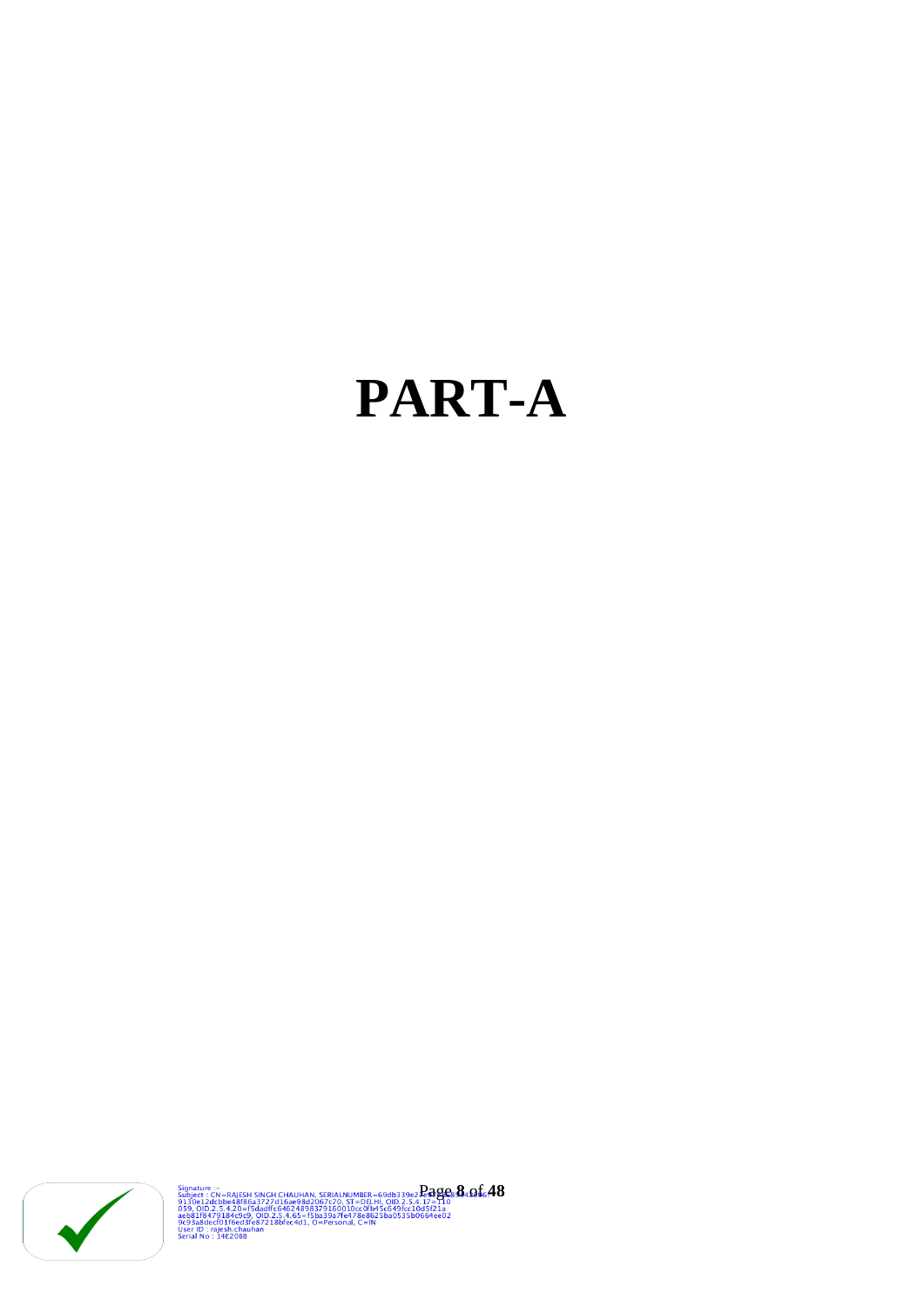# **PART-A**



Signature : -<br>Subject : 2 d. b.e.4815:H SINCH CHAUHAN, SERIALNUMER = 69db339e2**.2.4826: 364.01**6.48<br>9159.010.2.5.4.20=F6dadff.6462489842067c70. ST=DELH1.010.2.5.4.1.7=1.0<br>aeb8118479184c9c9.010.2.5.4.65=F5ba39a7fe478e8625ba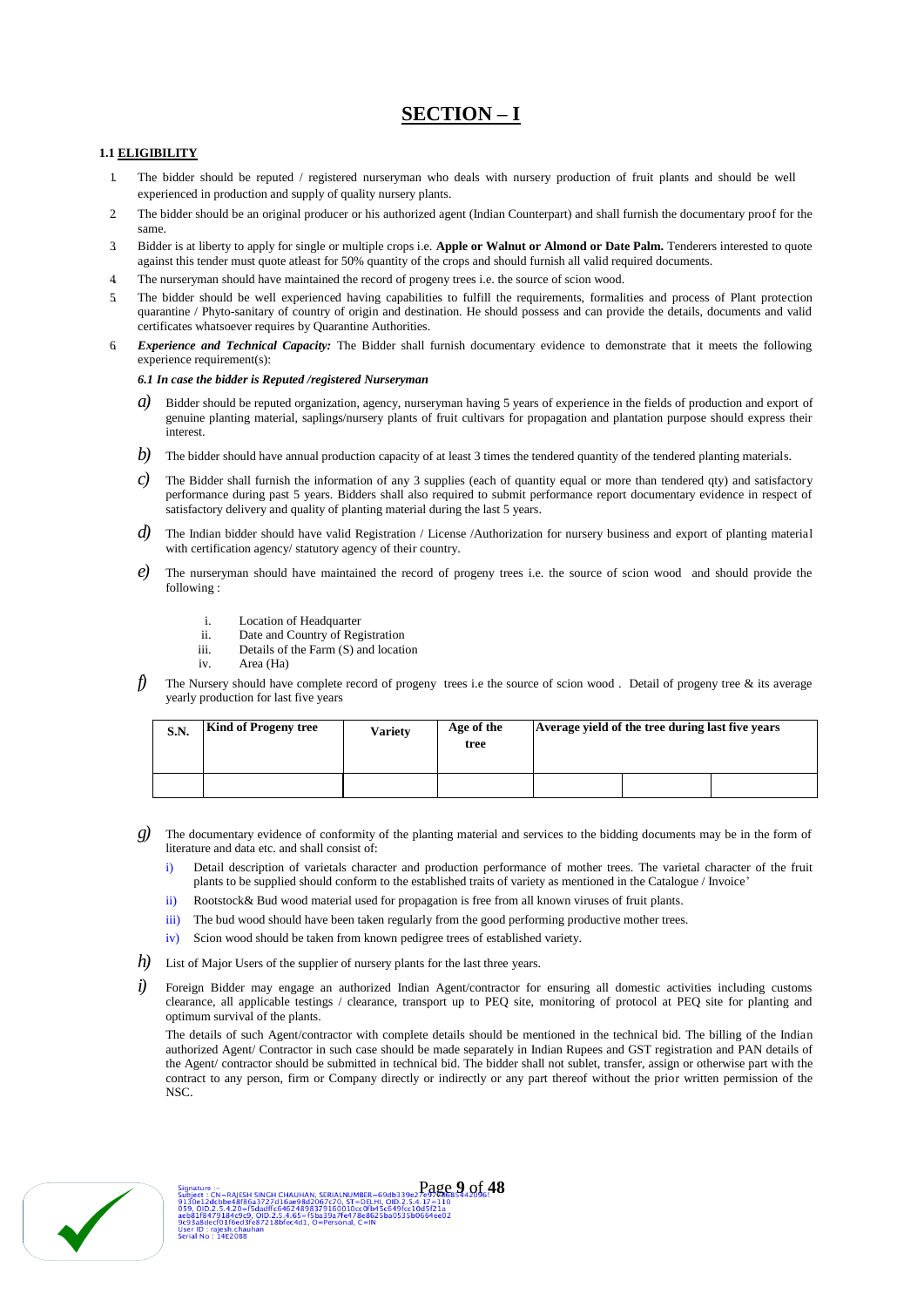# **SECTION – I**

## **1.1 ELIGIBILITY**

- 1. The bidder should be reputed / registered nurseryman who deals with nursery production of fruit plants and should be well experienced in production and supply of quality nursery plants.
- 2. The bidder should be an original producer or his authorized agent (Indian Counterpart) and shall furnish the documentary proof for the same.
- 3. Bidder is at liberty to apply for single or multiple crops i.e. **Apple or Walnut or Almond or Date Palm.** Tenderers interested to quote against this tender must quote atleast for 50% quantity of the crops and should furnish all valid required documents.
- 4. The nurseryman should have maintained the record of progeny trees i.e. the source of scion wood.
- 5. The bidder should be well experienced having capabilities to fulfill the requirements, formalities and process of Plant protection quarantine / Phyto-sanitary of country of origin and destination. He should possess and can provide the details, documents and valid certificates whatsoever requires by Quarantine Authorities.
- 6. *Experience and Technical Capacity:* The Bidder shall furnish documentary evidence to demonstrate that it meets the following experience requirement(s):

#### *6.1 In case the bidder is Reputed /registered Nurseryman*

- *a*) Bidder should be reputed organization, agency, nurseryman having 5 years of experience in the fields of production and export of genuine planting material, saplings/nursery plants of fruit cultivars for propagation and plantation purpose should express their interest.
- *b*) The bidder should have annual production capacity of at least 3 times the tendered quantity of the tendered planting materials.
- *c*) The Bidder shall furnish the information of any 3 supplies (each of quantity equal or more than tendered qty) and satisfactory performance during past 5 years. Bidders shall also required to submit performance report documentary evidence in respect of satisfactory delivery and quality of planting material during the last 5 years.
- *d*) The Indian bidder should have valid Registration / License /Authorization for nursery business and export of planting material with certification agency/ statutory agency of their country.
- *e)* The nurseryman should have maintained the record of progeny trees i.e. the source of scion wood and should provide the following :
	- i. Location of Headquarter<br>ii. Date and Country of Reg
	- Date and Country of Registration
	- iii. Details of the Farm (S) and location
	- iv. Area (Ha)
- *f)* The Nursery should have complete record of progeny trees i.e the source of scion wood . Detail of progeny tree & its average yearly production for last five years

| <b>S.N.</b> | <b>Kind of Progeny tree</b> | <b>Variety</b> | Age of the<br>tree | Average yield of the tree during last five years |  |  |
|-------------|-----------------------------|----------------|--------------------|--------------------------------------------------|--|--|
|             |                             |                |                    |                                                  |  |  |

- *g)* The documentary evidence of conformity of the planting material and services to the bidding documents may be in the form of literature and data etc. and shall consist of:
	- i) Detail description of varietals character and production performance of mother trees. The varietal character of the fruit plants to be supplied should conform to the established traits of variety as mentioned in the Catalogue / Invoice'
	- ii) Rootstock& Bud wood material used for propagation is free from all known viruses of fruit plants.
	- iii) The bud wood should have been taken regularly from the good performing productive mother trees.
	- iv) Scion wood should be taken from known pedigree trees of established variety.
- *h*) List of Major Users of the supplier of nursery plants for the last three years.
- *i*) Foreign Bidder may engage an authorized Indian Agent/contractor for ensuring all domestic activities including customs clearance, all applicable testings / clearance, transport up to PEQ site, monitoring of protocol at PEQ site for planting and optimum survival of the plants.

The details of such Agent/contractor with complete details should be mentioned in the technical bid. The billing of the Indian authorized Agent/ Contractor in such case should be made separately in Indian Rupees and GST registration and PAN details of the Agent/ contractor should be submitted in technical bid. The bidder shall not sublet, transfer, assign or otherwise part with the contract to any person, firm or Company directly or indirectly or any part thereof without the prior written permission of the NSC.

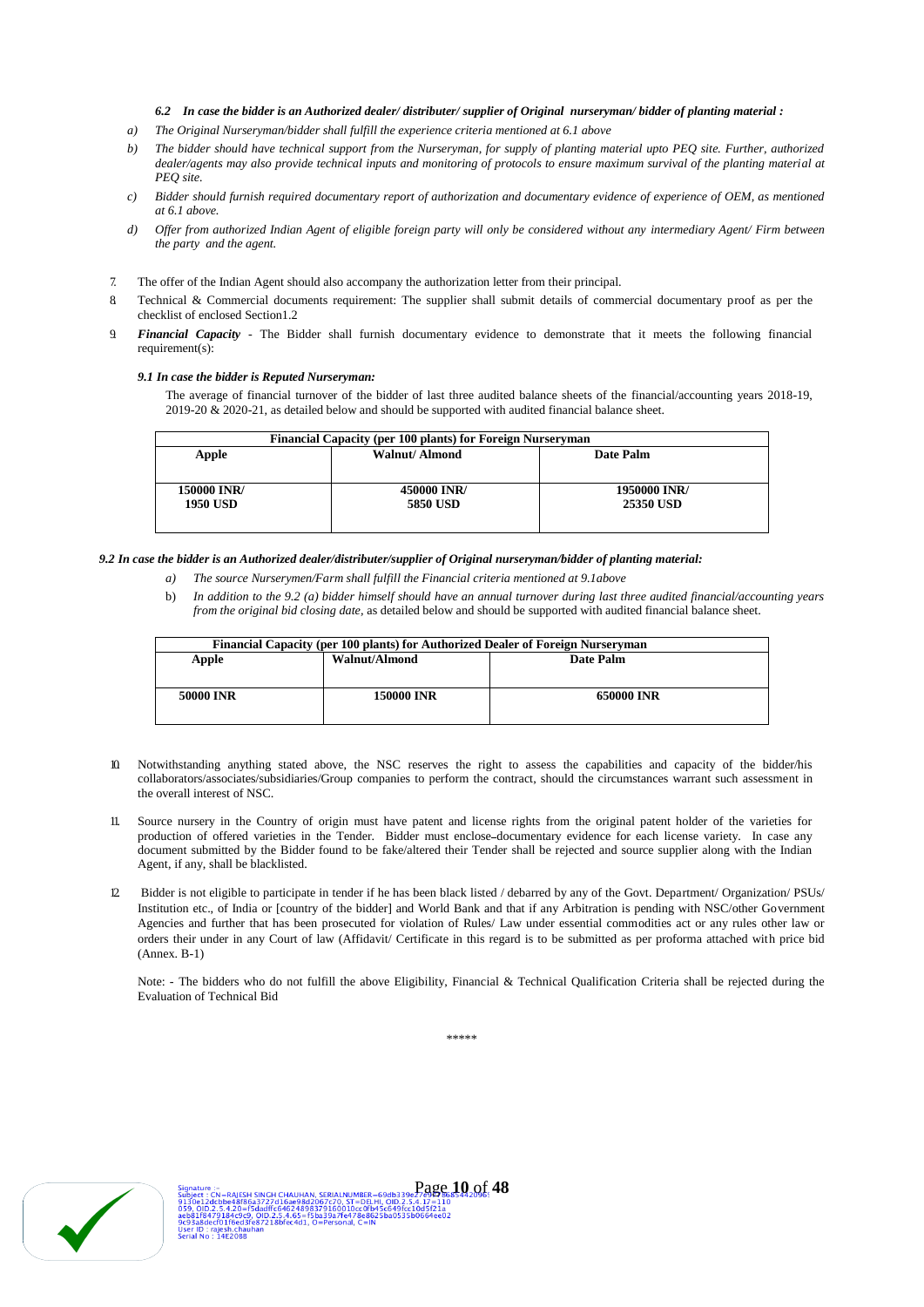#### *6.2 In case the bidder is an Authorized dealer/ distributer/ supplier of Original nurseryman/ bidder of planting material :*

- *a) The Original Nurseryman/bidder shall fulfill the experience criteria mentioned at 6.1 above*
- *b) The bidder should have technical support from the Nurseryman, for supply of planting material upto PEQ site. Further, authorized dealer/agents may also provide technical inputs and monitoring of protocols to ensure maximum survival of the planting material at PEQ site.*
- *c) Bidder should furnish required documentary report of authorization and documentary evidence of experience of OEM, as mentioned at 6.1 above.*
- *d) Offer from authorized Indian Agent of eligible foreign party will only be considered without any intermediary Agent/ Firm between the party and the agent.*
- 7. The offer of the Indian Agent should also accompany the authorization letter from their principal.
- 8. Technical & Commercial documents requirement: The supplier shall submit details of commercial documentary proof as per the checklist of enclosed Section1.2
- 9. *Financial Capacity*  The Bidder shall furnish documentary evidence to demonstrate that it meets the following financial requirement(s):

#### *9.1 In case the bidder is Reputed Nurseryman:*

The average of financial turnover of the bidder of last three audited balance sheets of the financial/accounting years 2018-19, 2019-20 & 2020-21, as detailed below and should be supported with audited financial balance sheet.

| Financial Capacity (per 100 plants) for Foreign Nurseryman |                 |                  |  |  |  |  |
|------------------------------------------------------------|-----------------|------------------|--|--|--|--|
| Apple                                                      | Walnut/ Almond  | Date Palm        |  |  |  |  |
|                                                            |                 |                  |  |  |  |  |
|                                                            |                 |                  |  |  |  |  |
| 150000 INR/                                                | 450000 INR/     | 1950000 INR/     |  |  |  |  |
| <b>1950 USD</b>                                            | <b>5850 USD</b> | <b>25350 USD</b> |  |  |  |  |
|                                                            |                 |                  |  |  |  |  |
|                                                            |                 |                  |  |  |  |  |

#### *9.2 In case the bidder is an Authorized dealer/distributer/supplier of Original nurseryman/bidder of planting material:*

- *a) The source Nurserymen/Farm shall fulfill the Financial criteria mentioned at 9.1above*
- b) *In addition to the 9.2 (a) bidder himself should have an annual turnover during last three audited financial/accounting years from the original bid closing date,* as detailed below and should be supported with audited financial balance sheet.

| Financial Capacity (per 100 plants) for Authorized Dealer of Foreign Nurseryman |                   |                   |  |  |  |  |
|---------------------------------------------------------------------------------|-------------------|-------------------|--|--|--|--|
| Apple                                                                           | Walnut/Almond     | Date Palm         |  |  |  |  |
|                                                                                 |                   |                   |  |  |  |  |
| 50000 INR                                                                       | <b>150000 INR</b> | <b>650000 INR</b> |  |  |  |  |
|                                                                                 |                   |                   |  |  |  |  |

- 10. Notwithstanding anything stated above, the NSC reserves the right to assess the capabilities and capacity of the bidder/his collaborators/associates/subsidiaries/Group companies to perform the contract, should the circumstances warrant such assessment in the overall interest of NSC.
- 11. Source nursery in the Country of origin must have patent and license rights from the original patent holder of the varieties for production of offered varieties in the Tender. Bidder must enclose documentary evidence for each license variety. In case any document submitted by the Bidder found to be fake/altered their Tender shall be rejected and source supplier along with the Indian Agent, if any, shall be blacklisted.
- 12. Bidder is not eligible to participate in tender if he has been black listed / debarred by any of the Govt. Department/ Organization/ PSUs/ Institution etc., of India or [country of the bidder] and World Bank and that if any Arbitration is pending with NSC/other Government Agencies and further that has been prosecuted for violation of Rules/ Law under essential commodities act or any rules other law or orders their under in any Court of law (Affidavit/ Certificate in this regard is to be submitted as per proforma attached with price bid (Annex. B-1)

Note: - The bidders who do not fulfill the above Eligibility, Financial & Technical Qualification Criteria shall be rejected during the Evaluation of Technical Bid

\*\*\*\*\*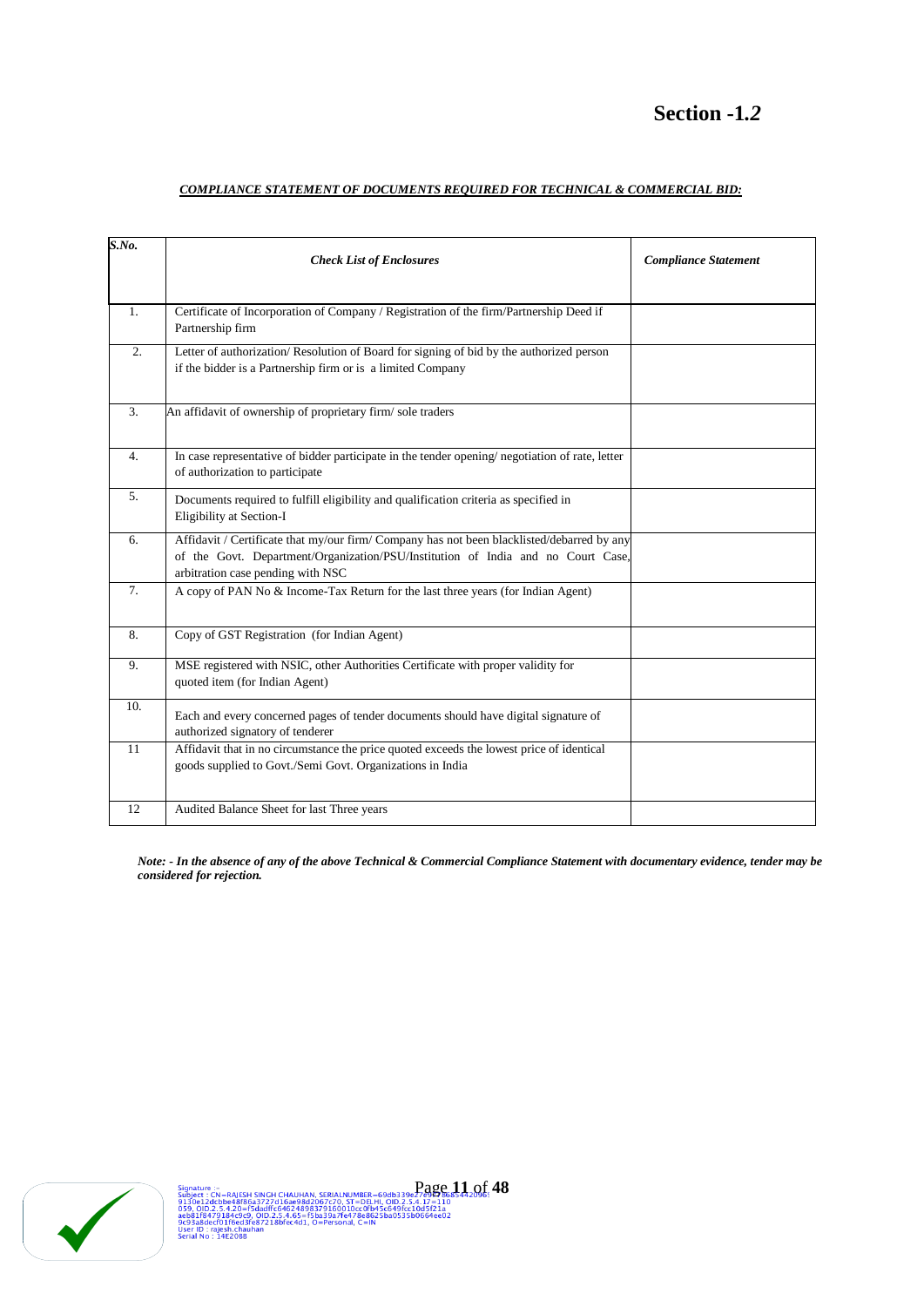# **Section -1***.2*

# *COMPLIANCE STATEMENT OF DOCUMENTS REQUIRED FOR TECHNICAL & COMMERCIAL BID:*

| S.No.          | <b>Check List of Enclosures</b>                                                                                                                                                                                     | <b>Compliance Statement</b> |
|----------------|---------------------------------------------------------------------------------------------------------------------------------------------------------------------------------------------------------------------|-----------------------------|
| 1.             | Certificate of Incorporation of Company / Registration of the firm/Partnership Deed if<br>Partnership firm                                                                                                          |                             |
| 2.             | Letter of authorization/Resolution of Board for signing of bid by the authorized person<br>if the bidder is a Partnership firm or is a limited Company                                                              |                             |
| 3.             | An affidavit of ownership of proprietary firm/sole traders                                                                                                                                                          |                             |
| 4.             | In case representative of bidder participate in the tender opening/ negotiation of rate, letter<br>of authorization to participate                                                                                  |                             |
| 5.             | Documents required to fulfill eligibility and qualification criteria as specified in<br>Eligibility at Section-I                                                                                                    |                             |
| 6.             | Affidavit / Certificate that my/our firm/ Company has not been blacklisted/debarred by any<br>of the Govt. Department/Organization/PSU/Institution of India and no Court Case,<br>arbitration case pending with NSC |                             |
| 7 <sub>1</sub> | A copy of PAN No & Income-Tax Return for the last three years (for Indian Agent)                                                                                                                                    |                             |
| 8.             | Copy of GST Registration (for Indian Agent)                                                                                                                                                                         |                             |
| 9.             | MSE registered with NSIC, other Authorities Certificate with proper validity for<br>quoted item (for Indian Agent)                                                                                                  |                             |
| 10.            | Each and every concerned pages of tender documents should have digital signature of<br>authorized signatory of tenderer                                                                                             |                             |
| 11             | Affidavit that in no circumstance the price quoted exceeds the lowest price of identical<br>goods supplied to Govt./Semi Govt. Organizations in India                                                               |                             |
| 12             | Audited Balance Sheet for last Three years                                                                                                                                                                          |                             |

*Note: - In the absence of any of the above Technical & Commercial Compliance Statement with documentary evidence, tender may be considered for rejection.*

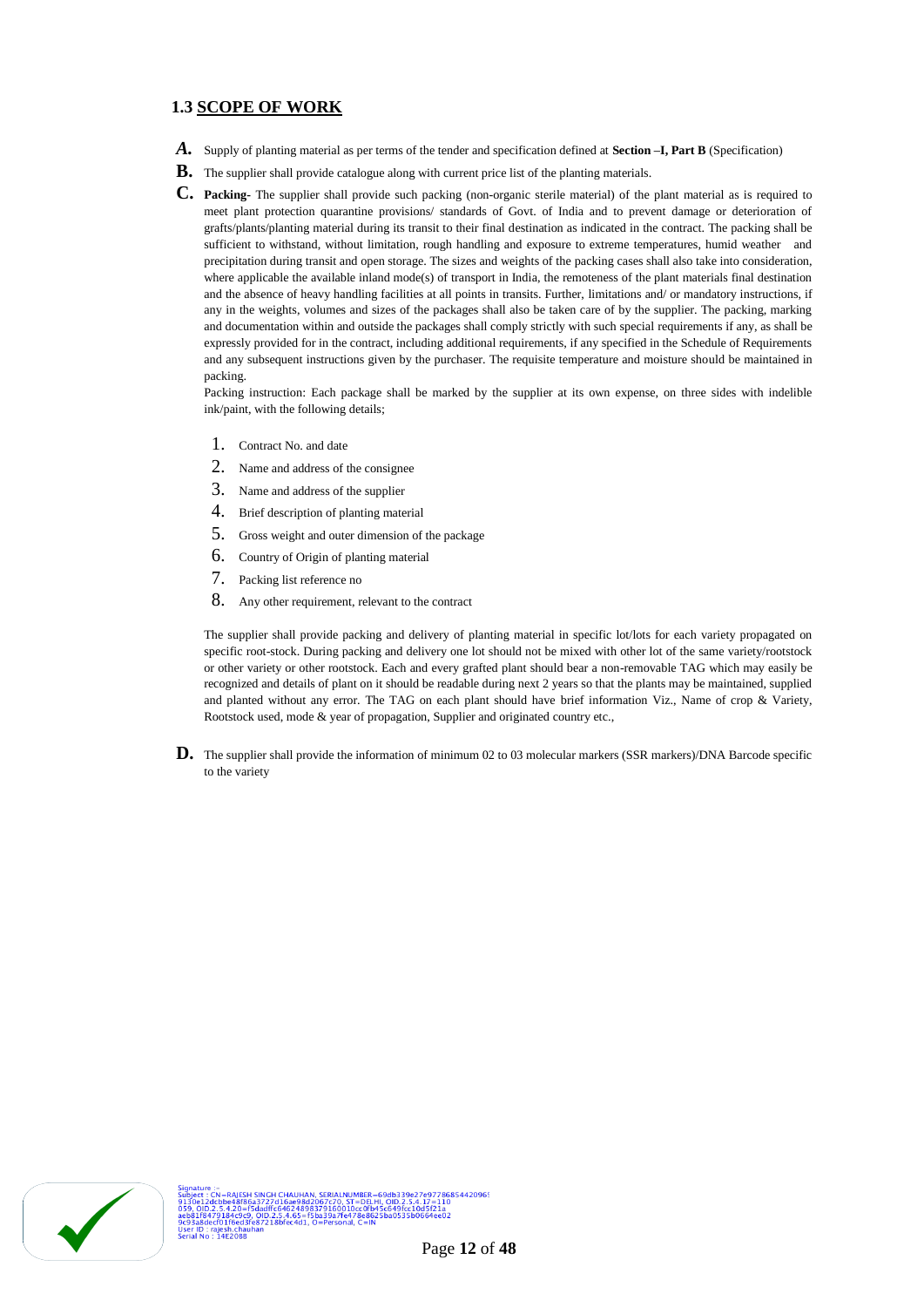# **1.3 SCOPE OF WORK**

- *A.* Supply of planting material as per terms of the tender and specification defined at **Section –I, Part B** (Specification)
- **B.** The supplier shall provide catalogue along with current price list of the planting materials.
- **C. Packing-** The supplier shall provide such packing (non-organic sterile material) of the plant material as is required to meet plant protection quarantine provisions/ standards of Govt. of India and to prevent damage or deterioration of grafts/plants/planting material during its transit to their final destination as indicated in the contract. The packing shall be sufficient to withstand, without limitation, rough handling and exposure to extreme temperatures, humid weather and precipitation during transit and open storage. The sizes and weights of the packing cases shall also take into consideration, where applicable the available inland mode(s) of transport in India, the remoteness of the plant materials final destination and the absence of heavy handling facilities at all points in transits. Further, limitations and/ or mandatory instructions, if any in the weights, volumes and sizes of the packages shall also be taken care of by the supplier. The packing, marking and documentation within and outside the packages shall comply strictly with such special requirements if any, as shall be expressly provided for in the contract, including additional requirements, if any specified in the Schedule of Requirements and any subsequent instructions given by the purchaser. The requisite temperature and moisture should be maintained in packing.

Packing instruction: Each package shall be marked by the supplier at its own expense, on three sides with indelible ink/paint, with the following details;

- 1. Contract No. and date
- 2. Name and address of the consignee
- 3. Name and address of the supplier
- 4. Brief description of planting material
- 5. Gross weight and outer dimension of the package
- 6. Country of Origin of planting material
- 7. Packing list reference no
- 8. Any other requirement, relevant to the contract

The supplier shall provide packing and delivery of planting material in specific lot/lots for each variety propagated on specific root-stock. During packing and delivery one lot should not be mixed with other lot of the same variety/rootstock or other variety or other rootstock. Each and every grafted plant should bear a non-removable TAG which may easily be recognized and details of plant on it should be readable during next 2 years so that the plants may be maintained, supplied and planted without any error. The TAG on each plant should have brief information Viz., Name of crop & Variety, Rootstock used, mode & year of propagation, Supplier and originated country etc.,

**D.** The supplier shall provide the information of minimum 02 to 03 molecular markers (SSR markers)/DNA Barcode specific to the variety

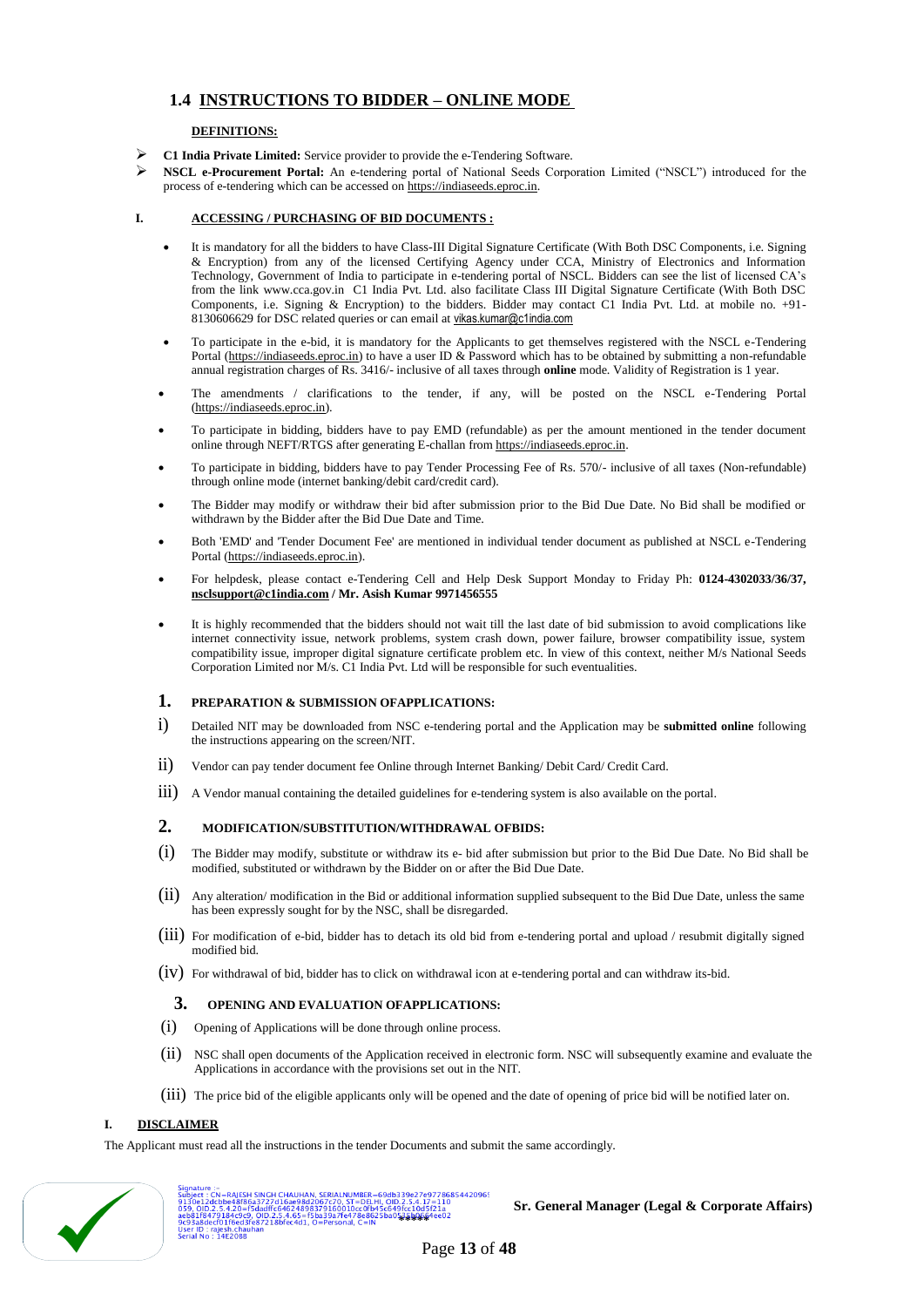# **1.4 INSTRUCTIONS TO BIDDER – ONLINE MODE**

## **DEFINITIONS:**

- **C1 India Private Limited:** Service provider to provide the e-Tendering Software.
- **NSCL e-Procurement Portal:** An e-tendering portal of National Seeds Corporation Limited ("NSCL") introduced for the process of e-tendering which can be accessed o[n https://indiaseeds.eproc.in.](https://indiaseeds.eproc.in/)

## **I. ACCESSING / PURCHASING OF BID DOCUMENTS :**

- It is mandatory for all the bidders to have Class-III Digital Signature Certificate (With Both DSC Components, i.e. Signing & Encryption) from any of the licensed Certifying Agency under CCA, Ministry of Electronics and Information Technology, Government of India to participate in e-tendering portal of NSCL. Bidders can see the list of licensed CA's from the link www.cca.gov.in C1 India Pvt. Ltd. also facilitate Class III Digital Signature Certificate (With Both DSC Components, i.e. Signing & Encryption) to the bidders. Bidder may contact C1 India Pvt. Ltd. at mobile no. +91- 8130606629 for DSC related queries or can email at [vikas.kumar@c1india.com](mailto:vikas.kumar@c1india.com)
- To participate in the e-bid, it is mandatory for the Applicants to get themselves registered with the NSCL e-Tendering Portal [\(https://indiaseeds.eproc.in\)](https://indiaseeds.eproc.in/) to have a user ID & Password which has to be obtained by submitting a non-refundable annual registration charges of Rs. 3416/- inclusive of all taxes through **online** mode. Validity of Registration is 1 year.
- The amendments / clarifications to the tender, if any, will be posted on the NSCL e-Tendering Portal [\(https://indiaseeds.eproc.in\)](https://indiaseeds.eproc.in/).
- To participate in bidding, bidders have to pay EMD (refundable) as per the amount mentioned in the tender document online through NEFT/RTGS after generating E-challan fro[m https://indiaseeds.eproc.in.](https://indiaseeds.eproc.in/)
- To participate in bidding, bidders have to pay Tender Processing Fee of Rs. 570/- inclusive of all taxes (Non-refundable) through online mode (internet banking/debit card/credit card).
- The Bidder may modify or withdraw their bid after submission prior to the Bid Due Date. No Bid shall be modified or withdrawn by the Bidder after the Bid Due Date and Time.
- Both 'EMD' and 'Tender Document Fee' are mentioned in individual tender document as published at NSCL e-Tendering Portal [\(https://indiaseeds.eproc.in\)](https://indiaseeds.eproc.in/).
- For helpdesk, please contact e-Tendering Cell and Help Desk Support Monday to Friday Ph: **0124-4302033/36/37, [nsclsupport@c1india.com](mailto:nsclsupport@c1india.com) / Mr. Asish Kumar 9971456555**
- It is highly recommended that the bidders should not wait till the last date of bid submission to avoid complications like internet connectivity issue, network problems, system crash down, power failure, browser compatibility issue, system compatibility issue, improper digital signature certificate problem etc. In view of this context, neither M/s National Seeds Corporation Limited nor M/s. C1 India Pvt. Ltd will be responsible for such eventualities.

## **1. PREPARATION & SUBMISSION OFAPPLICATIONS:**

- i) Detailed NIT may be downloaded from NSC e-tendering portal and the Application may be **submitted online** following the instructions appearing on the screen/NIT.
- ii) Vendor can pay tender document fee Online through Internet Banking/ Debit Card/ Credit Card.
- iii) A Vendor manual containing the detailed guidelines for e-tendering system is also available on the portal.

## **2. MODIFICATION/SUBSTITUTION/WITHDRAWAL OFBIDS:**

- $(i)$  The Bidder may modify, substitute or withdraw its e- bid after submission but prior to the Bid Due Date. No Bid shall be modified, substituted or withdrawn by the Bidder on or after the Bid Due Date.
- (ii) Any alteration/ modification in the Bid or additional information supplied subsequent to the Bid Due Date, unless the same has been expressly sought for by the NSC, shall be disregarded.
- (iii) For modification of e-bid, bidder has to detach its old bid from e-tendering portal and upload / resubmit digitally signed modified bid.
- (iv) For withdrawal of bid, bidder has to click on withdrawal icon at e-tendering portal and can withdraw its-bid.

## **3. OPENING AND EVALUATION OFAPPLICATIONS:**

- (i) Opening of Applications will be done through online process.
- (ii) NSC shall open documents of the Application received in electronic form. NSC will subsequently examine and evaluate the Applications in accordance with the provisions set out in the NIT.
- (iii) The price bid of the eligible applicants only will be opened and the date of opening of price bid will be notified later on.

## **I. DISCLAIMER**

The Applicant must read all the instructions in the tender Documents and submit the same accordingly.



لاسبعة المسابقة بالمسابقة المسابقة المسابقة المسابقة المسابقة المسابقة المسابقة المسابقة المسابقة المسابقة ال<br>2 **Subject : CA-BAJESH SINCH CHAUHAN, SERIALNUMBER-69db339e27e9778685442096:<br>2013 CID.2.5.4.20=f5dadffc64624698** 

**Sr. General Manager (Legal & Corporate Affairs)**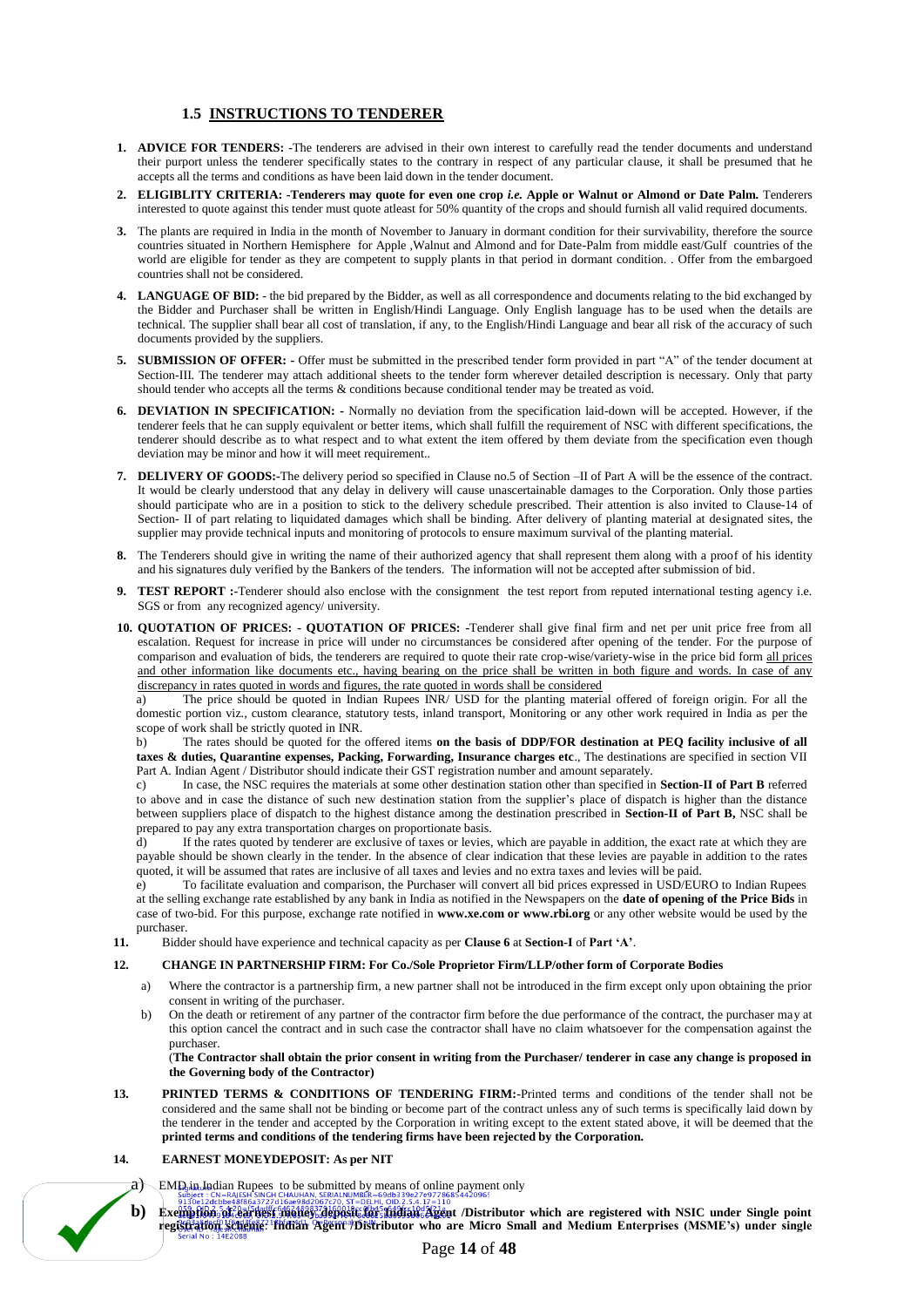# **1.5 INSTRUCTIONS TO TENDERER**

- **1. ADVICE FOR TENDERS: -**The tenderers are advised in their own interest to carefully read the tender documents and understand their purport unless the tenderer specifically states to the contrary in respect of any particular clause, it shall be presumed that he accepts all the terms and conditions as have been laid down in the tender document.
- **2. ELIGIBLITY CRITERIA: -Tenderers may quote for even one crop** *i.e.* **Apple or Walnut or Almond or Date Palm.** Tenderers interested to quote against this tender must quote atleast for 50% quantity of the crops and should furnish all valid required documents.
- **3.** The plants are required in India in the month of November to January in dormant condition for their survivability, therefore the source countries situated in Northern Hemisphere for Apple ,Walnut and Almond and for Date-Palm from middle east/Gulf countries of the world are eligible for tender as they are competent to supply plants in that period in dormant condition. . Offer from the embargoed countries shall not be considered.
- **4. LANGUAGE OF BID:**  the bid prepared by the Bidder, as well as all correspondence and documents relating to the bid exchanged by the Bidder and Purchaser shall be written in English/Hindi Language. Only English language has to be used when the details are technical. The supplier shall bear all cost of translation, if any, to the English/Hindi Language and bear all risk of the accuracy of such documents provided by the suppliers.
- **5. SUBMISSION OF OFFER: -** Offer must be submitted in the prescribed tender form provided in part "A" of the tender document at Section-III. The tenderer may attach additional sheets to the tender form wherever detailed description is necessary. Only that party should tender who accepts all the terms & conditions because conditional tender may be treated as void.
- **6. DEVIATION IN SPECIFICATION: -** Normally no deviation from the specification laid-down will be accepted. However, if the tenderer feels that he can supply equivalent or better items, which shall fulfill the requirement of NSC with different specifications, the tenderer should describe as to what respect and to what extent the item offered by them deviate from the specification even though deviation may be minor and how it will meet requirement..
- **7. DELIVERY OF GOODS:-**The delivery period so specified in Clause no.5 of Section –II of Part A will be the essence of the contract. It would be clearly understood that any delay in delivery will cause unascertainable damages to the Corporation. Only those parties should participate who are in a position to stick to the delivery schedule prescribed. Their attention is also invited to Clause-14 of Section- II of part relating to liquidated damages which shall be binding. After delivery of planting material at designated sites, the supplier may provide technical inputs and monitoring of protocols to ensure maximum survival of the planting material.
- **8.** The Tenderers should give in writing the name of their authorized agency that shall represent them along with a proof of his identity and his signatures duly verified by the Bankers of the tenders. The information will not be accepted after submission of bid.
- **9. TEST REPORT :-**Tenderer should also enclose with the consignment the test report from reputed international testing agency i.e. SGS or from any recognized agency/ university.
- **10. QUOTATION OF PRICES: - QUOTATION OF PRICES: -**Tenderer shall give final firm and net per unit price free from all escalation. Request for increase in price will under no circumstances be considered after opening of the tender. For the purpose of comparison and evaluation of bids, the tenderers are required to quote their rate crop-wise/variety-wise in the price bid form all prices and other information like documents etc., having bearing on the price shall be written in both figure and words. In case of any discrepancy in rates quoted in words and figures, the rate quoted in words shall be considered

a) The price should be quoted in Indian Rupees INR/ USD for the planting material offered of foreign origin. For all the domestic portion viz., custom clearance, statutory tests, inland transport, Monitoring or any other work required in India as per the scope of work shall be strictly quoted in INR.

b) The rates should be quoted for the offered items **on the basis of DDP/FOR destination at PEQ facility inclusive of all taxes & duties, Quarantine expenses, Packing, Forwarding, Insurance charges etc**., The destinations are specified in section VII Part A. Indian Agent / Distributor should indicate their GST registration number and amount separately.

c) In case, the NSC requires the materials at some other destination station other than specified in **Section-II of Part B** referred to above and in case the distance of such new destination station from the supplier's place of dispatch is higher than the distance between suppliers place of dispatch to the highest distance among the destination prescribed in **Section-II of Part B,** NSC shall be prepared to pay any extra transportation charges on proportionate basis.

d) If the rates quoted by tenderer are exclusive of taxes or levies, which are payable in addition, the exact rate at which they are payable should be shown clearly in the tender. In the absence of clear indication that these levies are payable in addition to the rates quoted, it will be assumed that rates are inclusive of all taxes and levies and no extra taxes and levies will be paid.

e) To facilitate evaluation and comparison, the Purchaser will convert all bid prices expressed in USD/EURO to Indian Rupees at the selling exchange rate established by any bank in India as notified in the Newspapers on the **date of opening of the Price Bids** in case of two-bid. For this purpose, exchange rate notified in **www.xe.com or www.rbi.org** or any other website would be used by the purchaser.

**11.** Bidder should have experience and technical capacity as per **Clause 6** at **Section-I** of **Part 'A'**.

#### **12. CHANGE IN PARTNERSHIP FIRM: For Co./Sole Proprietor Firm/LLP/other form of Corporate Bodies**

- a) Where the contractor is a partnership firm, a new partner shall not be introduced in the firm except only upon obtaining the prior consent in writing of the purchaser.
- b) On the death or retirement of any partner of the contractor firm before the due performance of the contract, the purchaser may at this option cancel the contract and in such case the contractor shall have no claim whatsoever for the compensation against the purchaser.

(**The Contractor shall obtain the prior consent in writing from the Purchaser/ tenderer in case any change is proposed in the Governing body of the Contractor)**

13. **PRINTED TERMS & CONDITIONS OF TENDERING FIRM:-Printed terms and conditions of the tender shall not be** considered and the same shall not be binding or become part of the contract unless any of such terms is specifically laid down by the tenderer in the tender and accepted by the Corporation in writing except to the extent stated above, it will be deemed that the **printed terms and conditions of the tendering firms have been rejected by the Corporation.**

#### **14. EARNEST MONEYDEPOSIT: As per NIT**

- $\mathcal{A}$  EMD in Indian Rupees to be submitted by means of online payment only
- **b) Exemption of earnest money deposit for Indian Agent /Distributor which are registered with NSIC under Single point registration scheme**: **Indian Agent /Distributor who are Micro Small and Medium Enterprises (MSME's) under single**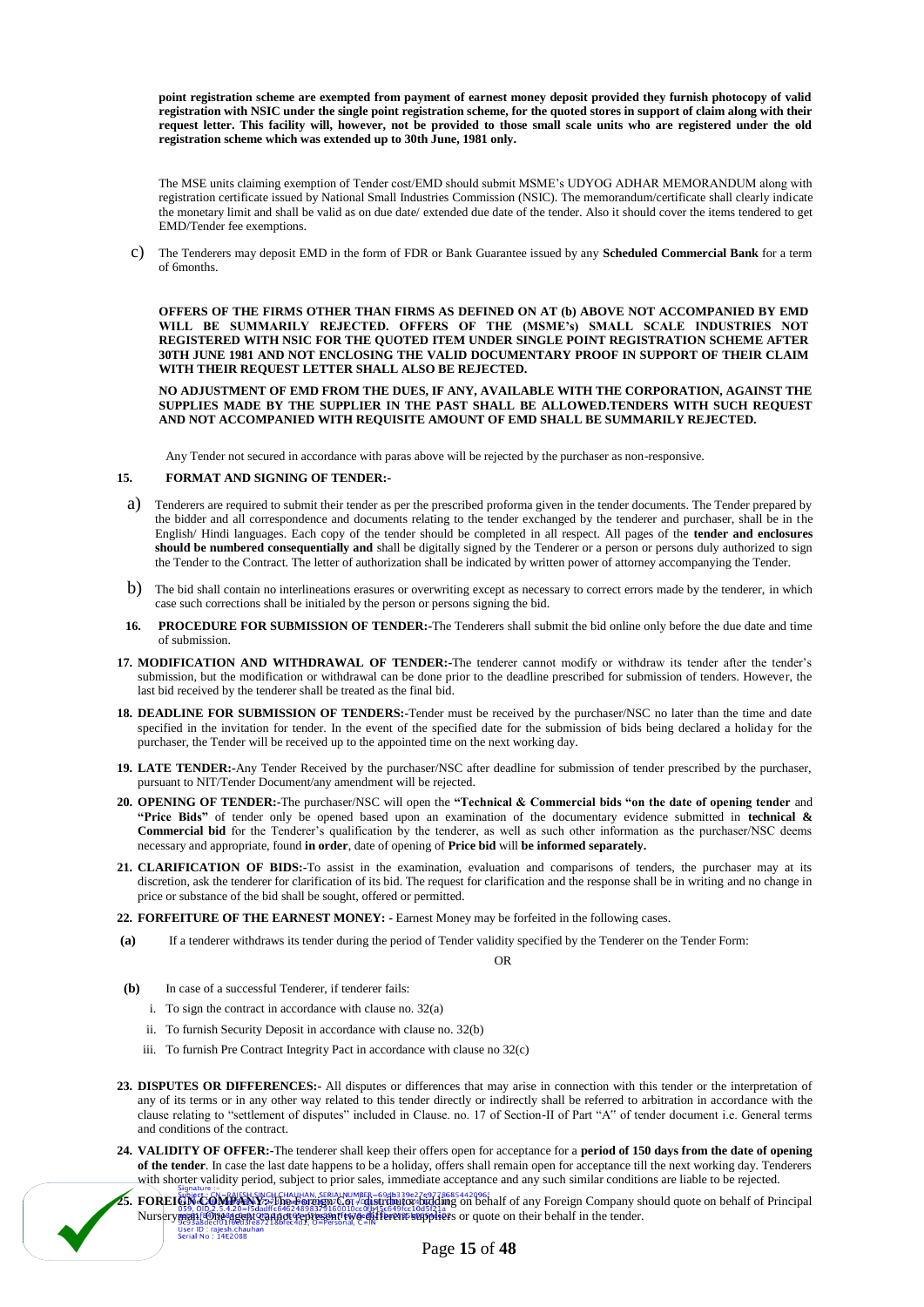**point registration scheme are exempted from payment of earnest money deposit provided they furnish photocopy of valid registration with NSIC under the single point registration scheme, for the quoted stores in support of claim along with their request letter. This facility will, however, not be provided to those small scale units who are registered under the old registration scheme which was extended up to 30th June, 1981 only.**

The MSE units claiming exemption of Tender cost/EMD should submit MSME's UDYOG ADHAR MEMORANDUM along with registration certificate issued by National Small Industries Commission (NSIC). The memorandum/certificate shall clearly indicate the monetary limit and shall be valid as on due date/ extended due date of the tender. Also it should cover the items tendered to get EMD/Tender fee exemptions.

c) The Tenderers may deposit EMD in the form of FDR or Bank Guarantee issued by any **Scheduled Commercial Bank** for a term of 6months.

**OFFERS OF THE FIRMS OTHER THAN FIRMS AS DEFINED ON AT (b) ABOVE NOT ACCOMPANIED BY EMD WILL BE SUMMARILY REJECTED. OFFERS OF THE (MSME's) SMALL SCALE INDUSTRIES NOT REGISTERED WITH NSIC FOR THE QUOTED ITEM UNDER SINGLE POINT REGISTRATION SCHEME AFTER 30TH JUNE 1981 AND NOT ENCLOSING THE VALID DOCUMENTARY PROOF IN SUPPORT OF THEIR CLAIM WITH THEIR REQUEST LETTER SHALL ALSO BE REJECTED.**

**NO ADJUSTMENT OF EMD FROM THE DUES, IF ANY, AVAILABLE WITH THE CORPORATION, AGAINST THE SUPPLIES MADE BY THE SUPPLIER IN THE PAST SHALL BE ALLOWED.TENDERS WITH SUCH REQUEST AND NOT ACCOMPANIED WITH REQUISITE AMOUNT OF EMD SHALL BE SUMMARILY REJECTED.**

Any Tender not secured in accordance with paras above will be rejected by the purchaser as non-responsive.

#### **15. FORMAT AND SIGNING OF TENDER:-**

- a) Tenderers are required to submit their tender as per the prescribed proforma given in the tender documents. The Tender prepared by the bidder and all correspondence and documents relating to the tender exchanged by the tenderer and purchaser, shall be in the English/ Hindi languages. Each copy of the tender should be completed in all respect. All pages of the **tender and enclosures should be numbered consequentially and** shall be digitally signed by the Tenderer or a person or persons duly authorized to sign the Tender to the Contract. The letter of authorization shall be indicated by written power of attorney accompanying the Tender.
- b) The bid shall contain no interlineations erasures or overwriting except as necessary to correct errors made by the tenderer, in which case such corrections shall be initialed by the person or persons signing the bid.
- **16. PROCEDURE FOR SUBMISSION OF TENDER:-**The Tenderers shall submit the bid online only before the due date and time of submission.
- **17. MODIFICATION AND WITHDRAWAL OF TENDER:-**The tenderer cannot modify or withdraw its tender after the tender's submission, but the modification or withdrawal can be done prior to the deadline prescribed for submission of tenders. However, the last bid received by the tenderer shall be treated as the final bid.
- **18. DEADLINE FOR SUBMISSION OF TENDERS:-**Tender must be received by the purchaser/NSC no later than the time and date specified in the invitation for tender. In the event of the specified date for the submission of bids being declared a holiday for the purchaser, the Tender will be received up to the appointed time on the next working day.
- **19. LATE TENDER:-**Any Tender Received by the purchaser/NSC after deadline for submission of tender prescribed by the purchaser, pursuant to NIT/Tender Document/any amendment will be rejected.
- **20. OPENING OF TENDER:-**The purchaser/NSC will open the **"Technical & Commercial bids "on the date of opening tender** and **"Price Bids"** of tender only be opened based upon an examination of the documentary evidence submitted in **technical & Commercial bid** for the Tenderer's qualification by the tenderer, as well as such other information as the purchaser/NSC deems necessary and appropriate, found **in order**, date of opening of **Price bid** will **be informed separately.**
- **21. CLARIFICATION OF BIDS:-**To assist in the examination, evaluation and comparisons of tenders, the purchaser may at its discretion, ask the tenderer for clarification of its bid. The request for clarification and the response shall be in writing and no change in price or substance of the bid shall be sought, offered or permitted.
- **22. FORFEITURE OF THE EARNEST MONEY: -** Earnest Money may be forfeited in the following cases.
- **(a)** If a tenderer withdraws its tender during the period of Tender validity specified by the Tenderer on the Tender Form:

OR

- **(b)** In case of a successful Tenderer, if tenderer fails:
	- i. To sign the contract in accordance with clause no. 32(a)
	- ii. To furnish Security Deposit in accordance with clause no. 32(b)
	- iii. To furnish Pre Contract Integrity Pact in accordance with clause no 32(c)
- **23. DISPUTES OR DIFFERENCES:-** All disputes or differences that may arise in connection with this tender or the interpretation of any of its terms or in any other way related to this tender directly or indirectly shall be referred to arbitration in accordance with the clause relating to "settlement of disputes" included in Clause. no. 17 of Section-II of Part "A" of tender document i.e. General terms and conditions of the contract.
- **24. VALIDITY OF OFFER:-**The tenderer shall keep their offers open for acceptance for a **period of 150 days from the date of opening of the tender**. In case the last date happens to be a holiday, offers shall remain open for acceptance till the next working day. Tenderers with shorter validity period, subject to prior sales, immediate acceptance and any such similar conditions are liable to be rejected.
- 25. **FOREIGN COMPANY:** FRIGH SWGH CHAUHAN, SERIALNUMBER=69db339e27e9778685442096;<br>25. **FOREIGN COMPANY: Libe-Poreign: C.61, <sup>p</sup>olistipal condition on behalf** of any Foreign Company should quote on behalf of Principal Nursery man. One agent can not the capacity of the distribution of the tender.<br>Nursery means agent to cannot represent two different suppliers or quote on their behalf in the tender. User ID: rajesh.chau<br>Serial No: 14E20BB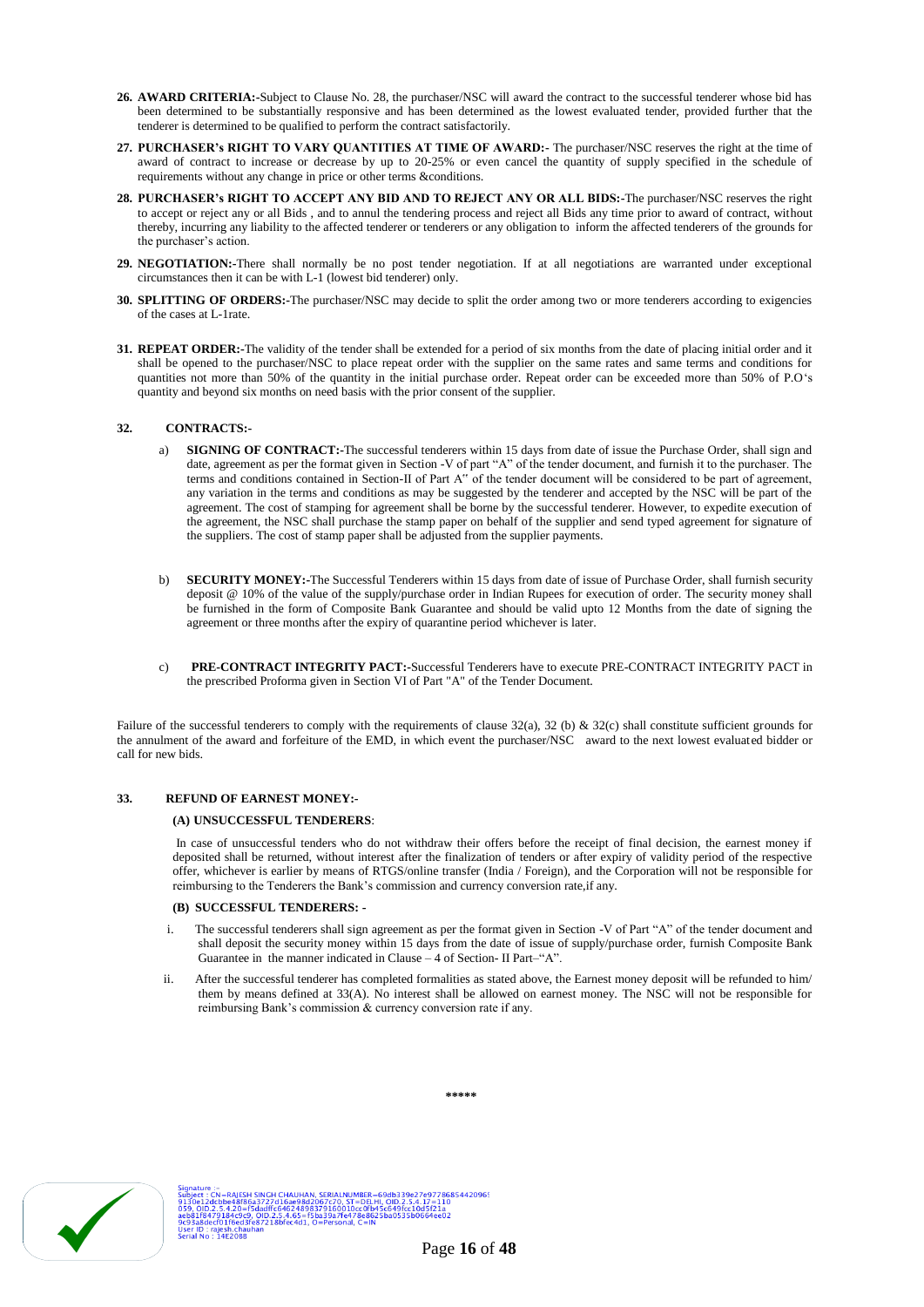- **26. AWARD CRITERIA:-**Subject to Clause No. 28, the purchaser/NSC will award the contract to the successful tenderer whose bid has been determined to be substantially responsive and has been determined as the lowest evaluated tender, provided further that the tenderer is determined to be qualified to perform the contract satisfactorily.
- **27. PURCHASER's RIGHT TO VARY QUANTITIES AT TIME OF AWARD:-** The purchaser/NSC reserves the right at the time of award of contract to increase or decrease by up to 20-25% or even cancel the quantity of supply specified in the schedule of requirements without any change in price or other terms &conditions.
- **28. PURCHASER's RIGHT TO ACCEPT ANY BID AND TO REJECT ANY OR ALL BIDS:-**The purchaser/NSC reserves the right to accept or reject any or all Bids , and to annul the tendering process and reject all Bids any time prior to award of contract, without thereby, incurring any liability to the affected tenderer or tenderers or any obligation to inform the affected tenderers of the grounds for the purchaser's action.
- **29. NEGOTIATION:-**There shall normally be no post tender negotiation. If at all negotiations are warranted under exceptional circumstances then it can be with L-1 (lowest bid tenderer) only.
- **30. SPLITTING OF ORDERS:-**The purchaser/NSC may decide to split the order among two or more tenderers according to exigencies of the cases at L-1rate.
- **31. REPEAT ORDER:-**The validity of the tender shall be extended for a period of six months from the date of placing initial order and it shall be opened to the purchaser/NSC to place repeat order with the supplier on the same rates and same terms and conditions for quantities not more than 50% of the quantity in the initial purchase order. Repeat order can be exceeded more than 50% of P.O's quantity and beyond six months on need basis with the prior consent of the supplier.

#### **32. CONTRACTS:-**

- a) **SIGNING OF CONTRACT:-**The successful tenderers within 15 days from date of issue the Purchase Order, shall sign and date, agreement as per the format given in Section -V of part "A" of the tender document, and furnish it to the purchaser. The terms and conditions contained in Section-II of Part A" of the tender document will be considered to be part of agreement, any variation in the terms and conditions as may be suggested by the tenderer and accepted by the NSC will be part of the agreement. The cost of stamping for agreement shall be borne by the successful tenderer. However, to expedite execution of the agreement, the NSC shall purchase the stamp paper on behalf of the supplier and send typed agreement for signature of the suppliers. The cost of stamp paper shall be adjusted from the supplier payments.
- b) **SECURITY MONEY:-**The Successful Tenderers within 15 days from date of issue of Purchase Order, shall furnish security deposit @ 10% of the value of the supply/purchase order in Indian Rupees for execution of order. The security money shall be furnished in the form of Composite Bank Guarantee and should be valid upto 12 Months from the date of signing the agreement or three months after the expiry of quarantine period whichever is later.
- c) **PRE-CONTRACT INTEGRITY PACT:-**Successful Tenderers have to execute PRE-CONTRACT INTEGRITY PACT in the prescribed Proforma given in Section VI of Part "A" of the Tender Document.

Failure of the successful tenderers to comply with the requirements of clause 32(a), 32 (b) & 32(c) shall constitute sufficient grounds for the annulment of the award and forfeiture of the EMD, in which event the purchaser/NSC award to the next lowest evaluated bidder or call for new bids.

### **33. REFUND OF EARNEST MONEY:-**

#### **(A) UNSUCCESSFUL TENDERERS**:

In case of unsuccessful tenders who do not withdraw their offers before the receipt of final decision, the earnest money if deposited shall be returned, without interest after the finalization of tenders or after expiry of validity period of the respective offer, whichever is earlier by means of RTGS/online transfer (India / Foreign), and the Corporation will not be responsible for reimbursing to the Tenderers the Bank's commission and currency conversion rate,if any.

#### **(B) SUCCESSFUL TENDERERS: -**

- i. The successful tenderers shall sign agreement as per the format given in Section -V of Part "A" of the tender document and shall deposit the security money within 15 days from the date of issue of supply/purchase order, furnish Composite Bank Guarantee in the manner indicated in Clause – 4 of Section- II Part–"A".
- ii. After the successful tenderer has completed formalities as stated above, the Earnest money deposit will be refunded to him/ them by means defined at 33(A). No interest shall be allowed on earnest money. The NSC will not be responsible for reimbursing Bank's commission & currency conversion rate if any.



**\*\*\*\*\***

9db339e27e9778685442096!<br>OID.2.5.4.17=110<br>c649fcc10d5f21a<br>ba0535b0664ee02 SINGH CHAUHAN, SERIALNUMBE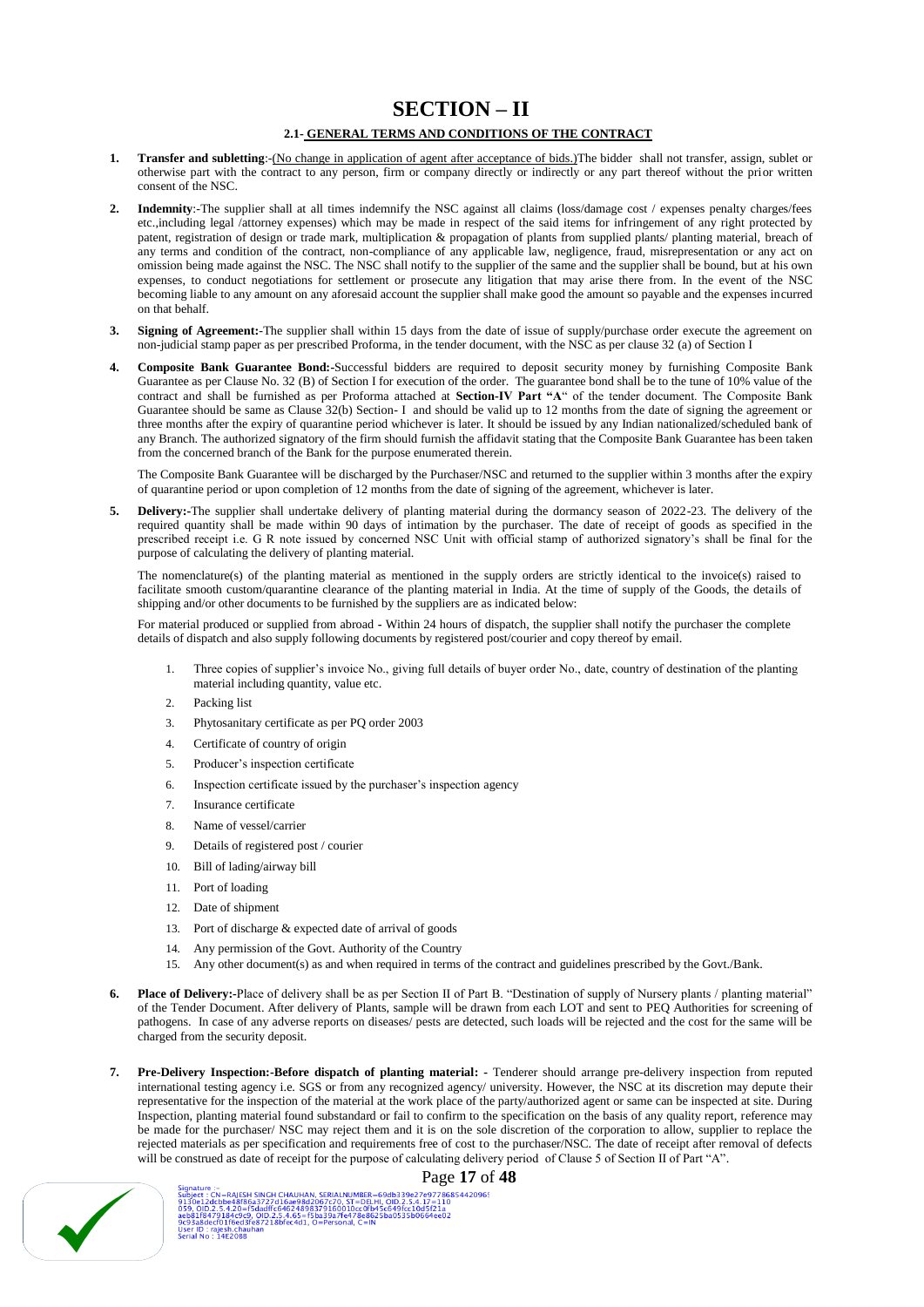# **SECTION – II**

## **2.1- GENERAL TERMS AND CONDITIONS OF THE CONTRACT**

- 1. **Transfer and subletting**:-(No change in application of agent after acceptance of bids.)The bidder shall not transfer, assign, sublet or otherwise part with the contract to any person, firm or company directly or indirectly or any part thereof without the prior written consent of the NSC.
- **2. Indemnity**:-The supplier shall at all times indemnify the NSC against all claims (loss/damage cost / expenses penalty charges/fees etc.,including legal /attorney expenses) which may be made in respect of the said items for infringement of any right protected by patent, registration of design or trade mark, multiplication & propagation of plants from supplied plants/ planting material, breach of any terms and condition of the contract, non-compliance of any applicable law, negligence, fraud, misrepresentation or any act on omission being made against the NSC. The NSC shall notify to the supplier of the same and the supplier shall be bound, but at his own expenses, to conduct negotiations for settlement or prosecute any litigation that may arise there from. In the event of the NSC becoming liable to any amount on any aforesaid account the supplier shall make good the amount so payable and the expenses incurred on that behalf.
- **3. Signing of Agreement:**-The supplier shall within 15 days from the date of issue of supply/purchase order execute the agreement on non-judicial stamp paper as per prescribed Proforma, in the tender document, with the NSC as per clause 32 (a) of Section I
- **4. Composite Bank Guarantee Bond:-**Successful bidders are required to deposit security money by furnishing Composite Bank Guarantee as per Clause No. 32 (B) of Section I for execution of the order. The guarantee bond shall be to the tune of 10% value of the contract and shall be furnished as per Proforma attached at **Section-IV Part "A**" of the tender document. The Composite Bank Guarantee should be same as Clause 32(b) Section- I and should be valid up to 12 months from the date of signing the agreement or three months after the expiry of quarantine period whichever is later. It should be issued by any Indian nationalized/scheduled bank of any Branch. The authorized signatory of the firm should furnish the affidavit stating that the Composite Bank Guarantee has been taken from the concerned branch of the Bank for the purpose enumerated therein.

The Composite Bank Guarantee will be discharged by the Purchaser/NSC and returned to the supplier within 3 months after the expiry of quarantine period or upon completion of 12 months from the date of signing of the agreement, whichever is later.

**5. Delivery:-**The supplier shall undertake delivery of planting material during the dormancy season of 2022-23. The delivery of the required quantity shall be made within 90 days of intimation by the purchaser. The date of receipt of goods as specified in the prescribed receipt i.e. G R note issued by concerned NSC Unit with official stamp of authorized signatory's shall be final for the purpose of calculating the delivery of planting material.

The nomenclature(s) of the planting material as mentioned in the supply orders are strictly identical to the invoice(s) raised to facilitate smooth custom/quarantine clearance of the planting material in India. At the time of supply of the Goods, the details of shipping and/or other documents to be furnished by the suppliers are as indicated below:

For material produced or supplied from abroad **-** Within 24 hours of dispatch, the supplier shall notify the purchaser the complete details of dispatch and also supply following documents by registered post/courier and copy thereof by email.

- 1. Three copies of supplier's invoice No., giving full details of buyer order No., date, country of destination of the planting material including quantity, value etc.
- 2. Packing list
- 3. Phytosanitary certificate as per PQ order 2003
- 4. Certificate of country of origin
- 5. Producer's inspection certificate
- 6. Inspection certificate issued by the purchaser's inspection agency
- 7. Insurance certificate
- 8. Name of vessel/carrier
- 9. Details of registered post / courier
- 10. Bill of lading/airway bill
- 11. Port of loading
- 12. Date of shipment
- 13. Port of discharge & expected date of arrival of goods
- 14. Any permission of the Govt. Authority of the Country
- 15. Any other document(s) as and when required in terms of the contract and guidelines prescribed by the Govt./Bank.
- **6. Place of Delivery:-**Place of delivery shall be as per Section II of Part B. "Destination of supply of Nursery plants / planting material" of the Tender Document. After delivery of Plants, sample will be drawn from each LOT and sent to PEQ Authorities for screening of pathogens. In case of any adverse reports on diseases/ pests are detected, such loads will be rejected and the cost for the same will be charged from the security deposit.
- **7. Pre-Delivery Inspection:-Before dispatch of planting material: -** Tenderer should arrange pre-delivery inspection from reputed international testing agency i.e. SGS or from any recognized agency/ university. However, the NSC at its discretion may depute their representative for the inspection of the material at the work place of the party/authorized agent or same can be inspected at site. During Inspection, planting material found substandard or fail to confirm to the specification on the basis of any quality report, reference may be made for the purchaser/ NSC may reject them and it is on the sole discretion of the corporation to allow, supplier to replace the rejected materials as per specification and requirements free of cost to the purchaser/NSC. The date of receipt after removal of defects will be construed as date of receipt for the purpose of calculating delivery period of Clause 5 of Section II of Part "A".



Signature :-<br>
Subject : CN=RAJESH SINGH CHAUHAN, SERIALNUMBER=69db339e27e97786854420965<br>
9130e12dcbbe8886a3727d16ae98d2067c70, ST=DELH, OID.2.5.4.17=110<br>
059. OID.2.5.4.20=15dadffc64624898379160010cc0fb45c649fcc10d5f21a<br>
a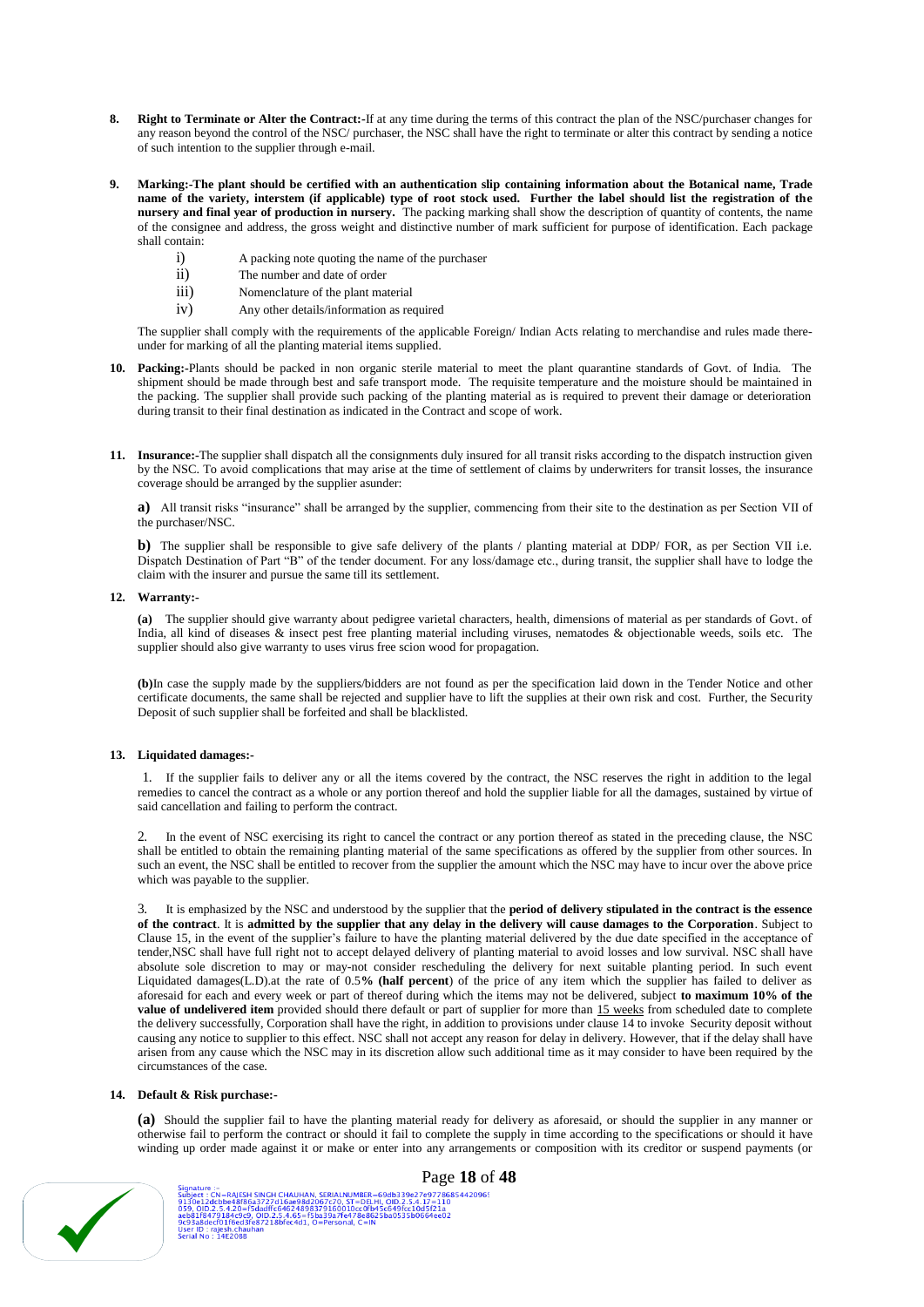- **8. Right to Terminate or Alter the Contract:-**If at any time during the terms of this contract the plan of the NSC/purchaser changes for any reason beyond the control of the NSC/ purchaser, the NSC shall have the right to terminate or alter this contract by sending a notice of such intention to the supplier through e-mail.
- **9. Marking:-The plant should be certified with an authentication slip containing information about the Botanical name, Trade name of the variety, interstem (if applicable) type of root stock used. Further the label should list the registration of the nursery and final year of production in nursery.** The packing marking shall show the description of quantity of contents, the name of the consignee and address, the gross weight and distinctive number of mark sufficient for purpose of identification. Each package shall contain:
	- i) A packing note quoting the name of the purchaser
	- ii) The number and date of order
	- iii) Nomenclature of the plant material
	- iv) Any other details/information as required

The supplier shall comply with the requirements of the applicable Foreign/ Indian Acts relating to merchandise and rules made thereunder for marking of all the planting material items supplied.

- **10. Packing:-**Plants should be packed in non organic sterile material to meet the plant quarantine standards of Govt. of India. The shipment should be made through best and safe transport mode. The requisite temperature and the moisture should be maintained in the packing. The supplier shall provide such packing of the planting material as is required to prevent their damage or deterioration during transit to their final destination as indicated in the Contract and scope of work.
- **11. Insurance:-**The supplier shall dispatch all the consignments duly insured for all transit risks according to the dispatch instruction given by the NSC. To avoid complications that may arise at the time of settlement of claims by underwriters for transit losses, the insurance coverage should be arranged by the supplier asunder:

**a)** All transit risks "insurance" shall be arranged by the supplier, commencing from their site to the destination as per Section VII of the purchaser/NSC.

**b**) The supplier shall be responsible to give safe delivery of the plants / planting material at DDP/ FOR, as per Section VII i.e. Dispatch Destination of Part "B" of the tender document. For any loss/damage etc., during transit, the supplier shall have to lodge the claim with the insurer and pursue the same till its settlement.

#### **12. Warranty:-**

**(a)** The supplier should give warranty about pedigree varietal characters, health, dimensions of material as per standards of Govt. of India, all kind of diseases & insect pest free planting material including viruses, nematodes & objectionable weeds, soils etc. The supplier should also give warranty to uses virus free scion wood for propagation.

**(b)**In case the supply made by the suppliers/bidders are not found as per the specification laid down in the Tender Notice and other certificate documents, the same shall be rejected and supplier have to lift the supplies at their own risk and cost. Further, the Security Deposit of such supplier shall be forfeited and shall be blacklisted.

## **13. Liquidated damages:-**

1. If the supplier fails to deliver any or all the items covered by the contract, the NSC reserves the right in addition to the legal remedies to cancel the contract as a whole or any portion thereof and hold the supplier liable for all the damages, sustained by virtue of said cancellation and failing to perform the contract.

2. In the event of NSC exercising its right to cancel the contract or any portion thereof as stated in the preceding clause, the NSC shall be entitled to obtain the remaining planting material of the same specifications as offered by the supplier from other sources. In such an event, the NSC shall be entitled to recover from the supplier the amount which the NSC may have to incur over the above price which was payable to the supplier.

3. It is emphasized by the NSC and understood by the supplier that the **period of delivery stipulated in the contract is the essence of the contract**. It is **admitted by the supplier that any delay in the delivery will cause damages to the Corporation**. Subject to Clause 15, in the event of the supplier's failure to have the planting material delivered by the due date specified in the acceptance of tender,NSC shall have full right not to accept delayed delivery of planting material to avoid losses and low survival. NSC shall have absolute sole discretion to may or may-not consider rescheduling the delivery for next suitable planting period. In such event Liquidated damages(L.D).at the rate of 0.5**% (half percent**) of the price of any item which the supplier has failed to deliver as aforesaid for each and every week or part of thereof during which the items may not be delivered, subject **to maximum 10% of the value of undelivered item** provided should there default or part of supplier for more than 15 weeks from scheduled date to complete the delivery successfully, Corporation shall have the right, in addition to provisions under clause 14 to invoke Security deposit without causing any notice to supplier to this effect. NSC shall not accept any reason for delay in delivery. However, that if the delay shall have arisen from any cause which the NSC may in its discretion allow such additional time as it may consider to have been required by the circumstances of the case.

#### **14. Default & Risk purchase:-**

**(a)** Should the supplier fail to have the planting material ready for delivery as aforesaid, or should the supplier in any manner or otherwise fail to perform the contract or should it fail to complete the supply in time according to the specifications or should it have winding up order made against it or make or enter into any arrangements or composition with its creditor or suspend payments (or



2:<br>CN=RAJESH SINGH CHAUHAN, SERIALNUMBER=69db339e27e97786854420965<br>dcbbe48186a3727d16ae98d2067c70, ST=DELHI, OJD.2.5.4.17=110<br>179184e9c9, OJD.2.5.4.65=f5ba39a79160010cc0fb45c649fcc10d5f21a<br>6F0116ed3fe87218bfec4d1, O=Person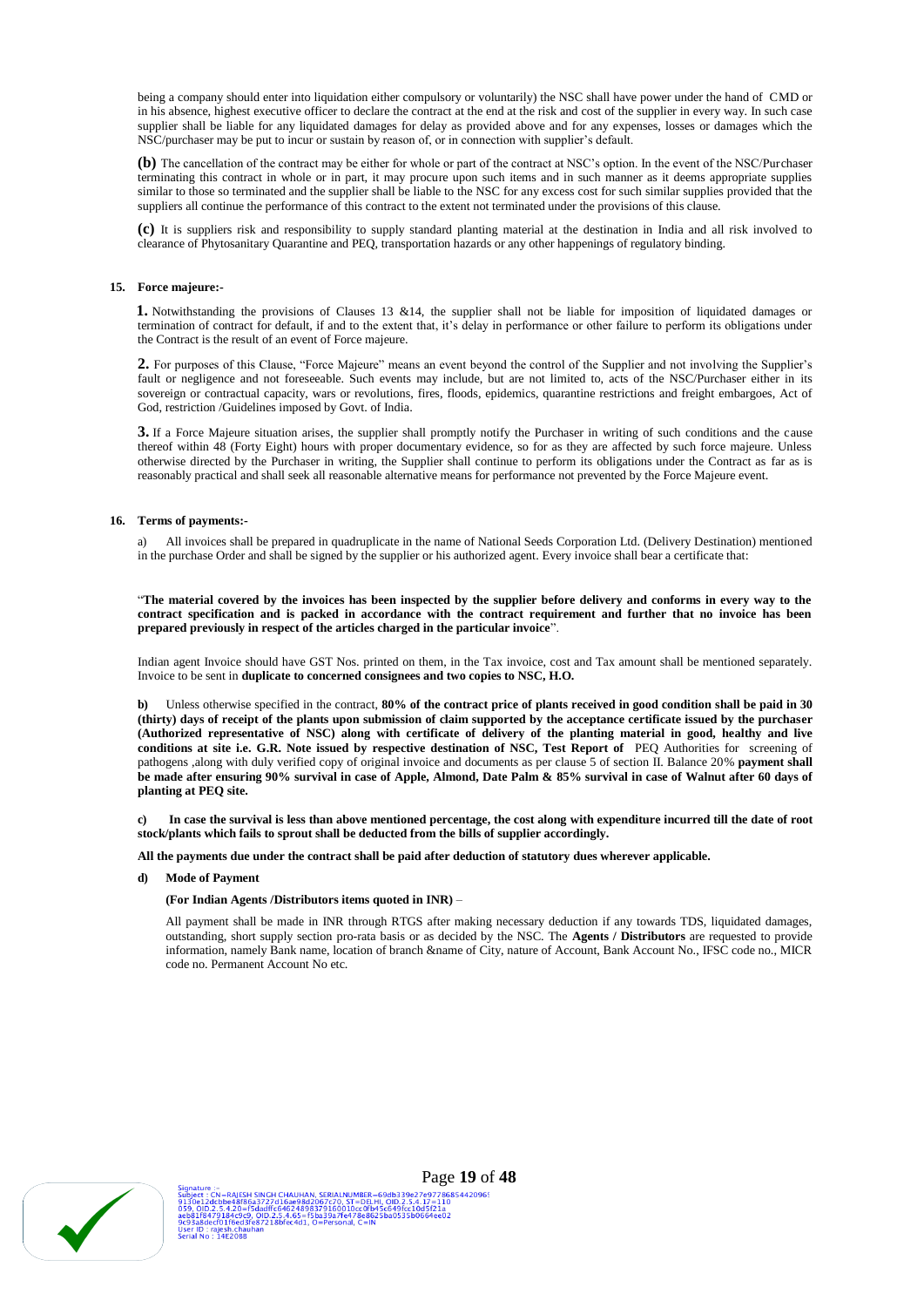being a company should enter into liquidation either compulsory or voluntarily) the NSC shall have power under the hand of CMD or in his absence, highest executive officer to declare the contract at the end at the risk and cost of the supplier in every way. In such case supplier shall be liable for any liquidated damages for delay as provided above and for any expenses, losses or damages which the NSC/purchaser may be put to incur or sustain by reason of, or in connection with supplier's default.

**(b)** The cancellation of the contract may be either for whole or part of the contract at NSC's option. In the event of the NSC/Purchaser terminating this contract in whole or in part, it may procure upon such items and in such manner as it deems appropriate supplies similar to those so terminated and the supplier shall be liable to the NSC for any excess cost for such similar supplies provided that the suppliers all continue the performance of this contract to the extent not terminated under the provisions of this clause.

**(c)** It is suppliers risk and responsibility to supply standard planting material at the destination in India and all risk involved to clearance of Phytosanitary Quarantine and PEQ, transportation hazards or any other happenings of regulatory binding.

#### **15. Force majeure:-**

**1.** Notwithstanding the provisions of Clauses 13 &14, the supplier shall not be liable for imposition of liquidated damages or termination of contract for default, if and to the extent that, it's delay in performance or other failure to perform its obligations under the Contract is the result of an event of Force majeure.

**2.** For purposes of this Clause, "Force Majeure" means an event beyond the control of the Supplier and not involving the Supplier's fault or negligence and not foreseeable. Such events may include, but are not limited to, acts of the NSC/Purchaser either in its sovereign or contractual capacity, wars or revolutions, fires, floods, epidemics, quarantine restrictions and freight embargoes, Act of God, restriction /Guidelines imposed by Govt. of India.

**3.** If a Force Majeure situation arises, the supplier shall promptly notify the Purchaser in writing of such conditions and the cause thereof within 48 (Forty Eight) hours with proper documentary evidence, so for as they are affected by such force majeure. Unless otherwise directed by the Purchaser in writing, the Supplier shall continue to perform its obligations under the Contract as far as is reasonably practical and shall seek all reasonable alternative means for performance not prevented by the Force Majeure event.

#### **16. Terms of payments:-**

a) All invoices shall be prepared in quadruplicate in the name of National Seeds Corporation Ltd. (Delivery Destination) mentioned in the purchase Order and shall be signed by the supplier or his authorized agent. Every invoice shall bear a certificate that:

"**The material covered by the invoices has been inspected by the supplier before delivery and conforms in every way to the contract specification and is packed in accordance with the contract requirement and further that no invoice has been prepared previously in respect of the articles charged in the particular invoice**".

Indian agent Invoice should have GST Nos. printed on them, in the Tax invoice, cost and Tax amount shall be mentioned separately. Invoice to be sent in **duplicate to concerned consignees and two copies to NSC, H.O.**

**b)** Unless otherwise specified in the contract, **80% of the contract price of plants received in good condition shall be paid in 30 (thirty) days of receipt of the plants upon submission of claim supported by the acceptance certificate issued by the purchaser (Authorized representative of NSC) along with certificate of delivery of the planting material in good, healthy and live conditions at site i.e. G.R. Note issued by respective destination of NSC, Test Report of** PEQ Authorities for screening of pathogens ,along with duly verified copy of original invoice and documents as per clause 5 of section II. Balance 20% **payment shall be made after ensuring 90% survival in case of Apple, Almond, Date Palm & 85% survival in case of Walnut after 60 days of planting at PEQ site.**

**c) In case the survival is less than above mentioned percentage, the cost along with expenditure incurred till the date of root stock/plants which fails to sprout shall be deducted from the bills of supplier accordingly.**

**All the payments due under the contract shall be paid after deduction of statutory dues wherever applicable.**

**d) Mode of Payment**

#### **(For Indian Agents /Distributors items quoted in INR)** –

All payment shall be made in INR through RTGS after making necessary deduction if any towards TDS, liquidated damages, outstanding, short supply section pro-rata basis or as decided by the NSC. The **Agents / Distributors** are requested to provide information, namely Bank name, location of branch &name of City, nature of Account, Bank Account No., IFSC code no., MICR code no. Permanent Account No etc.

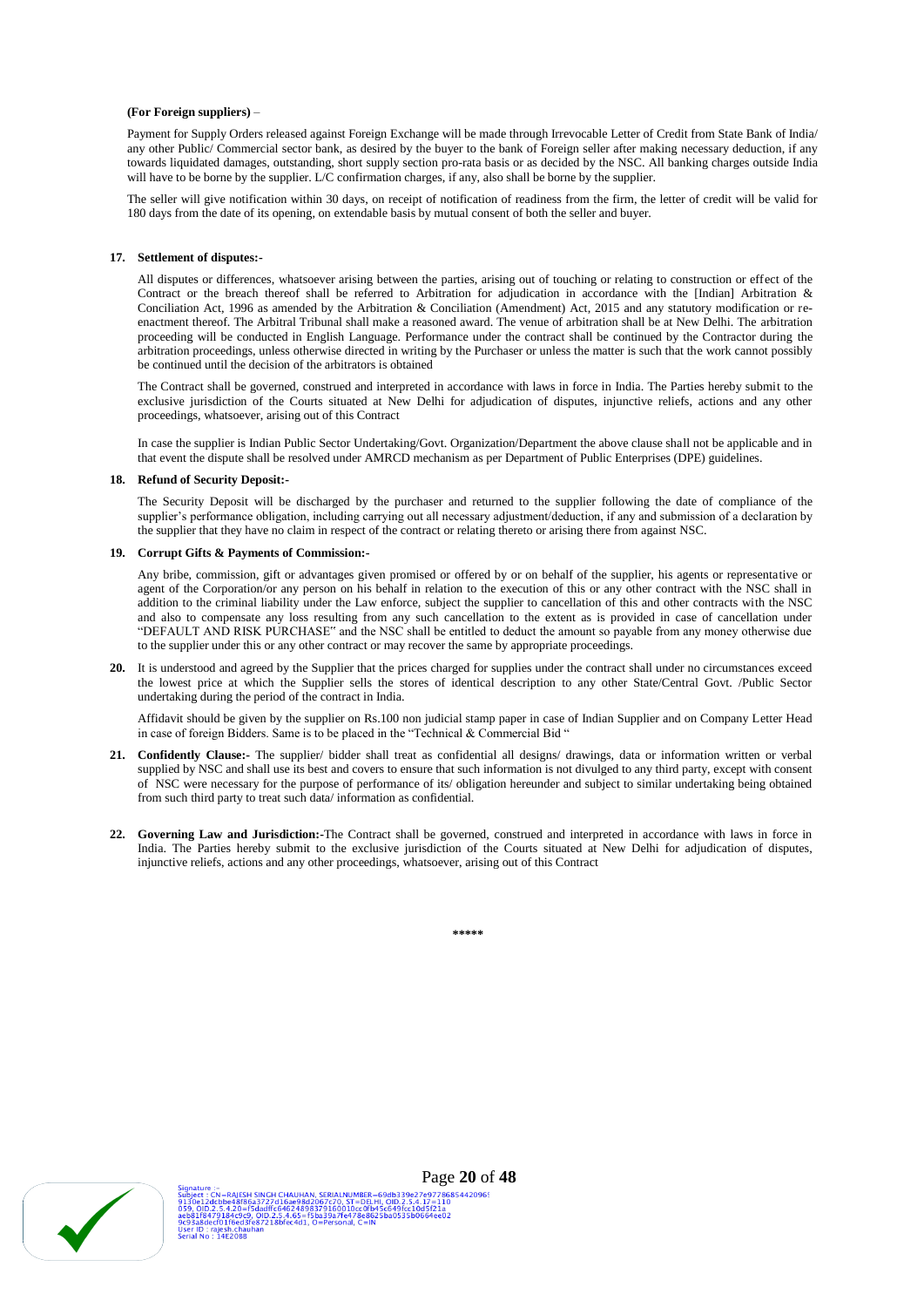#### **(For Foreign suppliers)** –

Payment for Supply Orders released against Foreign Exchange will be made through Irrevocable Letter of Credit from State Bank of India/ any other Public/ Commercial sector bank, as desired by the buyer to the bank of Foreign seller after making necessary deduction, if any towards liquidated damages, outstanding, short supply section pro-rata basis or as decided by the NSC. All banking charges outside India will have to be borne by the supplier. L/C confirmation charges, if any, also shall be borne by the supplier.

The seller will give notification within 30 days, on receipt of notification of readiness from the firm, the letter of credit will be valid for 180 days from the date of its opening, on extendable basis by mutual consent of both the seller and buyer.

#### **17. Settlement of disputes:-**

All disputes or differences, whatsoever arising between the parties, arising out of touching or relating to construction or effect of the Contract or the breach thereof shall be referred to Arbitration for adjudication in accordance with the [Indian] Arbitration & Conciliation Act, 1996 as amended by the Arbitration & Conciliation (Amendment) Act, 2015 and any statutory modification or reenactment thereof. The Arbitral Tribunal shall make a reasoned award. The venue of arbitration shall be at New Delhi. The arbitration proceeding will be conducted in English Language. Performance under the contract shall be continued by the Contractor during the arbitration proceedings, unless otherwise directed in writing by the Purchaser or unless the matter is such that the work cannot possibly be continued until the decision of the arbitrators is obtained

The Contract shall be governed, construed and interpreted in accordance with laws in force in India. The Parties hereby submit to the exclusive jurisdiction of the Courts situated at New Delhi for adjudication of disputes, injunctive reliefs, actions and any other proceedings, whatsoever, arising out of this Contract

In case the supplier is Indian Public Sector Undertaking/Govt. Organization/Department the above clause shall not be applicable and in that event the dispute shall be resolved under AMRCD mechanism as per Department of Public Enterprises (DPE) guidelines.

#### **18. Refund of Security Deposit:-**

The Security Deposit will be discharged by the purchaser and returned to the supplier following the date of compliance of the supplier's performance obligation, including carrying out all necessary adjustment/deduction, if any and submission of a declaration by the supplier that they have no claim in respect of the contract or relating thereto or arising there from against NSC.

#### **19. Corrupt Gifts & Payments of Commission:-**

Any bribe, commission, gift or advantages given promised or offered by or on behalf of the supplier, his agents or representative or agent of the Corporation/or any person on his behalf in relation to the execution of this or any other contract with the NSC shall in addition to the criminal liability under the Law enforce, subject the supplier to cancellation of this and other contracts with the NSC and also to compensate any loss resulting from any such cancellation to the extent as is provided in case of cancellation under "DEFAULT AND RISK PURCHASE" and the NSC shall be entitled to deduct the amount so payable from any money otherwise due to the supplier under this or any other contract or may recover the same by appropriate proceedings.

**20.** It is understood and agreed by the Supplier that the prices charged for supplies under the contract shall under no circumstances exceed the lowest price at which the Supplier sells the stores of identical description to any other State/Central Govt. /Public Sector undertaking during the period of the contract in India.

Affidavit should be given by the supplier on Rs.100 non judicial stamp paper in case of Indian Supplier and on Company Letter Head in case of foreign Bidders. Same is to be placed in the "Technical & Commercial Bid "

- **21. Confidently Clause:-** The supplier/ bidder shall treat as confidential all designs/ drawings, data or information written or verbal supplied by NSC and shall use its best and covers to ensure that such information is not divulged to any third party, except with consent of NSC were necessary for the purpose of performance of its/ obligation hereunder and subject to similar undertaking being obtained from such third party to treat such data/ information as confidential.
- **22. Governing Law and Jurisdiction:-**The Contract shall be governed, construed and interpreted in accordance with laws in force in India. The Parties hereby submit to the exclusive jurisdiction of the Courts situated at New Delhi for adjudication of disputes, injunctive reliefs, actions and any other proceedings, whatsoever, arising out of this Contract

| مالد مالد مالد مالد مالد<br>m |
|-------------------------------|
|                               |

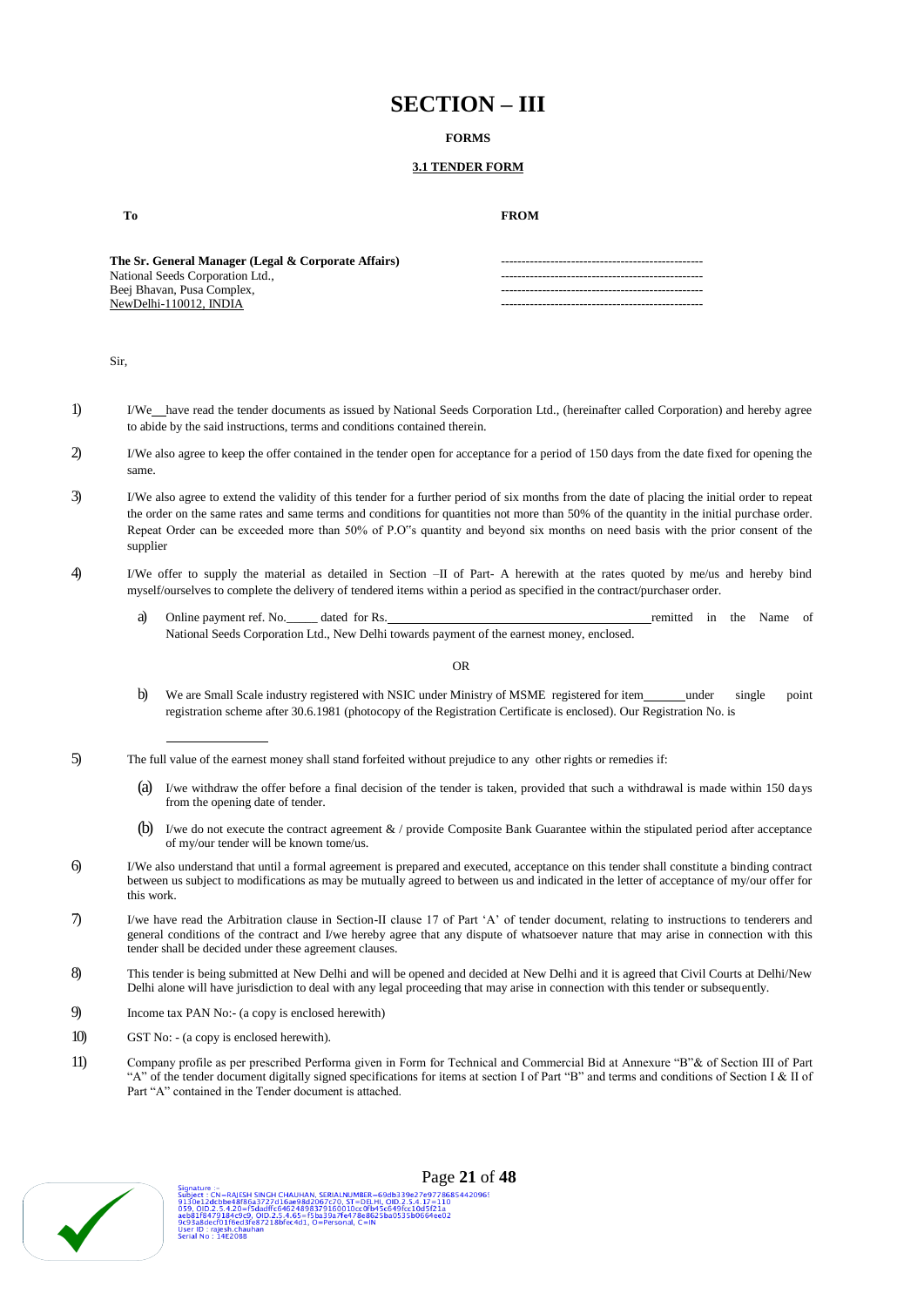# **SECTION – III**

### **FORMS**

## **3.1 TENDER FORM**

**To FROM**

**The Sr. General Manager (Legal & Corporate Affairs)** National Seeds Corporation Ltd., Beej Bhavan, Pusa Complex, NewDelhi-110012, INDIA

Sir,

- 1) I/We have read the tender documents as issued by National Seeds Corporation Ltd., (hereinafter called Corporation) and hereby agree to abide by the said instructions, terms and conditions contained therein.
- 2) I/We also agree to keep the offer contained in the tender open for acceptance for a period of 150 days from the date fixed for opening the same.
- 3) I/We also agree to extend the validity of this tender for a further period of six months from the date of placing the initial order to repeat the order on the same rates and same terms and conditions for quantities not more than 50% of the quantity in the initial purchase order. Repeat Order can be exceeded more than 50% of P.O"s quantity and beyond six months on need basis with the prior consent of the supplier
- 4) I/We offer to supply the material as detailed in Section –II of Part- A herewith at the rates quoted by me/us and hereby bind myself/ourselves to complete the delivery of tendered items within a period as specified in the contract/purchaser order.
	- a) Online payment ref. No. dated for Rs. The Mass of the Name of the Name of the Name of National Seeds Corporation Ltd., New Delhi towards payment of the earnest money, enclosed.

OR

- b) We are Small Scale industry registered with NSIC under Ministry of MSME registered for item\_\_\_\_\_under single point registration scheme after 30.6.1981 (photocopy of the Registration Certificate is enclosed). Our Registration No. is
- 5) The full value of the earnest money shall stand forfeited without prejudice to any other rights or remedies if:
	- (a) I/we withdraw the offer before a final decision of the tender is taken, provided that such a withdrawal is made within 150 days from the opening date of tender.
	- (b) I/we do not execute the contract agreement  $\&$  / provide Composite Bank Guarantee within the stipulated period after acceptance of my/our tender will be known tome/us.
- 6) I/We also understand that until a formal agreement is prepared and executed, acceptance on this tender shall constitute a binding contract between us subject to modifications as may be mutually agreed to between us and indicated in the letter of acceptance of my/our offer for this work.
- 7) I/we have read the Arbitration clause in Section-II clause 17 of Part 'A' of tender document, relating to instructions to tenderers and general conditions of the contract and I/we hereby agree that any dispute of whatsoever nature that may arise in connection with this tender shall be decided under these agreement clauses.
- 8) This tender is being submitted at New Delhi and will be opened and decided at New Delhi and it is agreed that Civil Courts at Delhi/New Delhi alone will have jurisdiction to deal with any legal proceeding that may arise in connection with this tender or subsequently.
- 9) Income tax PAN No:- (a copy is enclosed herewith)
- 10) GST No: (a copy is enclosed herewith).
- 11) Company profile as per prescribed Performa given in Form for Technical and Commercial Bid at Annexure "B"& of Section III of Part "A" of the tender document digitally signed specifications for items at section I of Part "B" and terms and conditions of Section I & II of Part "A" contained in the Tender document is attached.



e :<br>CN=RAISSH SINGH CHAUHAN, SERIALNUMBER=69db339e27e97786854420965<br>!dcbbe48f86a3727d16ae98d2067c70, ST=DELHI, OID.2.5.4.17=110<br>2.2.5.4.20=f5dadft.64624898379160010cc0fb45c649fcc10d5f21a<br>ecf01f6ed3fe872.18bfec4d1, O=Person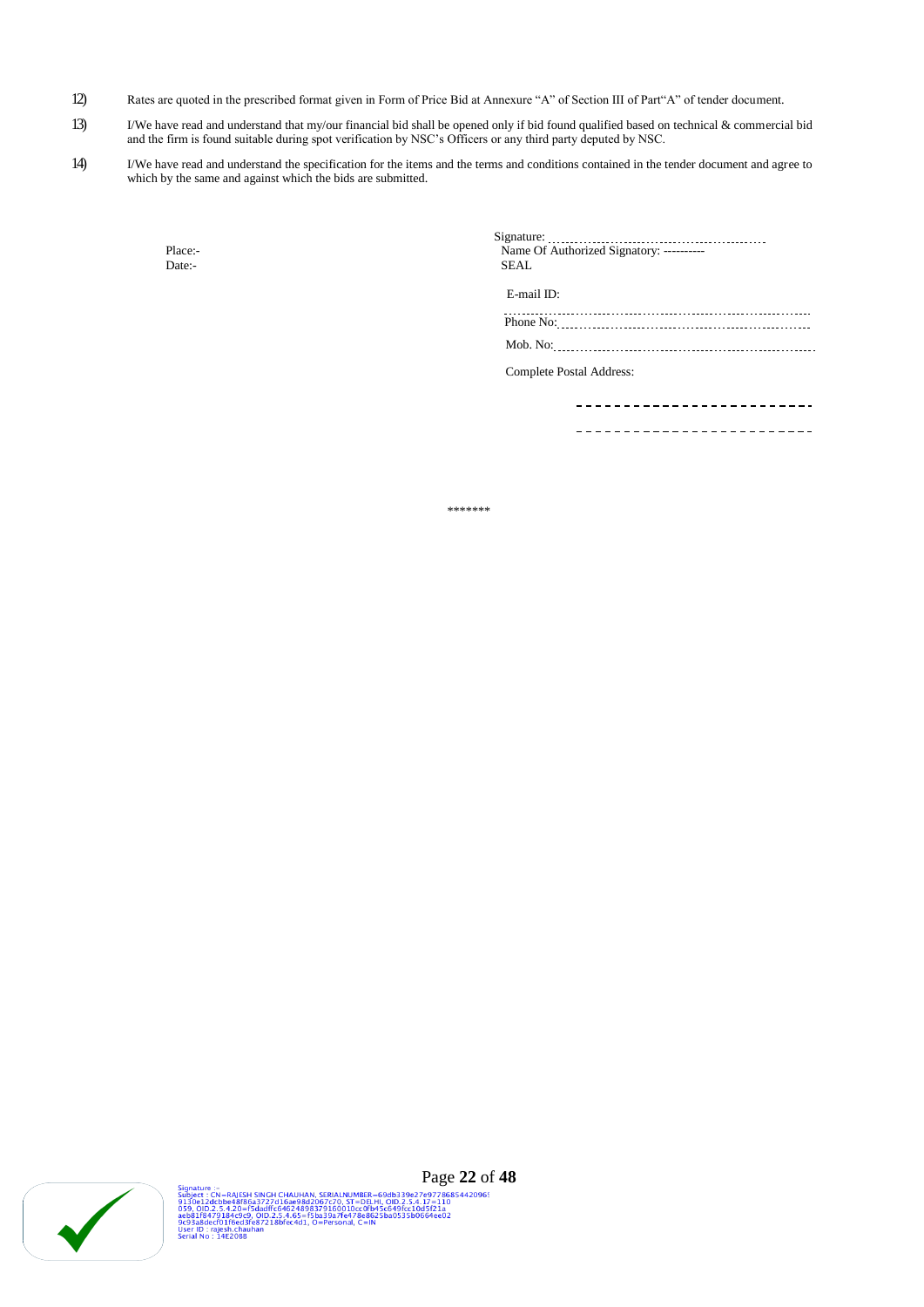- 12) Rates are quoted in the prescribed format given in Form of Price Bid at Annexure "A" of Section III of Part"A" of tender document.
- 13) I/We have read and understand that my/our financial bid shall be opened only if bid found qualified based on technical & commercial bid and the firm is found suitable during spot verification by NSC's Officers or any third party deputed by NSC.
- 14) I/We have read and understand the specification for the items and the terms and conditions contained in the tender document and agree to which by the same and against which the bids are submitted.

| Place:- | Name Of Authorized Signatory: ---------- |
|---------|------------------------------------------|
| Date:-  | <b>SEAL</b>                              |
|         | E-mail ID:                               |
|         |                                          |
|         |                                          |
|         | Complete Postal Address:                 |
|         |                                          |
|         |                                          |

----------------------

\*\*\*\*\*\*\*

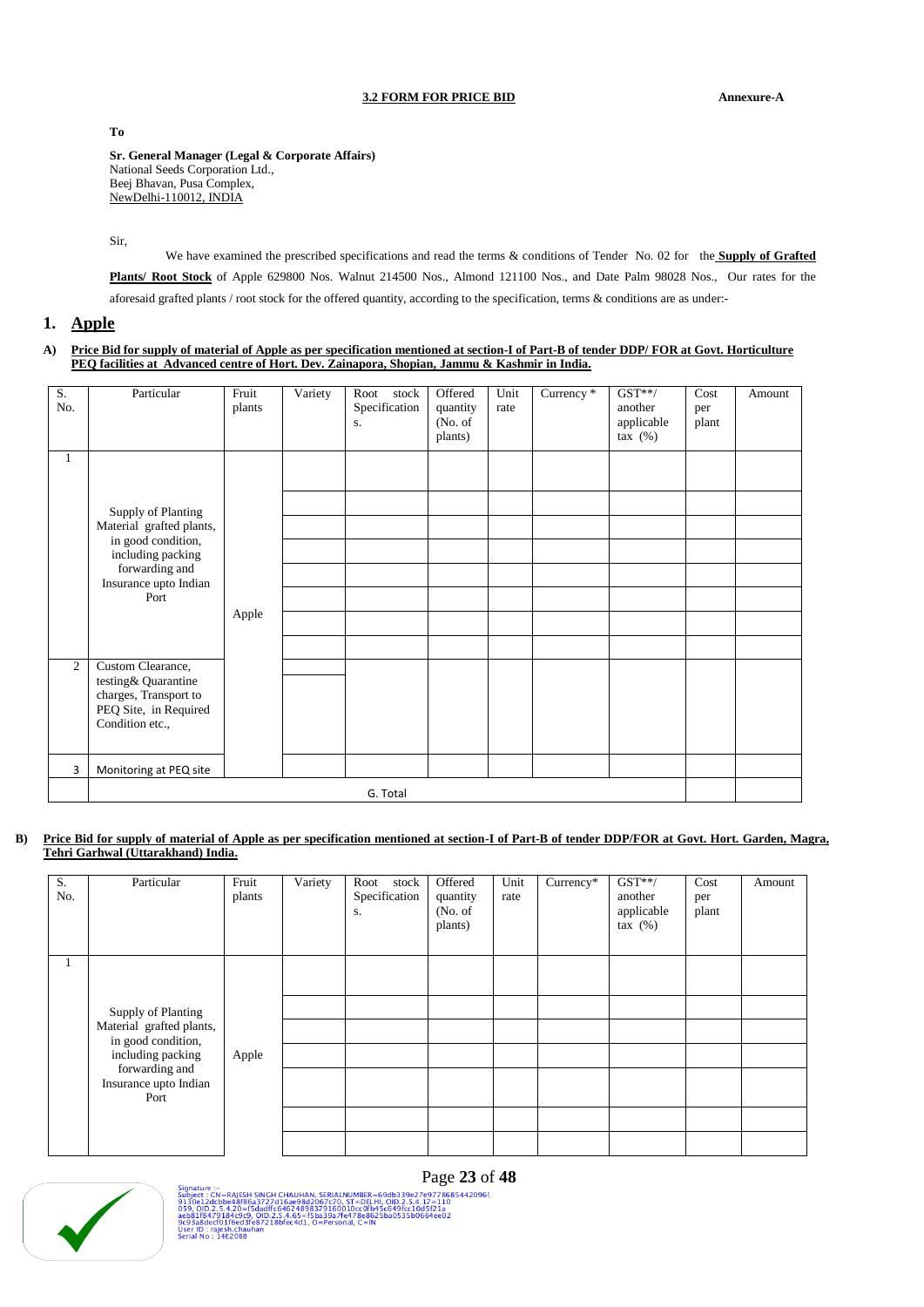## **3.2 FORM FOR PRICE BID Annexure-A**

**To**

**Sr. General Manager (Legal & Corporate Affairs)** National Seeds Corporation Ltd., Beej Bhavan, Pusa Complex, NewDelhi-110012, INDIA

Sir,

We have examined the prescribed specifications and read the terms & conditions of Tender No. 02 for the **Supply of Grafted Plants/ Root Stock** of Apple 629800 Nos. Walnut 214500 Nos., Almond 121100 Nos., and Date Palm 98028 Nos., Our rates for the aforesaid grafted plants / root stock for the offered quantity, according to the specification, terms & conditions are as under:-

# **1. Apple**

**A) Price Bid for supply of material of Apple as per specification mentioned at section-I of Part-B of tender DDP/ FOR at Govt. Horticulture PEQ facilities at Advanced centre of Hort. Dev. Zainapora, Shopian, Jammu & Kashmir in India.**

| S.<br>No.      | Particular                               | Fruit<br>plants | Variety | Root<br>stock<br>Specification<br>S. | Offered<br>quantity<br>(No. of)<br>plants) | Unit<br>rate | Currency * | $GST**/$<br>another<br>applicable<br>tax $(\%)$ | Cost<br>per<br>plant | Amount |  |
|----------------|------------------------------------------|-----------------|---------|--------------------------------------|--------------------------------------------|--------------|------------|-------------------------------------------------|----------------------|--------|--|
| $\mathbf{1}$   |                                          |                 |         |                                      |                                            |              |            |                                                 |                      |        |  |
|                | Supply of Planting                       |                 |         |                                      |                                            |              |            |                                                 |                      |        |  |
|                | Material grafted plants,                 |                 |         |                                      |                                            |              |            |                                                 |                      |        |  |
|                | in good condition,<br>including packing  |                 |         |                                      |                                            |              |            |                                                 |                      |        |  |
|                | forwarding and<br>Insurance upto Indian  |                 |         |                                      |                                            |              |            |                                                 |                      |        |  |
|                | Port                                     |                 |         |                                      |                                            |              |            |                                                 |                      |        |  |
|                |                                          | Apple           |         |                                      |                                            |              |            |                                                 |                      |        |  |
|                |                                          |                 |         |                                      |                                            |              |            |                                                 |                      |        |  |
| $\overline{c}$ | Custom Clearance,<br>testing& Quarantine |                 |         |                                      |                                            |              |            |                                                 |                      |        |  |
|                | charges, Transport to                    |                 |         |                                      |                                            |              |            |                                                 |                      |        |  |
|                | PEQ Site, in Required<br>Condition etc., |                 |         |                                      |                                            |              |            |                                                 |                      |        |  |
|                |                                          |                 |         |                                      |                                            |              |            |                                                 |                      |        |  |
| 3              | Monitoring at PEQ site                   |                 |         |                                      |                                            |              |            |                                                 |                      |        |  |
|                | G. Total                                 |                 |         |                                      |                                            |              |            |                                                 |                      |        |  |

## **B) Price Bid for supply of material of Apple as per specification mentioned at section-I of Part-B of tender DDP/FOR at Govt. Hort. Garden, Magra, Tehri Garhwal (Uttarakhand) India.**

| S.<br>No.    | Particular                                                                                                                                   | Fruit<br>plants | Variety | Root stock<br>Specification<br>S. | Offered<br>quantity<br>(No. of<br>plants) | Unit<br>rate | Currency* | $GST**/$<br>another<br>applicable<br>tax $(%)$ | Cost<br>per<br>plant | Amount |
|--------------|----------------------------------------------------------------------------------------------------------------------------------------------|-----------------|---------|-----------------------------------|-------------------------------------------|--------------|-----------|------------------------------------------------|----------------------|--------|
| $\mathbf{I}$ | Supply of Planting<br>Material grafted plants,<br>in good condition,<br>including packing<br>forwarding and<br>Insurance upto Indian<br>Port | Apple           |         |                                   |                                           |              |           |                                                |                      |        |



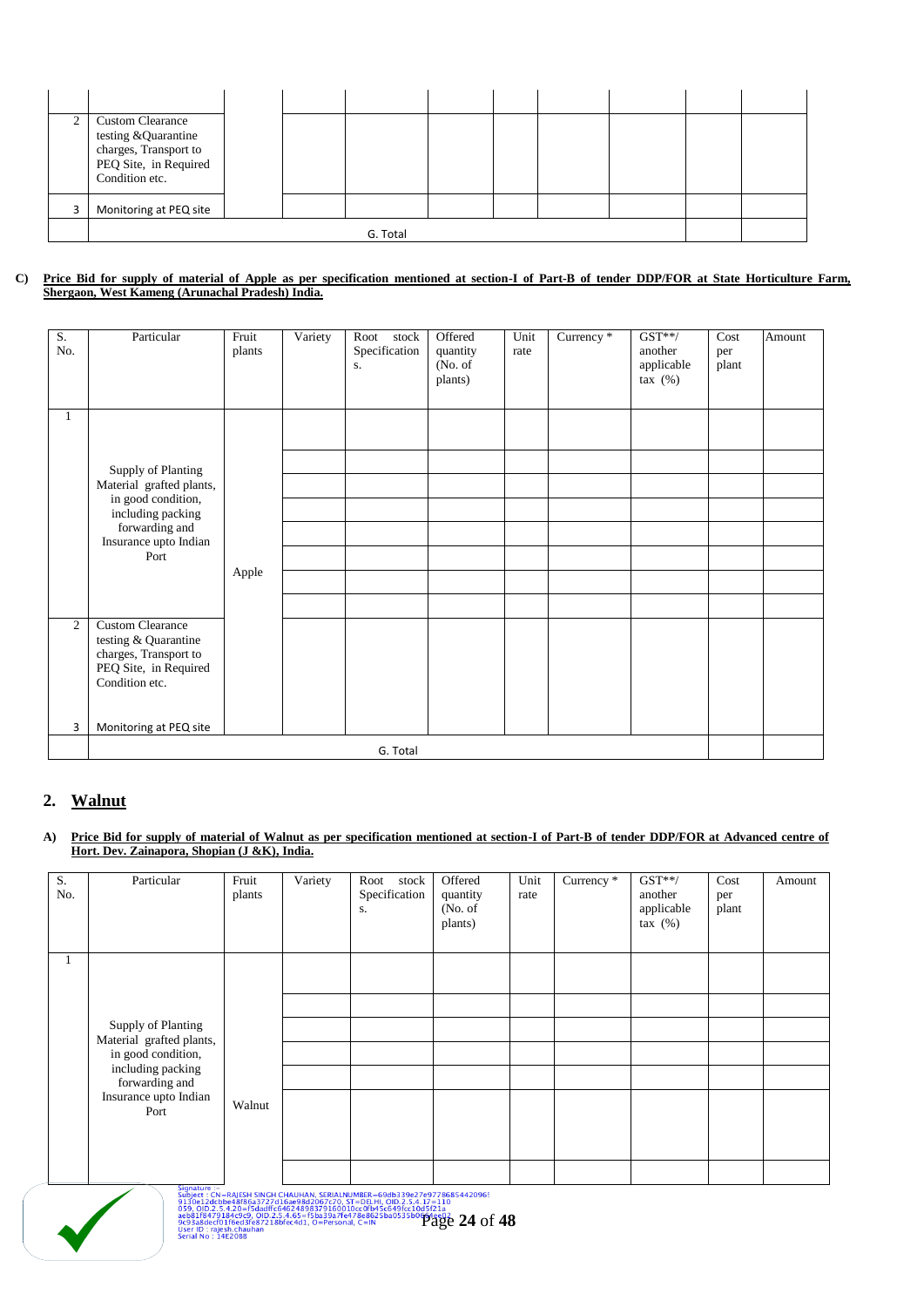| <b>Custom Clearance</b><br>testing &Quarantine<br>charges, Transport to<br>PEQ Site, in Required<br>Condition etc. |  |  |  |  |  |
|--------------------------------------------------------------------------------------------------------------------|--|--|--|--|--|
| Monitoring at PEQ site                                                                                             |  |  |  |  |  |
|                                                                                                                    |  |  |  |  |  |

#### **C) Price Bid for supply of material of Apple as per specification mentioned at section-I of Part-B of tender DDP/FOR at State Horticulture Farm, Shergaon, West Kameng (Arunachal Pradesh) India.**

| S.<br>No.      | Particular                                                                                        | Fruit<br>plants | Variety | Root<br>stock<br>Specification<br>S. | Offered<br>quantity<br>(No. of<br>plants) | Unit<br>rate | Currency <sup>*</sup> | $GST**/$<br>another<br>applicable<br>tax $(\%)$ | Cost<br>per<br>plant | Amount |
|----------------|---------------------------------------------------------------------------------------------------|-----------------|---------|--------------------------------------|-------------------------------------------|--------------|-----------------------|-------------------------------------------------|----------------------|--------|
| $\mathbf{1}$   |                                                                                                   |                 |         |                                      |                                           |              |                       |                                                 |                      |        |
|                | Supply of Planting<br>Material grafted plants,                                                    |                 |         |                                      |                                           |              |                       |                                                 |                      |        |
|                | in good condition,<br>including packing                                                           |                 |         |                                      |                                           |              |                       |                                                 |                      |        |
|                | forwarding and<br>Insurance upto Indian                                                           |                 |         |                                      |                                           |              |                       |                                                 |                      |        |
|                | Port                                                                                              |                 |         |                                      |                                           |              |                       |                                                 |                      |        |
|                |                                                                                                   | Apple           |         |                                      |                                           |              |                       |                                                 |                      |        |
|                |                                                                                                   |                 |         |                                      |                                           |              |                       |                                                 |                      |        |
| $\overline{2}$ | <b>Custom Clearance</b><br>testing & Quarantine<br>charges, Transport to<br>PEQ Site, in Required |                 |         |                                      |                                           |              |                       |                                                 |                      |        |
|                | Condition etc.                                                                                    |                 |         |                                      |                                           |              |                       |                                                 |                      |        |
| $\overline{3}$ | Monitoring at PEQ site                                                                            |                 |         |                                      |                                           |              |                       |                                                 |                      |        |
|                |                                                                                                   |                 |         | G. Total                             |                                           |              |                       |                                                 |                      |        |

# **2. Walnut**

**A) Price Bid for supply of material of Walnut as per specification mentioned at section-I of Part-B of tender DDP/FOR at Advanced centre of Hort. Dev. Zainapora, Shopian (J &K), India.**

| S.<br>No. | Particular                                     | Fruit<br>plants | Variety | stock<br>Root<br>Specification<br>S. | Offered<br>quantity<br>(No. of<br>plants) | Unit<br>rate | Currency $*$ | $GST**/$<br>another<br>applicable<br>$\text{tax}(%)$ | Cost<br>per<br>plant | Amount |
|-----------|------------------------------------------------|-----------------|---------|--------------------------------------|-------------------------------------------|--------------|--------------|------------------------------------------------------|----------------------|--------|
|           |                                                |                 |         |                                      |                                           |              |              |                                                      |                      |        |
|           |                                                |                 |         |                                      |                                           |              |              |                                                      |                      |        |
|           | Supply of Planting<br>Material grafted plants, |                 |         |                                      |                                           |              |              |                                                      |                      |        |
|           | in good condition,                             |                 |         |                                      |                                           |              |              |                                                      |                      |        |
|           | including packing<br>forwarding and            |                 |         |                                      |                                           |              |              |                                                      |                      |        |
|           | Insurance upto Indian<br>Port                  | Walnut          |         |                                      |                                           |              |              |                                                      |                      |        |
|           |                                                |                 |         |                                      |                                           |              |              |                                                      |                      |        |
|           |                                                |                 |         |                                      |                                           |              |              |                                                      |                      |        |



Signature :-<br>
2019et : CN=RAJESH SINGH CHAUHAN, SERIALNUMBER=69db339e27e97786854420965<br>
2130e12dcbbe48f86a3727d16ae98d2067c70, ST=DELHI, OID.2.5.4.17=110<br>
059, OID.2.5.4.20-F5dadffc646248983399160010cc0fb45c649fcc10d5f21a<br>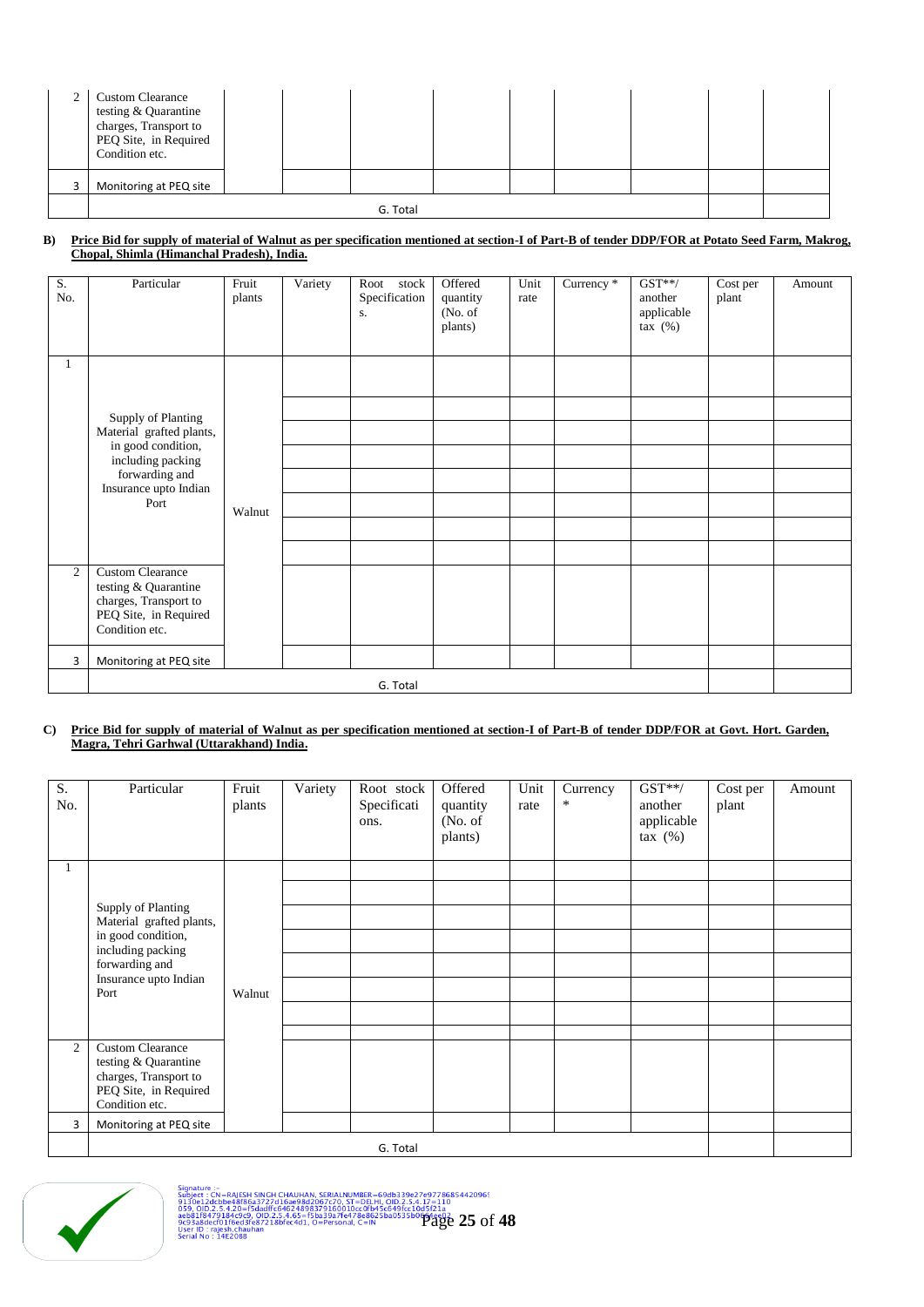| <b>Custom Clearance</b><br>testing & Quarantine<br>charges, Transport to<br>PEQ Site, in Required<br>Condition etc. |  |  |  |  |  |  |  |  |  |
|---------------------------------------------------------------------------------------------------------------------|--|--|--|--|--|--|--|--|--|
| Monitoring at PEQ site                                                                                              |  |  |  |  |  |  |  |  |  |
| G. Total                                                                                                            |  |  |  |  |  |  |  |  |  |

#### **B) Price Bid for supply of material of Walnut as per specification mentioned at section-I of Part-B of tender DDP/FOR at Potato Seed Farm, Makrog, Chopal, Shimla (Himanchal Pradesh), India.**

| S.<br>No. | Particular                                                                                                                                   | Fruit<br>plants | Variety | Root<br>stock<br>Specification<br>S. | Offered<br>quantity<br>(No. of<br>plants) | Unit<br>rate | Currency * | $GST**/$<br>another<br>applicable<br>tax $(\%)$ | Cost per<br>plant | Amount |
|-----------|----------------------------------------------------------------------------------------------------------------------------------------------|-----------------|---------|--------------------------------------|-------------------------------------------|--------------|------------|-------------------------------------------------|-------------------|--------|
| $\perp$   | Supply of Planting<br>Material grafted plants,<br>in good condition,<br>including packing<br>forwarding and<br>Insurance upto Indian<br>Port | Walnut          |         |                                      |                                           |              |            |                                                 |                   |        |
| 2         | <b>Custom Clearance</b><br>testing & Quarantine<br>charges, Transport to<br>PEQ Site, in Required<br>Condition etc.                          |                 |         |                                      |                                           |              |            |                                                 |                   |        |
| 3         | Monitoring at PEQ site                                                                                                                       |                 |         | G. Total                             |                                           |              |            |                                                 |                   |        |

#### **C) Price Bid for supply of material of Walnut as per specification mentioned at section-I of Part-B of tender DDP/FOR at Govt. Hort. Garden, Magra, Tehri Garhwal (Uttarakhand) India.**

| S.<br>No. | Particular                                      | Fruit<br>plants | Variety | Root stock<br>Specificati<br>ons. | Offered<br>quantity<br>(No. of<br>plants) | Unit<br>rate | Currency<br>$\ast$ | $GST**/$<br>another<br>applicable<br>$\text{tax}(%)$ | Cost per<br>plant | Amount |
|-----------|-------------------------------------------------|-----------------|---------|-----------------------------------|-------------------------------------------|--------------|--------------------|------------------------------------------------------|-------------------|--------|
|           |                                                 |                 |         |                                   |                                           |              |                    |                                                      |                   |        |
|           |                                                 |                 |         |                                   |                                           |              |                    |                                                      |                   |        |
|           | Supply of Planting<br>Material grafted plants,  |                 |         |                                   |                                           |              |                    |                                                      |                   |        |
|           | in good condition,                              |                 |         |                                   |                                           |              |                    |                                                      |                   |        |
|           | including packing<br>forwarding and             |                 |         |                                   |                                           |              |                    |                                                      |                   |        |
|           | Insurance upto Indian<br>Port                   | Walnut          |         |                                   |                                           |              |                    |                                                      |                   |        |
|           |                                                 |                 |         |                                   |                                           |              |                    |                                                      |                   |        |
|           |                                                 |                 |         |                                   |                                           |              |                    |                                                      |                   |        |
| 2         | <b>Custom Clearance</b><br>testing & Quarantine |                 |         |                                   |                                           |              |                    |                                                      |                   |        |
|           | charges, Transport to                           |                 |         |                                   |                                           |              |                    |                                                      |                   |        |
|           | PEQ Site, in Required<br>Condition etc.         |                 |         |                                   |                                           |              |                    |                                                      |                   |        |
| 3         | Monitoring at PEQ site                          |                 |         |                                   |                                           |              |                    |                                                      |                   |        |
|           |                                                 |                 |         |                                   |                                           |              |                    |                                                      |                   |        |



Signature :-<br>
Subject : GA-BAJESH SINGH CHAUHAN, SERIALNUMBER-69db339e27297786854420965<br>
9150611202b8e48186a3727d16ae98d2067c70, ST-DELHI, OD.2.5.4.17-110<br>
0698.118470.14.20-0.00011.64624898379160010cc01b45c649fcc10d5f21a<br>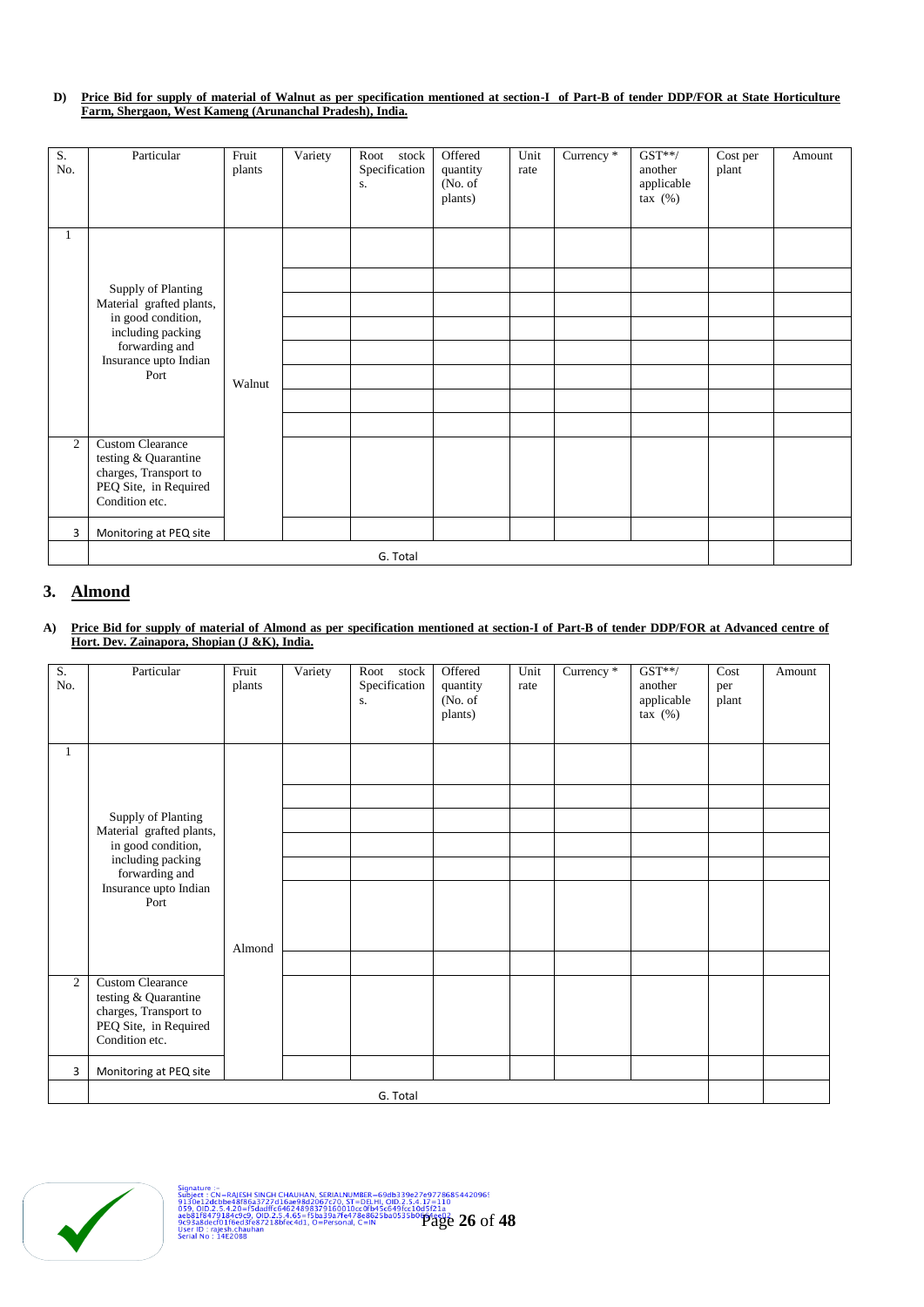## **D) Price Bid for supply of material of Walnut as per specification mentioned at section-I of Part-B of tender DDP/FOR at State Horticulture Farm, Shergaon, West Kameng (Arunanchal Pradesh), India.**

| S.<br>No.      | Particular                                                                                                          | Fruit<br>plants | Variety | Root<br>stock<br>Specification<br>S. | Offered<br>quantity<br>(No. of)<br>plants) | Unit<br>rate | Currency * | $GST**/$<br>another<br>applicable<br>tax $(\%)$ | Cost per<br>plant | Amount |
|----------------|---------------------------------------------------------------------------------------------------------------------|-----------------|---------|--------------------------------------|--------------------------------------------|--------------|------------|-------------------------------------------------|-------------------|--------|
| 1              | <b>Supply of Planting</b>                                                                                           |                 |         |                                      |                                            |              |            |                                                 |                   |        |
|                | Material grafted plants,<br>in good condition,<br>including packing<br>forwarding and<br>Insurance upto Indian      |                 |         |                                      |                                            |              |            |                                                 |                   |        |
|                | Port                                                                                                                | Walnut          |         |                                      |                                            |              |            |                                                 |                   |        |
|                |                                                                                                                     |                 |         |                                      |                                            |              |            |                                                 |                   |        |
| $\overline{2}$ | <b>Custom Clearance</b><br>testing & Quarantine<br>charges, Transport to<br>PEQ Site, in Required<br>Condition etc. |                 |         |                                      |                                            |              |            |                                                 |                   |        |
| 3              | Monitoring at PEQ site                                                                                              |                 |         |                                      |                                            |              |            |                                                 |                   |        |
|                | G. Total                                                                                                            |                 |         |                                      |                                            |              |            |                                                 |                   |        |

# **3. Almond**

#### **A) Price Bid for supply of material of Almond as per specification mentioned at section-I of Part-B of tender DDP/FOR at Advanced centre of Hort. Dev. Zainapora, Shopian (J &K), India.**

| S.<br>No. | Particular                                                               | Fruit<br>plants | Variety | stock<br>Root<br>Specification<br>S. | Offered<br>quantity<br>(No. of<br>plants) | Unit<br>rate | Currency * | $GST**/$<br>another<br>applicable<br>$\text{tax}(%)$ | Cost<br>per<br>plant | Amount |
|-----------|--------------------------------------------------------------------------|-----------------|---------|--------------------------------------|-------------------------------------------|--------------|------------|------------------------------------------------------|----------------------|--------|
| 1         |                                                                          |                 |         |                                      |                                           |              |            |                                                      |                      |        |
|           |                                                                          |                 |         |                                      |                                           |              |            |                                                      |                      |        |
|           | Supply of Planting                                                       |                 |         |                                      |                                           |              |            |                                                      |                      |        |
|           | Material grafted plants,<br>in good condition,                           |                 |         |                                      |                                           |              |            |                                                      |                      |        |
|           | including packing<br>forwarding and                                      |                 |         |                                      |                                           |              |            |                                                      |                      |        |
|           | Insurance upto Indian<br>Port                                            |                 |         |                                      |                                           |              |            |                                                      |                      |        |
|           |                                                                          |                 |         |                                      |                                           |              |            |                                                      |                      |        |
|           |                                                                          | Almond          |         |                                      |                                           |              |            |                                                      |                      |        |
|           |                                                                          |                 |         |                                      |                                           |              |            |                                                      |                      |        |
| 2         | <b>Custom Clearance</b><br>testing & Quarantine<br>charges, Transport to |                 |         |                                      |                                           |              |            |                                                      |                      |        |
|           | PEQ Site, in Required<br>Condition etc.                                  |                 |         |                                      |                                           |              |            |                                                      |                      |        |
| 3         | Monitoring at PEQ site                                                   |                 |         |                                      |                                           |              |            |                                                      |                      |        |
|           | G. Total                                                                 |                 |         |                                      |                                           |              |            |                                                      |                      |        |

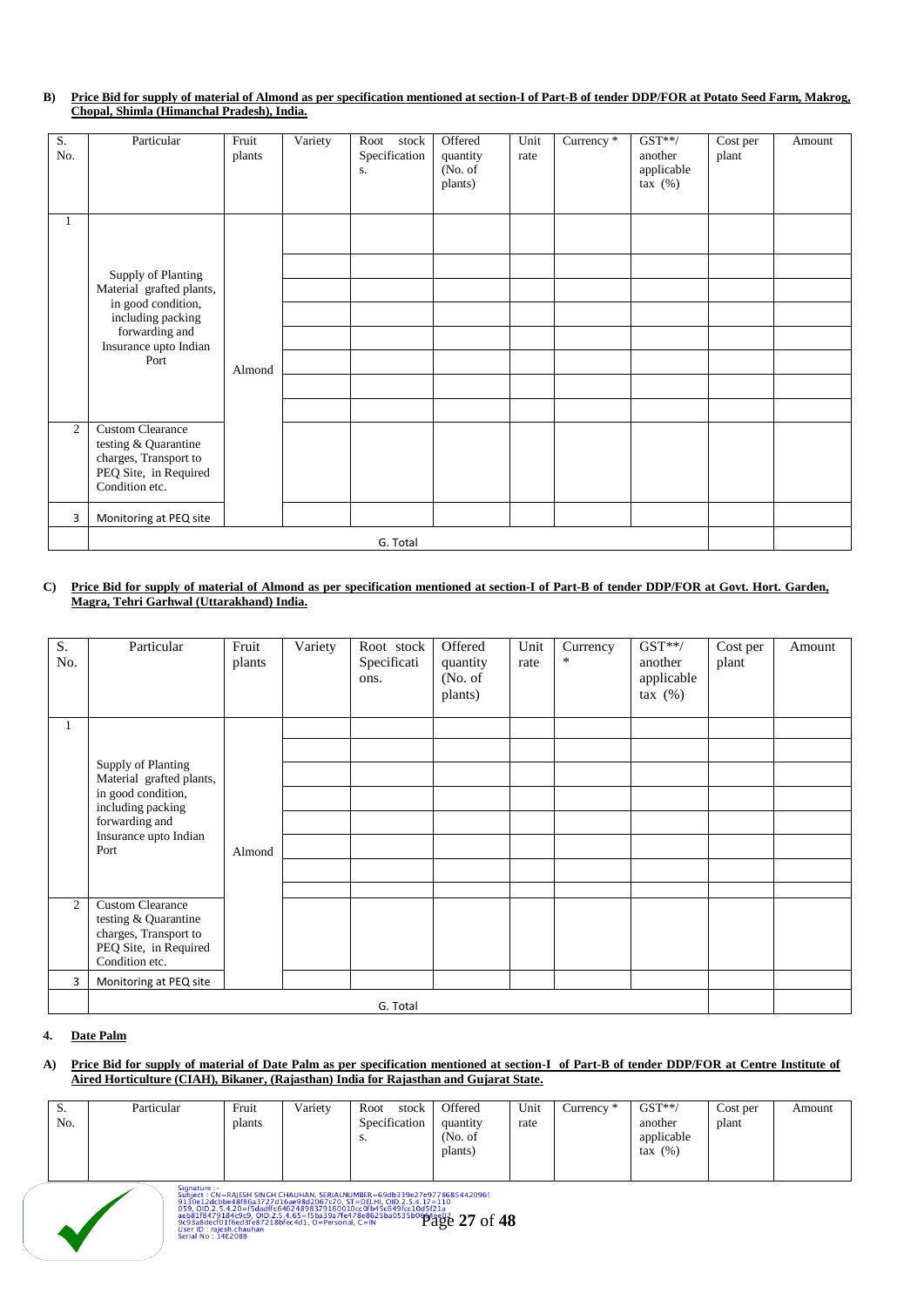## **B) Price Bid for supply of material of Almond as per specification mentioned at section-I of Part-B of tender DDP/FOR at Potato Seed Farm, Makrog, Chopal, Shimla (Himanchal Pradesh), India.**

| S.  | Particular                                      | Fruit  | Variety | Root<br>stock | Offered             | Unit | Currency * | $GST**/$                 | $\overline{\text{Cost}}$ per | Amount |
|-----|-------------------------------------------------|--------|---------|---------------|---------------------|------|------------|--------------------------|------------------------------|--------|
| No. |                                                 | plants |         | Specification | quantity            | rate |            | another                  | plant                        |        |
|     |                                                 |        |         | S.            | (No. of)<br>plants) |      |            | applicable<br>tax $(\%)$ |                              |        |
|     |                                                 |        |         |               |                     |      |            |                          |                              |        |
| 1   |                                                 |        |         |               |                     |      |            |                          |                              |        |
|     |                                                 |        |         |               |                     |      |            |                          |                              |        |
|     | Supply of Planting                              |        |         |               |                     |      |            |                          |                              |        |
|     | Material grafted plants,                        |        |         |               |                     |      |            |                          |                              |        |
|     | in good condition,<br>including packing         |        |         |               |                     |      |            |                          |                              |        |
|     | forwarding and<br>Insurance upto Indian         |        |         |               |                     |      |            |                          |                              |        |
|     | Port                                            | Almond |         |               |                     |      |            |                          |                              |        |
|     |                                                 |        |         |               |                     |      |            |                          |                              |        |
|     |                                                 |        |         |               |                     |      |            |                          |                              |        |
| 2   | <b>Custom Clearance</b><br>testing & Quarantine |        |         |               |                     |      |            |                          |                              |        |
|     | charges, Transport to                           |        |         |               |                     |      |            |                          |                              |        |
|     | PEQ Site, in Required<br>Condition etc.         |        |         |               |                     |      |            |                          |                              |        |
| 3   | Monitoring at PEQ site                          |        |         |               |                     |      |            |                          |                              |        |
|     | G. Total                                        |        |         |               |                     |      |            |                          |                              |        |

#### **C) Price Bid for supply of material of Almond as per specification mentioned at section-I of Part-B of tender DDP/FOR at Govt. Hort. Garden, Magra, Tehri Garhwal (Uttarakhand) India.**

| S.<br>No.      | Particular                                      | Fruit<br>plants | Variety | Root stock<br>Specificati<br>ons. | Offered<br>quantity<br>(No. of<br>plants) | Unit<br>rate | Currency<br>$\ast$ | $GST**/$<br>another<br>applicable<br>$\text{tax}(%)$ | Cost per<br>plant | Amount |
|----------------|-------------------------------------------------|-----------------|---------|-----------------------------------|-------------------------------------------|--------------|--------------------|------------------------------------------------------|-------------------|--------|
| 1              |                                                 |                 |         |                                   |                                           |              |                    |                                                      |                   |        |
|                |                                                 |                 |         |                                   |                                           |              |                    |                                                      |                   |        |
|                | Supply of Planting<br>Material grafted plants,  |                 |         |                                   |                                           |              |                    |                                                      |                   |        |
|                | in good condition,<br>including packing         |                 |         |                                   |                                           |              |                    |                                                      |                   |        |
|                | forwarding and                                  |                 |         |                                   |                                           |              |                    |                                                      |                   |        |
|                | Insurance upto Indian<br>Port                   | Almond          |         |                                   |                                           |              |                    |                                                      |                   |        |
|                |                                                 |                 |         |                                   |                                           |              |                    |                                                      |                   |        |
|                |                                                 |                 |         |                                   |                                           |              |                    |                                                      |                   |        |
| $\overline{c}$ | <b>Custom Clearance</b><br>testing & Quarantine |                 |         |                                   |                                           |              |                    |                                                      |                   |        |
|                | charges, Transport to                           |                 |         |                                   |                                           |              |                    |                                                      |                   |        |
|                | PEQ Site, in Required<br>Condition etc.         |                 |         |                                   |                                           |              |                    |                                                      |                   |        |
|                |                                                 |                 |         |                                   |                                           |              |                    |                                                      |                   |        |
| 3              | Monitoring at PEQ site                          |                 |         |                                   |                                           |              |                    |                                                      |                   |        |
|                |                                                 |                 |         | G. Total                          |                                           |              |                    |                                                      |                   |        |

## **4. Date Palm**

 $\bigvee$ 

#### **A) Price Bid for supply of material of Date Palm as per specification mentioned at section-I of Part-B of tender DDP/FOR at Centre Institute of Aired Horticulture (CIAH), Bikaner, (Rajasthan) India for Rajasthan and Gujarat State.**

| ۰.<br>No. | Particular | Fruit<br>plants | Variety | Root<br>stock<br>Specification<br>э. | Offered<br>quantity<br>(No. of<br>plants) | Unit<br>rate | $Currence$ <sup>*</sup> | $GST**/$<br>another<br>applicable<br>$\text{tax}(%)$ | Cost per<br>plant | Amount |
|-----------|------------|-----------------|---------|--------------------------------------|-------------------------------------------|--------------|-------------------------|------------------------------------------------------|-------------------|--------|
|-----------|------------|-----------------|---------|--------------------------------------|-------------------------------------------|--------------|-------------------------|------------------------------------------------------|-------------------|--------|

Signature C<sub>1</sub> = RAJESH SINGH CHAUHAN, SERIALNUMBER = 69db339e27e97786854420965<br>Subject : Gtobse-18786a3727d16ae98d2067c70, ST = DELHI, OD.2:5.4.17-110<br>0598.118470.14.20=0.00011:6-4624898379160010cc01b45c649fcc10d5721a<br>069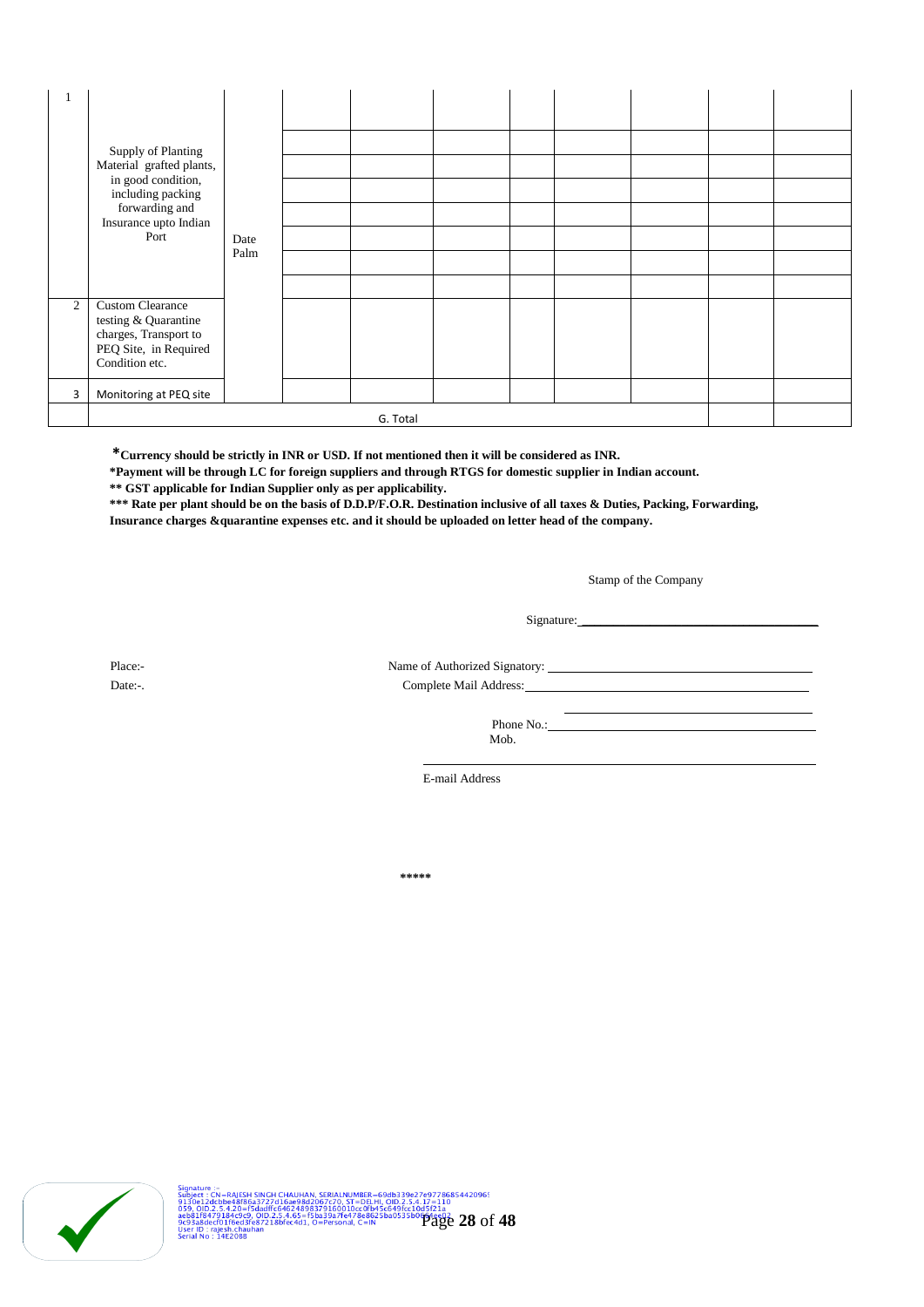|              | Supply of Planting                                                                                                  |      |  |  |  |  |  |  |  |
|--------------|---------------------------------------------------------------------------------------------------------------------|------|--|--|--|--|--|--|--|
|              |                                                                                                                     |      |  |  |  |  |  |  |  |
|              | Material grafted plants,<br>in good condition,                                                                      |      |  |  |  |  |  |  |  |
|              | including packing                                                                                                   |      |  |  |  |  |  |  |  |
|              | forwarding and<br>Insurance upto Indian                                                                             |      |  |  |  |  |  |  |  |
|              | Port                                                                                                                | Date |  |  |  |  |  |  |  |
|              |                                                                                                                     | Palm |  |  |  |  |  |  |  |
|              |                                                                                                                     |      |  |  |  |  |  |  |  |
| $\mathbf{2}$ | <b>Custom Clearance</b><br>testing & Quarantine<br>charges, Transport to<br>PEQ Site, in Required<br>Condition etc. |      |  |  |  |  |  |  |  |
| 3            | Monitoring at PEQ site                                                                                              |      |  |  |  |  |  |  |  |
|              | G. Total                                                                                                            |      |  |  |  |  |  |  |  |

 **\*Currency should be strictly in INR or USD. If not mentioned then it will be considered as INR.** 

**\*Payment will be through LC for foreign suppliers and through RTGS for domestic supplier in Indian account.**

**\*\* GST applicable for Indian Supplier only as per applicability.**

**\*\*\* Rate per plant should be on the basis of D.D.P/F.O.R. Destination inclusive of all taxes & Duties, Packing, Forwarding, Insurance charges &quarantine expenses etc. and it should be uploaded on letter head of the company.** 

Stamp of the Company

Signature:

Place:- Name of Authorized Signatory:

Date:-. Complete Mail Address:

Phone No.: Mob.

E-mail Address

**\*\*\*\*\***

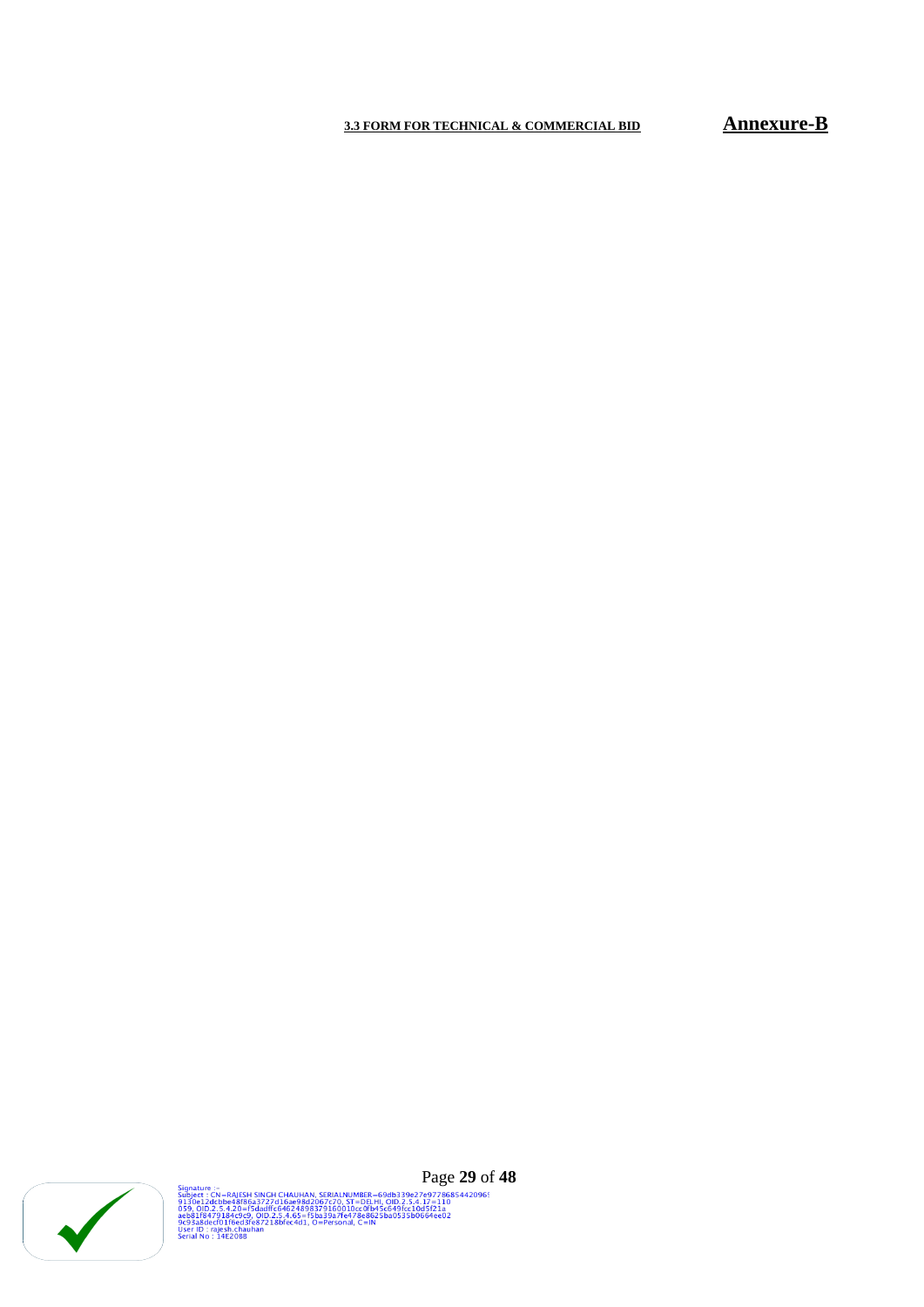# **3.3 FORM FOR TECHNICAL & COMMERCIAL BID Annexure-B**



Signature :-<br>Subject : CN=RAJESH SINGH CHAUHAN, SERIALNUMBER=69db339e27e97786854420965<br>9130e12dcbbe48f86a3727d16ae98d2067c70, ST=DELHI, OID.2.5.4.17=110<br>059, OID.2.5.4.20=f5dadffc64624898379160010cc0fb45c649fcc10d5f21a<br>059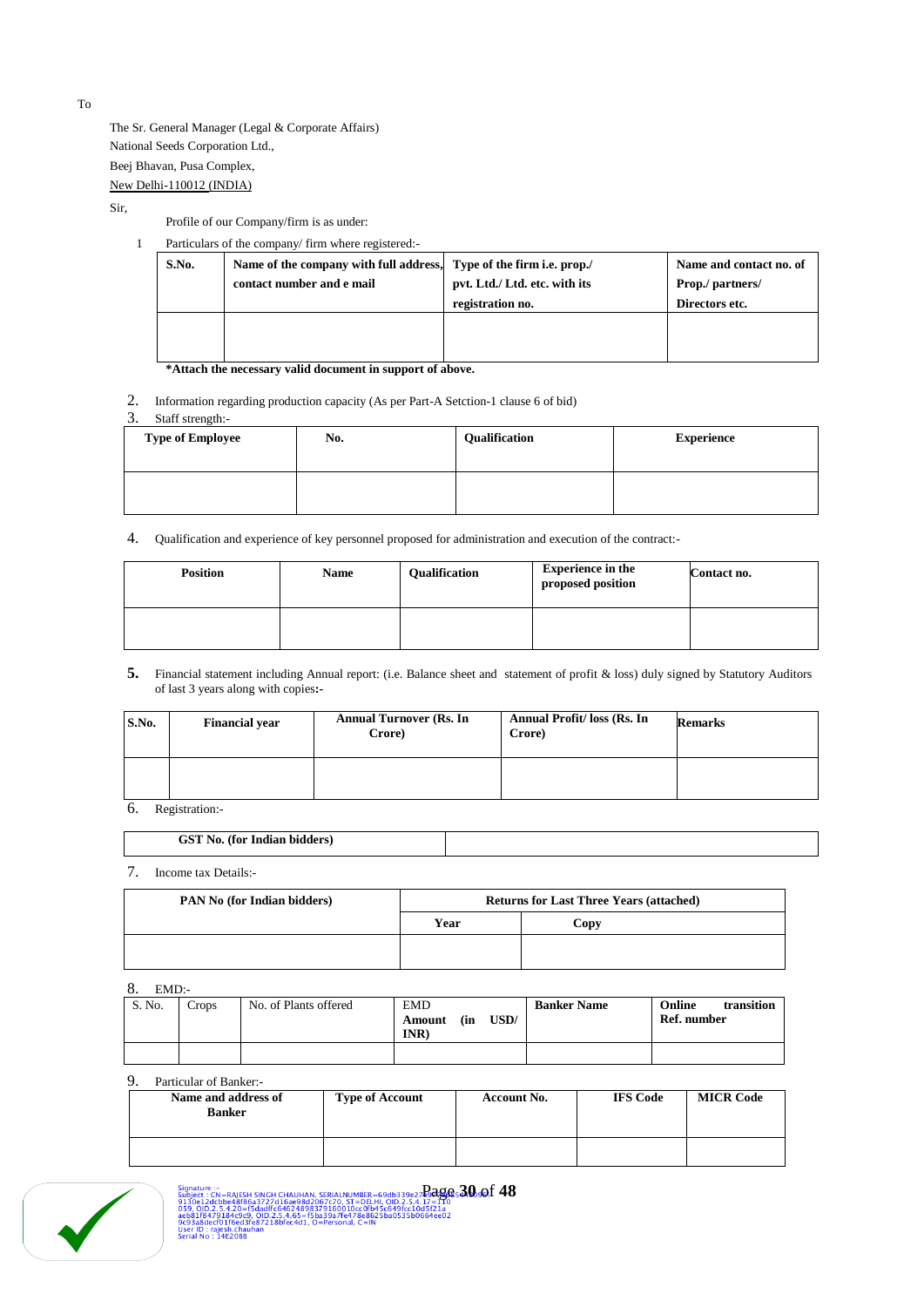The Sr. General Manager (Legal & Corporate Affairs) National Seeds Corporation Ltd., Beej Bhavan, Pusa Complex, New Delhi-110012 (INDIA)

Sir,

Profile of our Company/firm is as under:

|       | Particulars of the company/firm where registered:                   |                               |                         |  |
|-------|---------------------------------------------------------------------|-------------------------------|-------------------------|--|
| S.No. | Name of the company with full address, Type of the firm i.e. prop./ |                               | Name and contact no. of |  |
|       | contact number and e mail                                           | pvt. Ltd./ Ltd. etc. with its | Prop./ partners/        |  |
|       |                                                                     | registration no.              | Directors etc.          |  |
|       |                                                                     |                               |                         |  |
|       |                                                                     |                               |                         |  |
|       |                                                                     |                               |                         |  |

**\*Attach the necessary valid document in support of above.**

2. Information regarding production capacity (As per Part-A Setction-1 clause 6 of bid)<br>3. Staff strength:-

#### Staff strength:-

| <b>Type of Employee</b> | No. | Qualification | <b>Experience</b> |
|-------------------------|-----|---------------|-------------------|
|                         |     |               |                   |

4. Qualification and experience of key personnel proposed for administration and execution of the contract:-

| <b>Position</b> | <b>Name</b> | Qualification | <b>Experience in the</b><br>proposed position | Contact no. |
|-----------------|-------------|---------------|-----------------------------------------------|-------------|
|                 |             |               |                                               |             |

**5.** Financial statement including Annual report: (i.e. Balance sheet and statement of profit & loss) duly signed by Statutory Auditors of last 3 years along with copies**:-**

| S.No. | <b>Financial year</b> | <b>Annual Turnover (Rs. In</b><br>Crore) | Annual Profit/ loss (Rs. In<br>Crore) | <b>Remarks</b> |
|-------|-----------------------|------------------------------------------|---------------------------------------|----------------|
|       |                       |                                          |                                       |                |

6. Registration:-

| <b>CONTRACT</b><br>NO.<br><br>няі<br>. |  |
|----------------------------------------|--|
|                                        |  |

7. Income tax Details:-

| PAN No (for Indian bidders) | <b>Returns for Last Three Years (attached)</b> |      |  |  |
|-----------------------------|------------------------------------------------|------|--|--|
|                             | Year                                           | Copy |  |  |
|                             |                                                |      |  |  |
|                             |                                                |      |  |  |

#### 8. EMD:-

| S. No. | Crops | No. of Plants offered | <b>EMD</b><br>USD/<br>(in<br>Amount<br>INR | <b>Banker Name</b> | Online<br>transition<br>Ref. number |
|--------|-------|-----------------------|--------------------------------------------|--------------------|-------------------------------------|
|        |       |                       |                                            |                    |                                     |

# 9. Particular of Banker:-

| Name and address of<br><b>Banker</b> | <b>Type of Account</b> | <b>Account No.</b> | <b>IFS Code</b> | <b>MICR Code</b> |
|--------------------------------------|------------------------|--------------------|-----------------|------------------|
|                                      |                        |                    |                 |                  |



To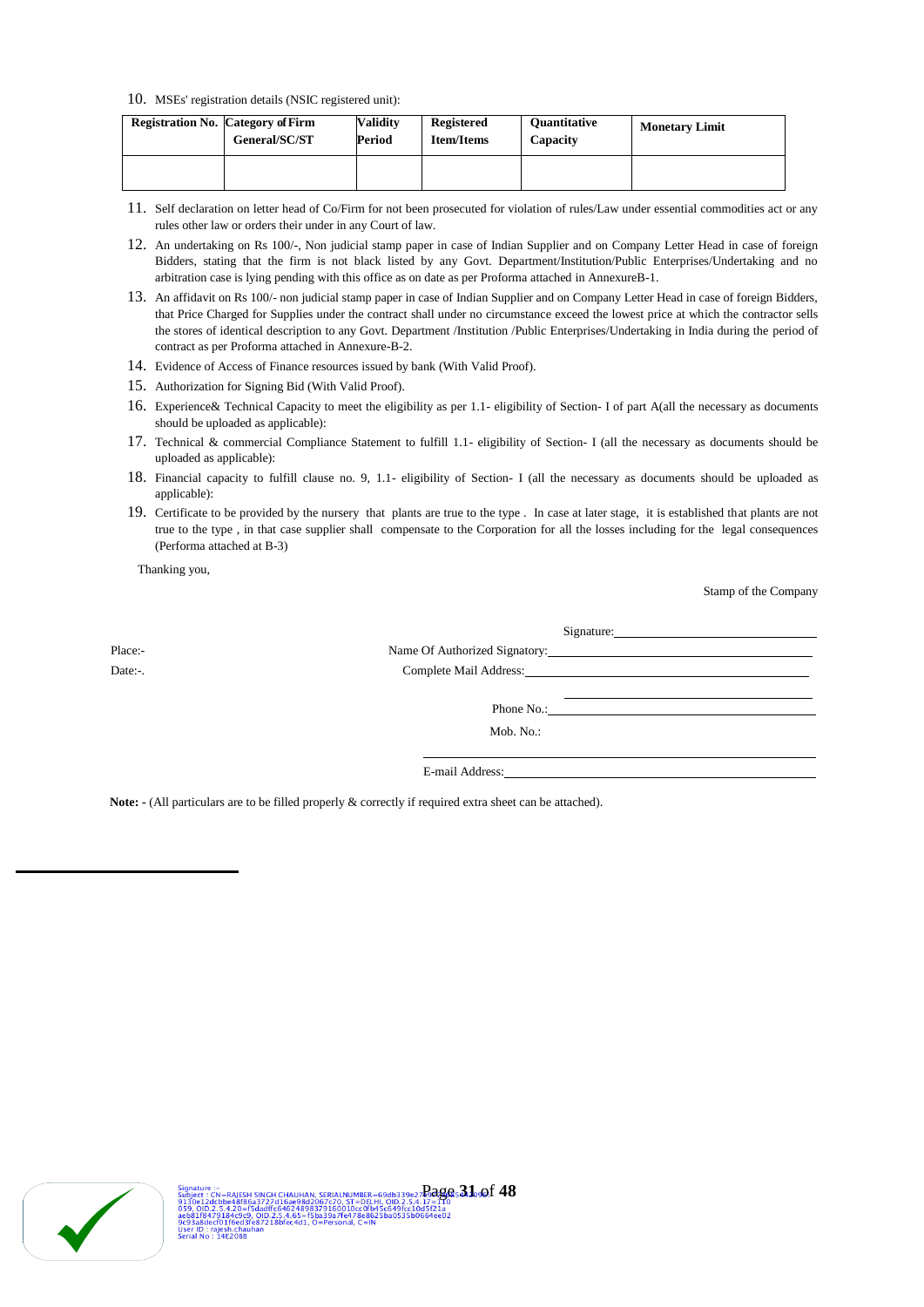#### 10. MSEs' registration details (NSIC registered unit):

| <b>Registration No. Category of Firm</b><br>General/SC/ST | <b>Validity</b><br>Period | Registered<br><b>Item/Items</b> | <b>Ouantitative</b><br>Capacity | <b>Monetary Limit</b> |
|-----------------------------------------------------------|---------------------------|---------------------------------|---------------------------------|-----------------------|
|                                                           |                           |                                 |                                 |                       |

- 11. Self declaration on letter head of Co/Firm for not been prosecuted for violation of rules/Law under essential commodities act or any rules other law or orders their under in any Court of law.
- 12. An undertaking on Rs 100/-, Non judicial stamp paper in case of Indian Supplier and on Company Letter Head in case of foreign Bidders, stating that the firm is not black listed by any Govt. Department/Institution/Public Enterprises/Undertaking and no arbitration case is lying pending with this office as on date as per Proforma attached in AnnexureB-1.
- 13. An affidavit on Rs 100/- non judicial stamp paper in case of Indian Supplier and on Company Letter Head in case of foreign Bidders, that Price Charged for Supplies under the contract shall under no circumstance exceed the lowest price at which the contractor sells the stores of identical description to any Govt. Department /Institution /Public Enterprises/Undertaking in India during the period of contract as per Proforma attached in Annexure-B-2.
- 14. Evidence of Access of Finance resources issued by bank (With Valid Proof).
- 15. Authorization for Signing Bid (With Valid Proof).
- 16. Experience& Technical Capacity to meet the eligibility as per 1.1- eligibility of Section- I of part A(all the necessary as documents should be uploaded as applicable):
- 17. Technical & commercial Compliance Statement to fulfill 1.1- eligibility of Section- I (all the necessary as documents should be uploaded as applicable):
- 18. Financial capacity to fulfill clause no. 9, 1.1- eligibility of Section- I (all the necessary as documents should be uploaded as applicable):
- 19. Certificate to be provided by the nursery that plants are true to the type . In case at later stage, it is established that plants are not true to the type , in that case supplier shall compensate to the Corporation for all the losses including for the legal consequences (Performa attached at B-3)

Thanking you,

Stamp of the Company

| Place:- |                 |  |
|---------|-----------------|--|
| Date:-. |                 |  |
|         |                 |  |
|         |                 |  |
|         | Mob. No.:       |  |
|         |                 |  |
|         | E-mail Address: |  |

**Note: -** (All particulars are to be filled properly & correctly if required extra sheet can be attached).

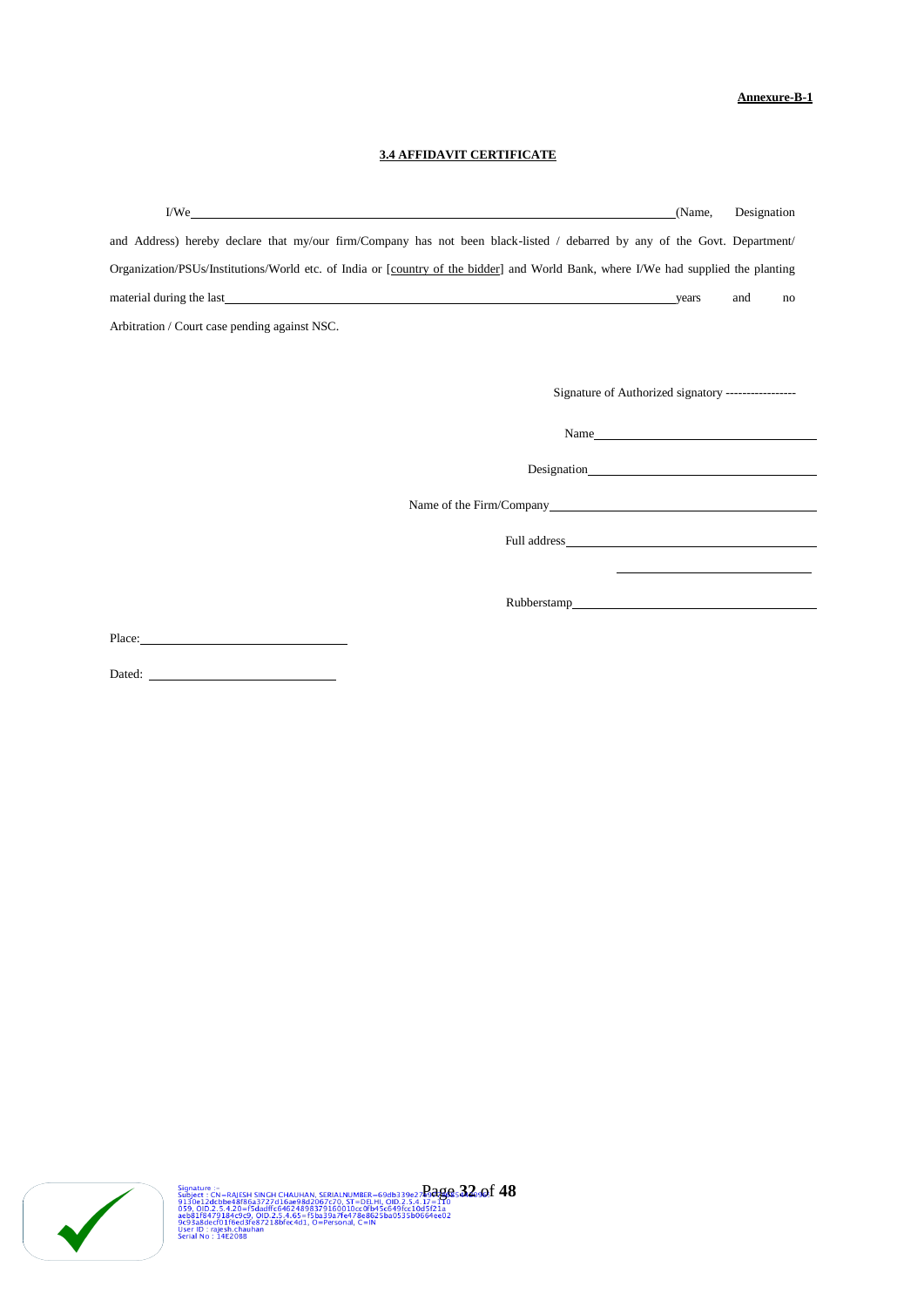# **Annexure-B-1**

# **3.4 AFFIDAVIT CERTIFICATE**

| I/We                                                                                                                               | (Name, | Designation                                                                     |  |
|------------------------------------------------------------------------------------------------------------------------------------|--------|---------------------------------------------------------------------------------|--|
| and Address) hereby declare that my/our firm/Company has not been black-listed / debarred by any of the Govt. Department/          |        |                                                                                 |  |
| Organization/PSUs/Institutions/World etc. of India or [country of the bidder] and World Bank, where I/We had supplied the planting |        |                                                                                 |  |
|                                                                                                                                    |        | and<br>no                                                                       |  |
| Arbitration / Court case pending against NSC.                                                                                      |        |                                                                                 |  |
|                                                                                                                                    |        |                                                                                 |  |
| Signature of Authorized signatory -----------------                                                                                |        |                                                                                 |  |
| Name                                                                                                                               |        |                                                                                 |  |
|                                                                                                                                    |        |                                                                                 |  |
|                                                                                                                                    |        |                                                                                 |  |
|                                                                                                                                    |        |                                                                                 |  |
|                                                                                                                                    |        | the contract of the contract of the contract of the contract of the contract of |  |
|                                                                                                                                    |        |                                                                                 |  |
| Place:                                                                                                                             |        |                                                                                 |  |

Dated:



Signature :-<br>Subject : CN=RAJESH SINGH CHAUHAN, SERIALNUMBER=69db339e27**2:049:6: 32**<br>9130e12dcbbe48f86a3727d16ae98d2067c70, ST=DELHI, OID.2.5.4.17=110<br>929, OID.2.5.4.20=F5dadffc64624898379160010cc0fb45c649fc10d5f21a<br>aeb81f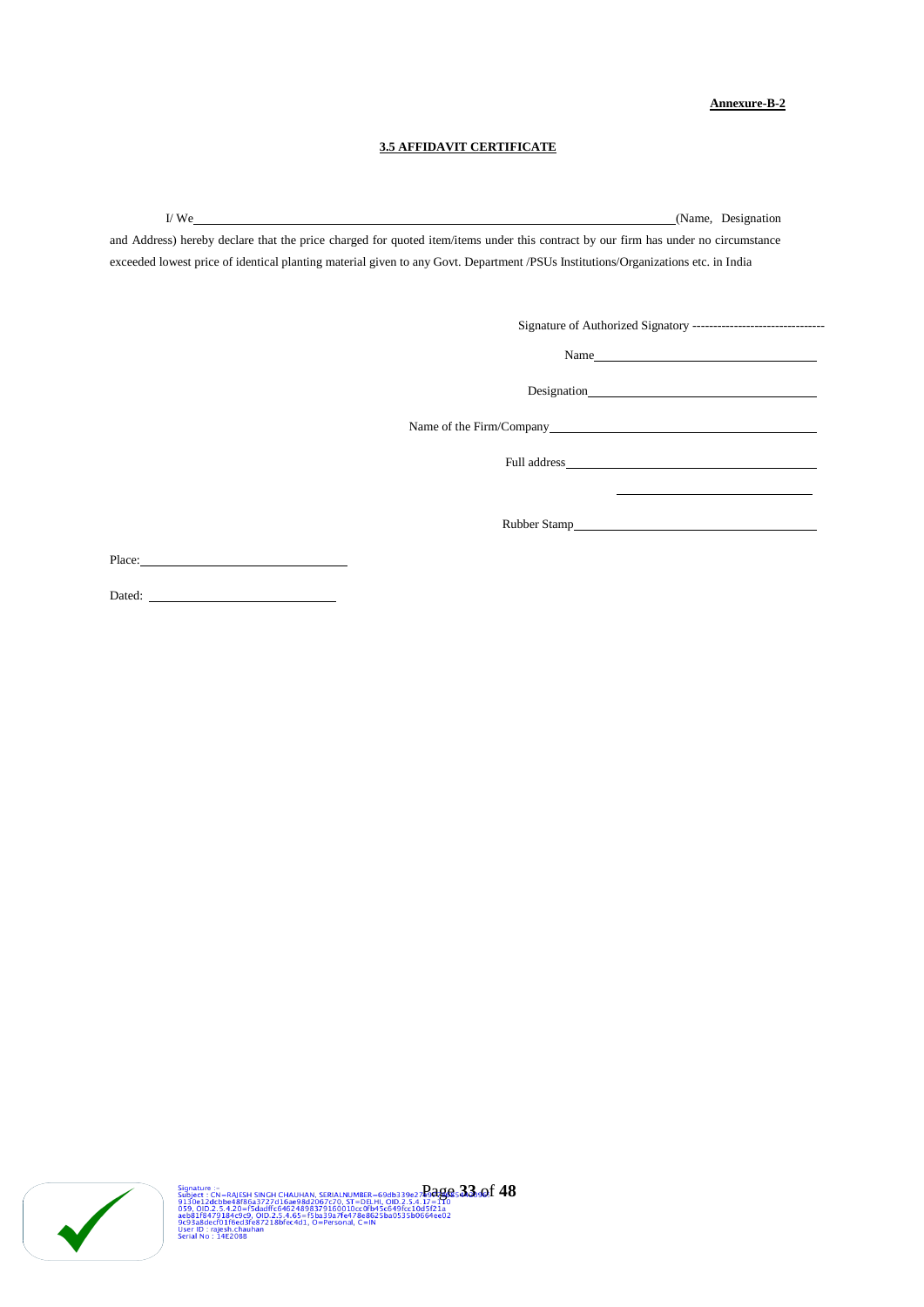#### **Annexure-B-2**

## **3.5 AFFIDAVIT CERTIFICATE**

I/ We (Name, Designation)

and Address) hereby declare that the price charged for quoted item/items under this contract by our firm has under no circumstance exceeded lowest price of identical planting material given to any Govt. Department /PSUs Institutions/Organizations etc. in India

Signature of Authorized Signatory --------------------------------

Name

Designation

Name of the Firm/Company

Full address

Rubber Stamp

Place:

Dated:

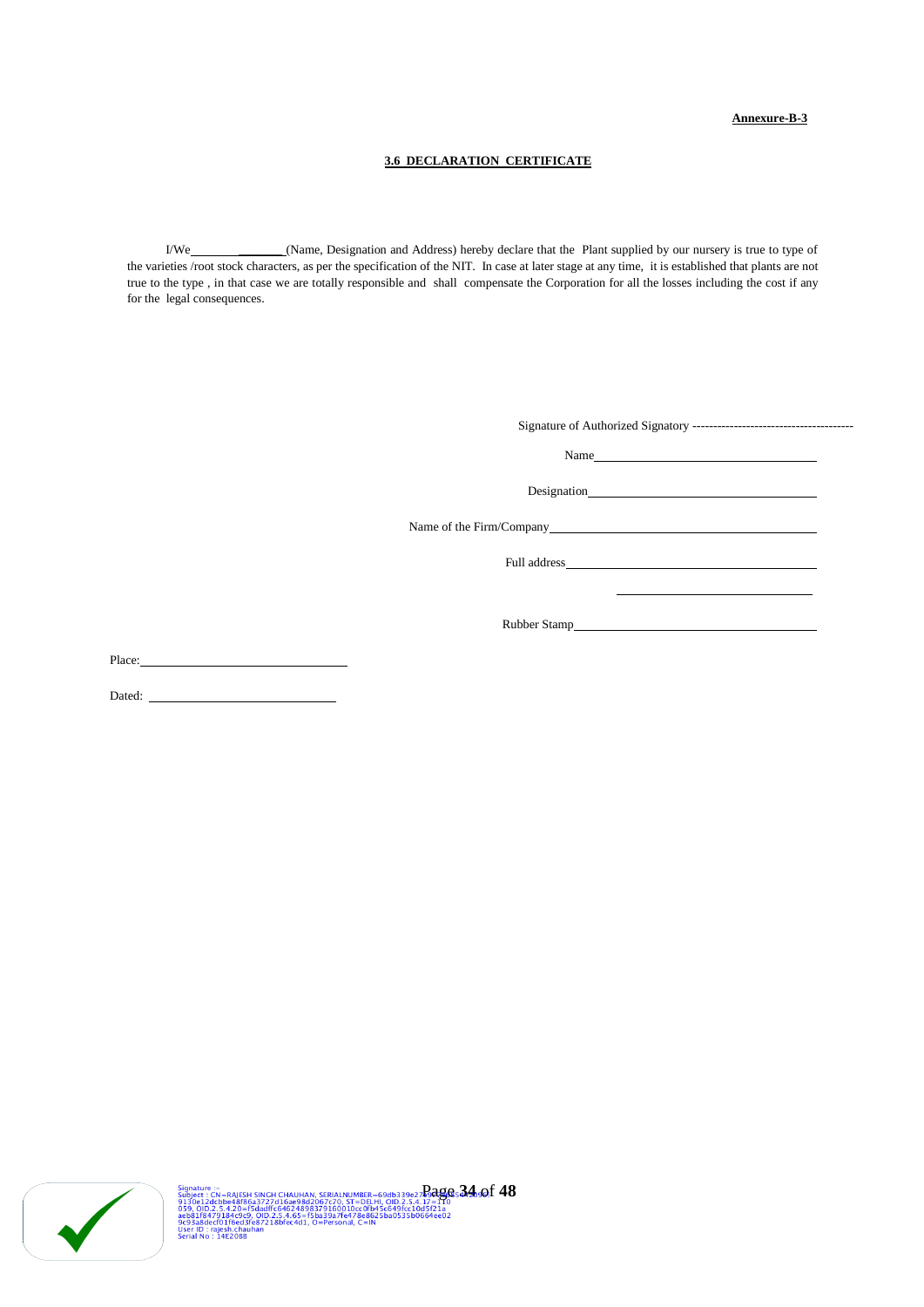## **Annexure-B-3**

## **3.6 DECLARATION CERTIFICATE**

I/We \_\_\_\_\_\_\_ (Name, Designation and Address) hereby declare that the Plant supplied by our nursery is true to type of the varieties /root stock characters, as per the specification of the NIT. In case at later stage at any time, it is established that plants are not true to the type , in that case we are totally responsible and shall compensate the Corporation for all the losses including the cost if any for the legal consequences.

Place:

Dated:

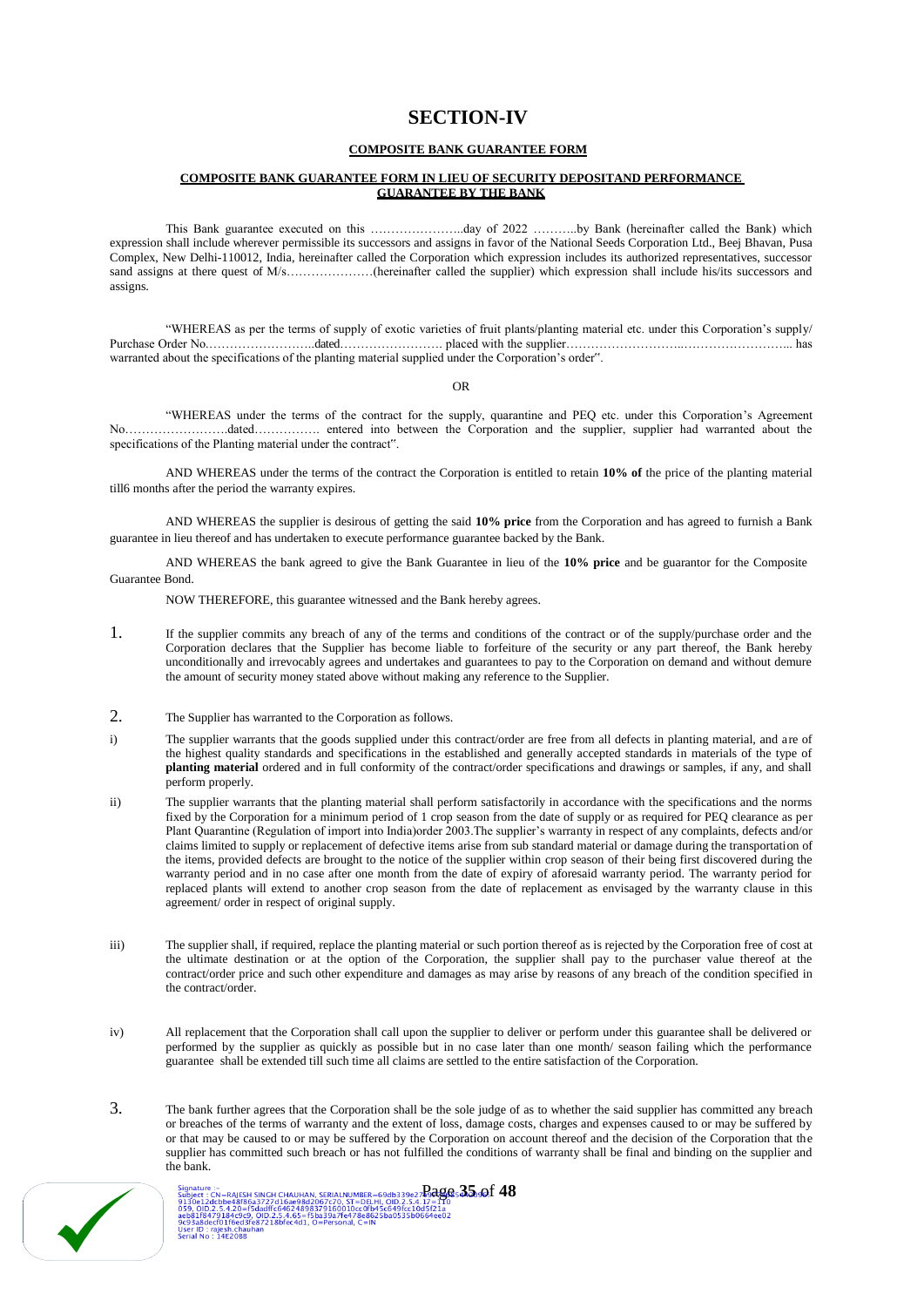# **SECTION-IV**

#### **COMPOSITE BANK GUARANTEE FORM**

#### **COMPOSITE BANK GUARANTEE FORM IN LIEU OF SECURITY DEPOSITAND PERFORMANCE GUARANTEE BY THE BANK**

This Bank guarantee executed on this …………………..day of 2022 ………..by Bank (hereinafter called the Bank) which expression shall include wherever permissible its successors and assigns in favor of the National Seeds Corporation Ltd., Beej Bhavan, Pusa Complex, New Delhi-110012, India, hereinafter called the Corporation which expression includes its authorized representatives, successor sand assigns at there quest of M/s……………….(hereinafter called the supplier) which expression shall include his/its successors and assigns.

"WHEREAS as per the terms of supply of exotic varieties of fruit plants/planting material etc. under this Corporation's supply/ Purchase Order No.……………………..dated……………………. placed with the supplier………………………..……………………... has warranted about the specifications of the planting material supplied under the Corporation's order".

OR

"WHEREAS under the terms of the contract for the supply, quarantine and PEQ etc. under this Corporation's Agreement No…………………….dated……………. entered into between the Corporation and the supplier, supplier had warranted about the specifications of the Planting material under the contract".

AND WHEREAS under the terms of the contract the Corporation is entitled to retain **10% of** the price of the planting material till6 months after the period the warranty expires.

AND WHEREAS the supplier is desirous of getting the said **10% price** from the Corporation and has agreed to furnish a Bank guarantee in lieu thereof and has undertaken to execute performance guarantee backed by the Bank.

AND WHEREAS the bank agreed to give the Bank Guarantee in lieu of the **10% price** and be guarantor for the Composite Guarantee Bond.

NOW THEREFORE, this guarantee witnessed and the Bank hereby agrees.

- 1. If the supplier commits any breach of any of the terms and conditions of the contract or of the supply/purchase order and the Corporation declares that the Supplier has become liable to forfeiture of the security or any part thereof, the Bank hereby unconditionally and irrevocably agrees and undertakes and guarantees to pay to the Corporation on demand and without demure the amount of security money stated above without making any reference to the Supplier.
- 2. The Supplier has warranted to the Corporation as follows.
- i) The supplier warrants that the goods supplied under this contract/order are free from all defects in planting material, and are of the highest quality standards and specifications in the established and generally accepted standards in materials of the type of **planting material** ordered and in full conformity of the contract/order specifications and drawings or samples, if any, and shall perform properly.
- ii) The supplier warrants that the planting material shall perform satisfactorily in accordance with the specifications and the norms fixed by the Corporation for a minimum period of 1 crop season from the date of supply or as required for PEQ clearance as per Plant Quarantine (Regulation of import into India)order 2003.The supplier's warranty in respect of any complaints, defects and/or claims limited to supply or replacement of defective items arise from sub standard material or damage during the transportation of the items, provided defects are brought to the notice of the supplier within crop season of their being first discovered during the warranty period and in no case after one month from the date of expiry of aforesaid warranty period. The warranty period for replaced plants will extend to another crop season from the date of replacement as envisaged by the warranty clause in this agreement/ order in respect of original supply.
- iii) The supplier shall, if required, replace the planting material or such portion thereof as is rejected by the Corporation free of cost at the ultimate destination or at the option of the Corporation, the supplier shall pay to the purchaser value thereof at the contract/order price and such other expenditure and damages as may arise by reasons of any breach of the condition specified in the contract/order.
- iv) All replacement that the Corporation shall call upon the supplier to deliver or perform under this guarantee shall be delivered or performed by the supplier as quickly as possible but in no case later than one month/ season failing which the performance guarantee shall be extended till such time all claims are settled to the entire satisfaction of the Corporation.
- 3. The bank further agrees that the Corporation shall be the sole judge of as to whether the said supplier has committed any breach or breaches of the terms of warranty and the extent of loss, damage costs, charges and expenses caused to or may be suffered by or that may be caused to or may be suffered by the Corporation on account thereof and the decision of the Corporation that the supplier has committed such breach or has not fulfilled the conditions of warranty shall be final and binding on the supplier and the bank.



Signature :-<br>Subject : CN=RAJESH SINGH CHAUHAN, SERIALNUMBER=69db339e27**Pages 35** of 18<br>9130e12dcbbe48186a3727d16ae98d2067c70, ST=ER\_HI, OD.2.5.4.17=110<br>059, OID.2.5.4.20=15dadft664624898379160010cc0fb45c649fcc10d5f21a<br>0e9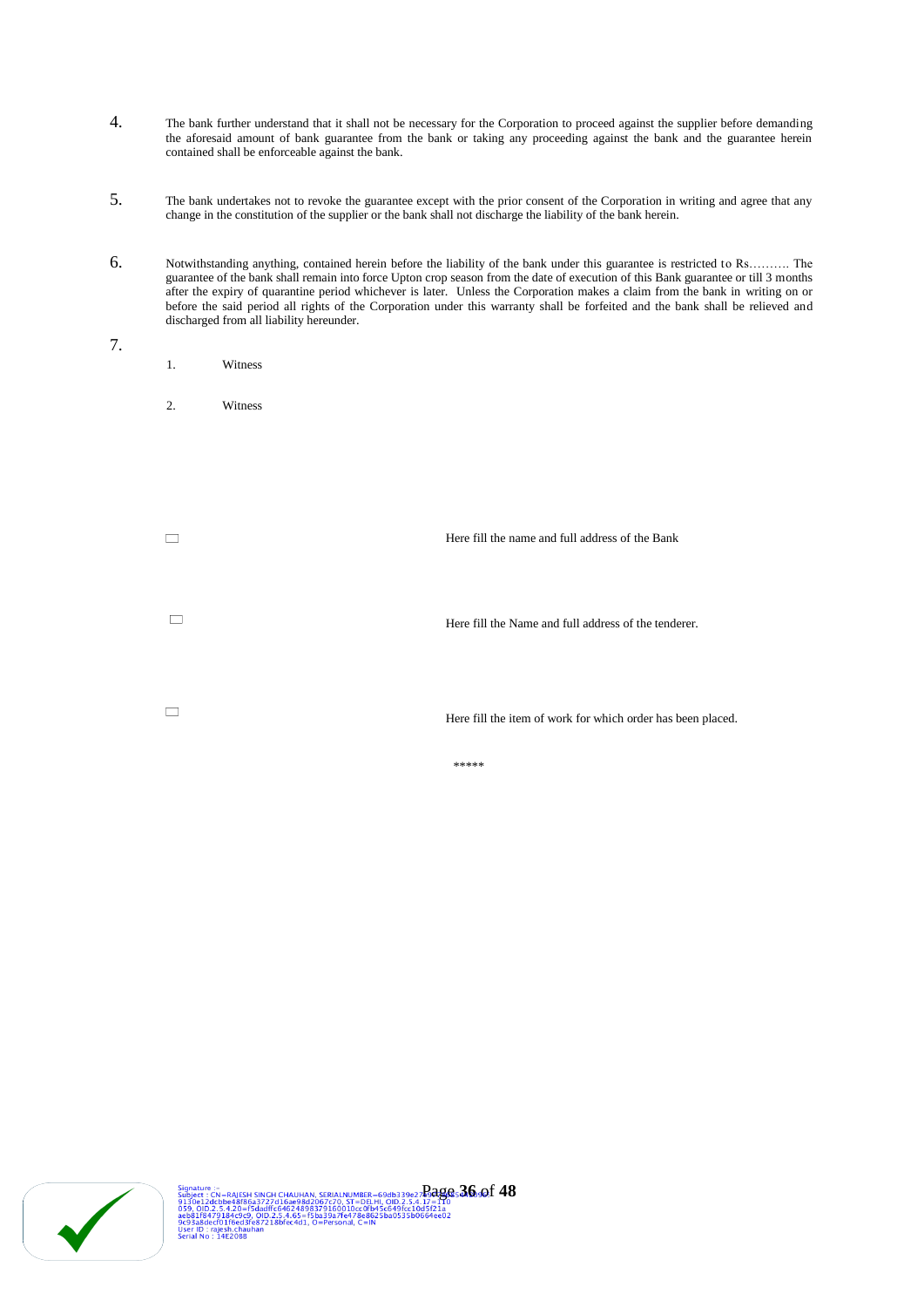- 4. The bank further understand that it shall not be necessary for the Corporation to proceed against the supplier before demanding the aforesaid amount of bank guarantee from the bank or taking any proceeding against the bank and the guarantee herein contained shall be enforceable against the bank.
- 5. The bank undertakes not to revoke the guarantee except with the prior consent of the Corporation in writing and agree that any change in the constitution of the supplier or the bank shall not discharge the liability of the bank herein.
- 6. Notwithstanding anything, contained herein before the liability of the bank under this guarantee is restricted to Rs………. The guarantee of the bank shall remain into force Upton crop season from the date of execution of this Bank guarantee or till 3 months after the expiry of quarantine period whichever is later. Unless the Corporation makes a claim from the bank in writing on or before the said period all rights of the Corporation under this warranty shall be forfeited and the bank shall be relieved and discharged from all liability hereunder.
- 7.
- 1. Witness
- 2. Witness

| Here fill the name and full address of the Bank             |
|-------------------------------------------------------------|
| Here fill the Name and full address of the tenderer.        |
| Here fill the item of work for which order has been placed. |
| *****                                                       |

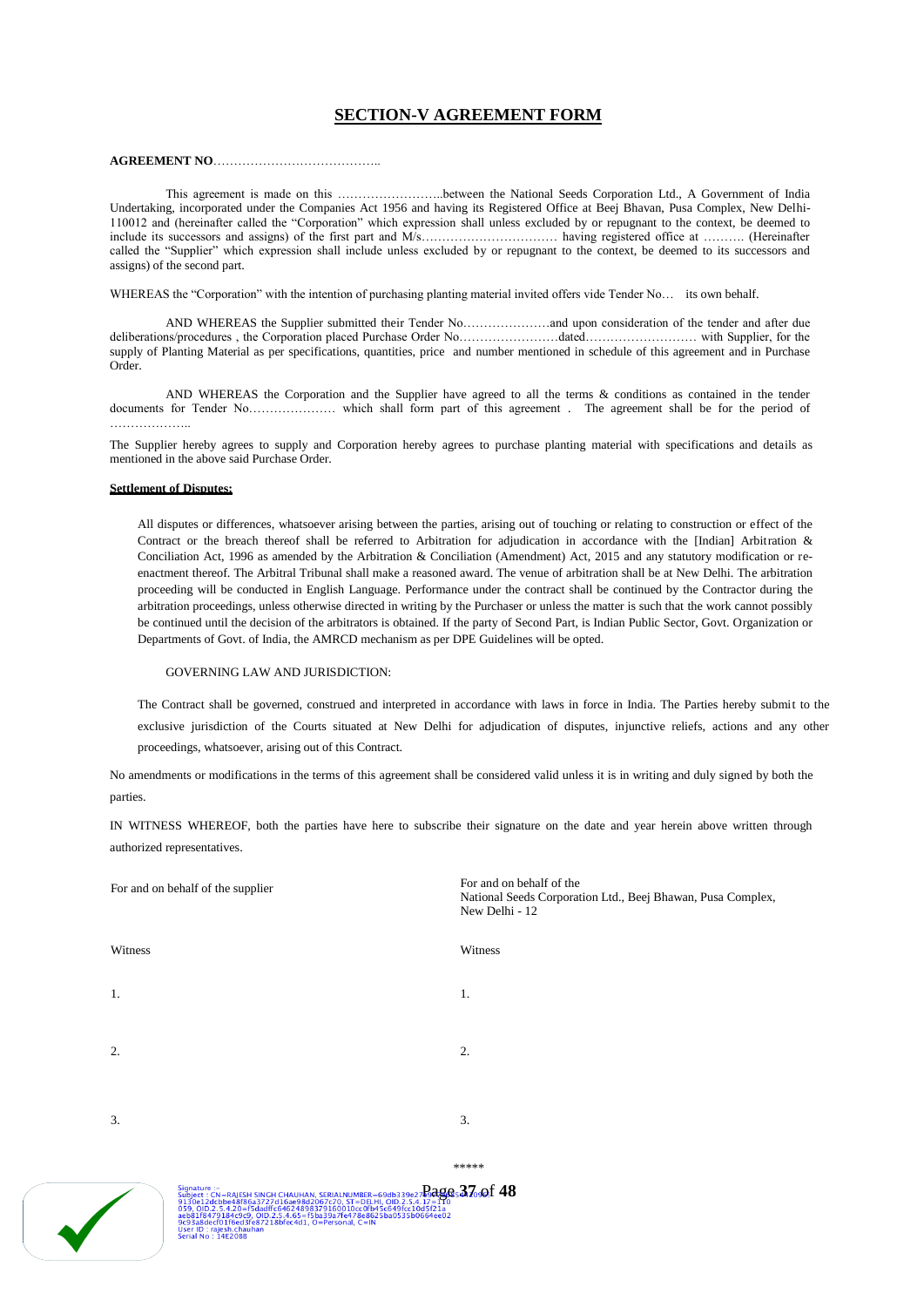# **SECTION-V AGREEMENT FORM**

#### **AGREEMENT NO**…………………………………..

This agreement is made on this ……………………..between the National Seeds Corporation Ltd., A Government of India Undertaking, incorporated under the Companies Act 1956 and having its Registered Office at Beej Bhavan, Pusa Complex, New Delhi-110012 and (hereinafter called the "Corporation" which expression shall unless excluded by or repugnant to the context, be deemed to include its successors and assigns) of the first part and M/s…………………………… having registered office at ………. (Hereinafter called the "Supplier" which expression shall include unless excluded by or repugnant to the context, be deemed to its successors and assigns) of the second part.

WHEREAS the "Corporation" with the intention of purchasing planting material invited offers vide Tender No… its own behalf.

AND WHEREAS the Supplier submitted their Tender No…………………and upon consideration of the tender and after due deliberations/procedures , the Corporation placed Purchase Order No……………………dated……………………… with Supplier, for the supply of Planting Material as per specifications, quantities, price and number mentioned in schedule of this agreement and in Purchase Order.

AND WHEREAS the Corporation and the Supplier have agreed to all the terms & conditions as contained in the tender documents for Tender No………………… which shall form part of this agreement . The agreement shall be for the period of ………………..

The Supplier hereby agrees to supply and Corporation hereby agrees to purchase planting material with specifications and details as mentioned in the above said Purchase Order.

#### **Settlement of Disputes:**

All disputes or differences, whatsoever arising between the parties, arising out of touching or relating to construction or effect of the Contract or the breach thereof shall be referred to Arbitration for adjudication in accordance with the [Indian] Arbitration & Conciliation Act, 1996 as amended by the Arbitration & Conciliation (Amendment) Act, 2015 and any statutory modification or reenactment thereof. The Arbitral Tribunal shall make a reasoned award. The venue of arbitration shall be at New Delhi. The arbitration proceeding will be conducted in English Language. Performance under the contract shall be continued by the Contractor during the arbitration proceedings, unless otherwise directed in writing by the Purchaser or unless the matter is such that the work cannot possibly be continued until the decision of the arbitrators is obtained. If the party of Second Part, is Indian Public Sector, Govt. Organization or Departments of Govt. of India, the AMRCD mechanism as per DPE Guidelines will be opted.

#### GOVERNING LAW AND JURISDICTION:

The Contract shall be governed, construed and interpreted in accordance with laws in force in India. The Parties hereby submit to the exclusive jurisdiction of the Courts situated at New Delhi for adjudication of disputes, injunctive reliefs, actions and any other proceedings, whatsoever, arising out of this Contract.

No amendments or modifications in the terms of this agreement shall be considered valid unless it is in writing and duly signed by both the parties.

IN WITNESS WHEREOF, both the parties have here to subscribe their signature on the date and year herein above written through authorized representatives.

| For and on behalf of the supplier | For and on behalf of the<br>National Seeds Corporation Ltd., Beej Bhawan, Pusa Complex,<br>New Delhi - 12 |
|-----------------------------------|-----------------------------------------------------------------------------------------------------------|
| Witness                           | Witness                                                                                                   |
| 1.                                | 1.                                                                                                        |
| 2.                                | 2.                                                                                                        |
| 3.                                | 3.                                                                                                        |
|                                   | *****                                                                                                     |
| $\mathbf{r}$<br>Clean strive :    | $\sim$<br>$c$ in                                                                                          |



Page **37** of **48**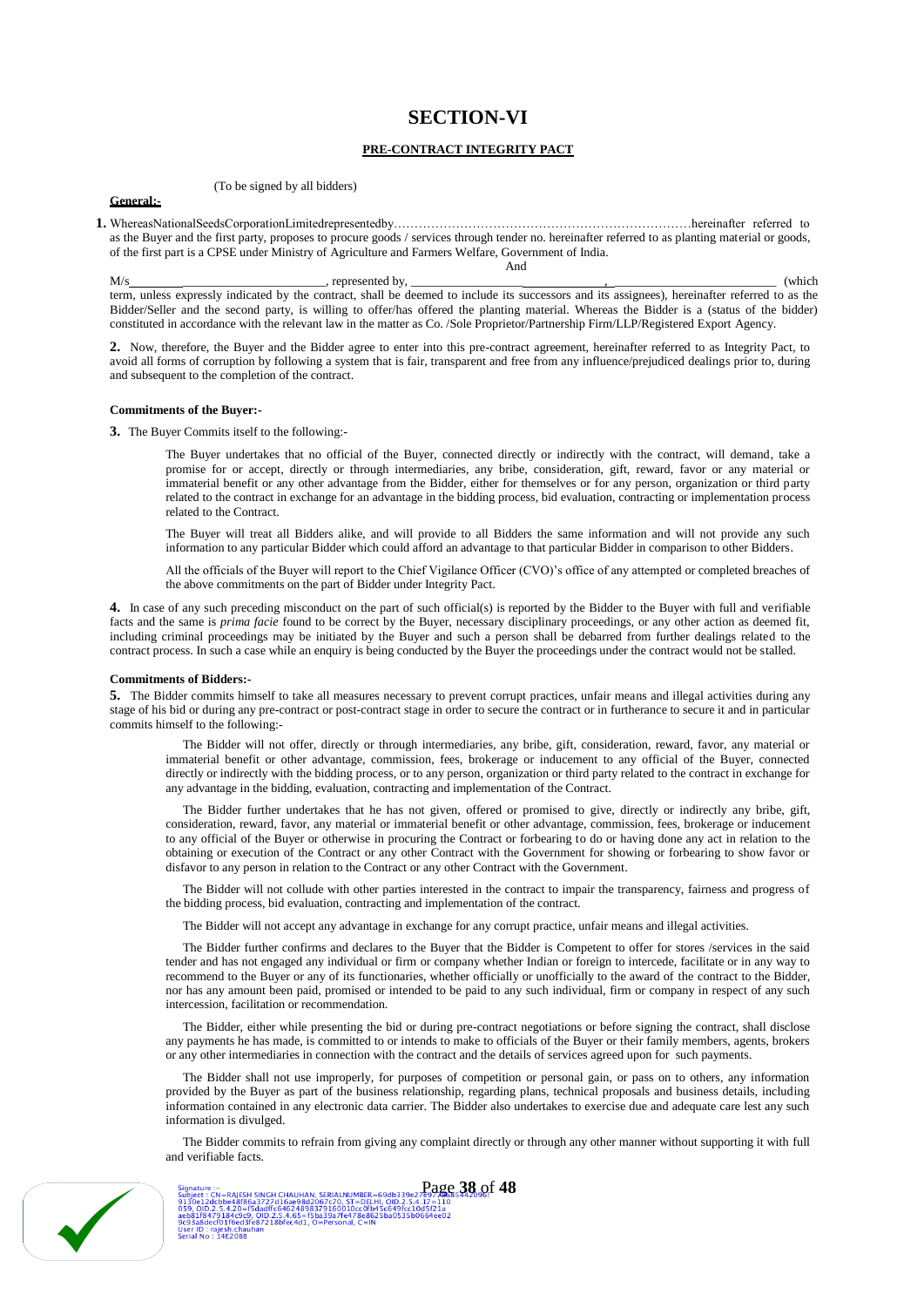# **SECTION-VI**

### **PRE-CONTRACT INTEGRITY PACT**

#### (To be signed by all bidders)

#### **General:-**

**1.** WhereasNationalSeedsCorporationLimitedrepresentedby………………………………………………………………hereinafter referred to as the Buyer and the first party, proposes to procure goods / services through tender no. hereinafter referred to as planting material or goods, of the first part is a CPSE under Ministry of Agriculture and Farmers Welfare, Government of India.

M/s \_\_\_\_\_\_\_\_\_\_\_\_\_\_\_\_\_\_\_\_\_\_\_, represented by, \_\_\_\_\_\_\_\_\_\_\_\_\_\_\_\_\_\_ , \_\_\_\_\_\_\_\_\_\_\_\_\_\_\_\_\_\_\_\_\_\_\_\_\_\_ (which term, unless expressly indicated by the contract, shall be deemed to include its successors and its assignees), hereinafter referred to as the Bidder/Seller and the second party, is willing to offer/has offered the planting material. Whereas the Bidder is a (status of the bidder) constituted in accordance with the relevant law in the matter as Co. /Sole Proprietor/Partnership Firm/LLP/Registered Export Agency.

And

**2.** Now, therefore, the Buyer and the Bidder agree to enter into this pre-contract agreement, hereinafter referred to as Integrity Pact, to avoid all forms of corruption by following a system that is fair, transparent and free from any influence/prejudiced dealings prior to, during and subsequent to the completion of the contract.

#### **Commitments of the Buyer:-**

**3.** The Buyer Commits itself to the following:-

The Buyer undertakes that no official of the Buyer, connected directly or indirectly with the contract, will demand, take a promise for or accept, directly or through intermediaries, any bribe, consideration, gift, reward, favor or any material or immaterial benefit or any other advantage from the Bidder, either for themselves or for any person, organization or third party related to the contract in exchange for an advantage in the bidding process, bid evaluation, contracting or implementation process related to the Contract.

The Buyer will treat all Bidders alike, and will provide to all Bidders the same information and will not provide any such information to any particular Bidder which could afford an advantage to that particular Bidder in comparison to other Bidders.

All the officials of the Buyer will report to the Chief Vigilance Officer (CVO)'s office of any attempted or completed breaches of the above commitments on the part of Bidder under Integrity Pact.

**4.** In case of any such preceding misconduct on the part of such official(s) is reported by the Bidder to the Buyer with full and verifiable facts and the same is *prima facie* found to be correct by the Buyer, necessary disciplinary proceedings, or any other action as deemed fit, including criminal proceedings may be initiated by the Buyer and such a person shall be debarred from further dealings related to the contract process. In such a case while an enquiry is being conducted by the Buyer the proceedings under the contract would not be stalled.

#### **Commitments of Bidders:-**

**5.** The Bidder commits himself to take all measures necessary to prevent corrupt practices, unfair means and illegal activities during any stage of his bid or during any pre-contract or post-contract stage in order to secure the contract or in furtherance to secure it and in particular commits himself to the following:-

The Bidder will not offer, directly or through intermediaries, any bribe, gift, consideration, reward, favor, any material or immaterial benefit or other advantage, commission, fees, brokerage or inducement to any official of the Buyer, connected directly or indirectly with the bidding process, or to any person, organization or third party related to the contract in exchange for any advantage in the bidding, evaluation, contracting and implementation of the Contract.

The Bidder further undertakes that he has not given, offered or promised to give, directly or indirectly any bribe, gift, consideration, reward, favor, any material or immaterial benefit or other advantage, commission, fees, brokerage or inducement to any official of the Buyer or otherwise in procuring the Contract or forbearing to do or having done any act in relation to the obtaining or execution of the Contract or any other Contract with the Government for showing or forbearing to show favor or disfavor to any person in relation to the Contract or any other Contract with the Government.

The Bidder will not collude with other parties interested in the contract to impair the transparency, fairness and progress of the bidding process, bid evaluation, contracting and implementation of the contract.

The Bidder will not accept any advantage in exchange for any corrupt practice, unfair means and illegal activities.

The Bidder further confirms and declares to the Buyer that the Bidder is Competent to offer for stores /services in the said tender and has not engaged any individual or firm or company whether Indian or foreign to intercede, facilitate or in any way to recommend to the Buyer or any of its functionaries, whether officially or unofficially to the award of the contract to the Bidder, nor has any amount been paid, promised or intended to be paid to any such individual, firm or company in respect of any such intercession, facilitation or recommendation.

The Bidder, either while presenting the bid or during pre-contract negotiations or before signing the contract, shall disclose any payments he has made, is committed to or intends to make to officials of the Buyer or their family members, agents, brokers or any other intermediaries in connection with the contract and the details of services agreed upon for such payments.

The Bidder shall not use improperly, for purposes of competition or personal gain, or pass on to others, any information provided by the Buyer as part of the business relationship, regarding plans, technical proposals and business details, including information contained in any electronic data carrier. The Bidder also undertakes to exercise due and adequate care lest any such information is divulged.

The Bidder commits to refrain from giving any complaint directly or through any other manner without supporting it with full and verifiable facts.



Signature :-<br>
Subject : CN=RAISH SINGH CHAUHAN, SERIALNUMBER=69db339e27e97e9853**442096:**<br>
9130e12dcbbe48786a3727d16ae99d2057c70. ST=DELH, QID.2.5,4.17=110<br>
9390.002.2.5,4.20=53dadf1c64624898379160010cc0fb45c649fcc10d5f21a<br>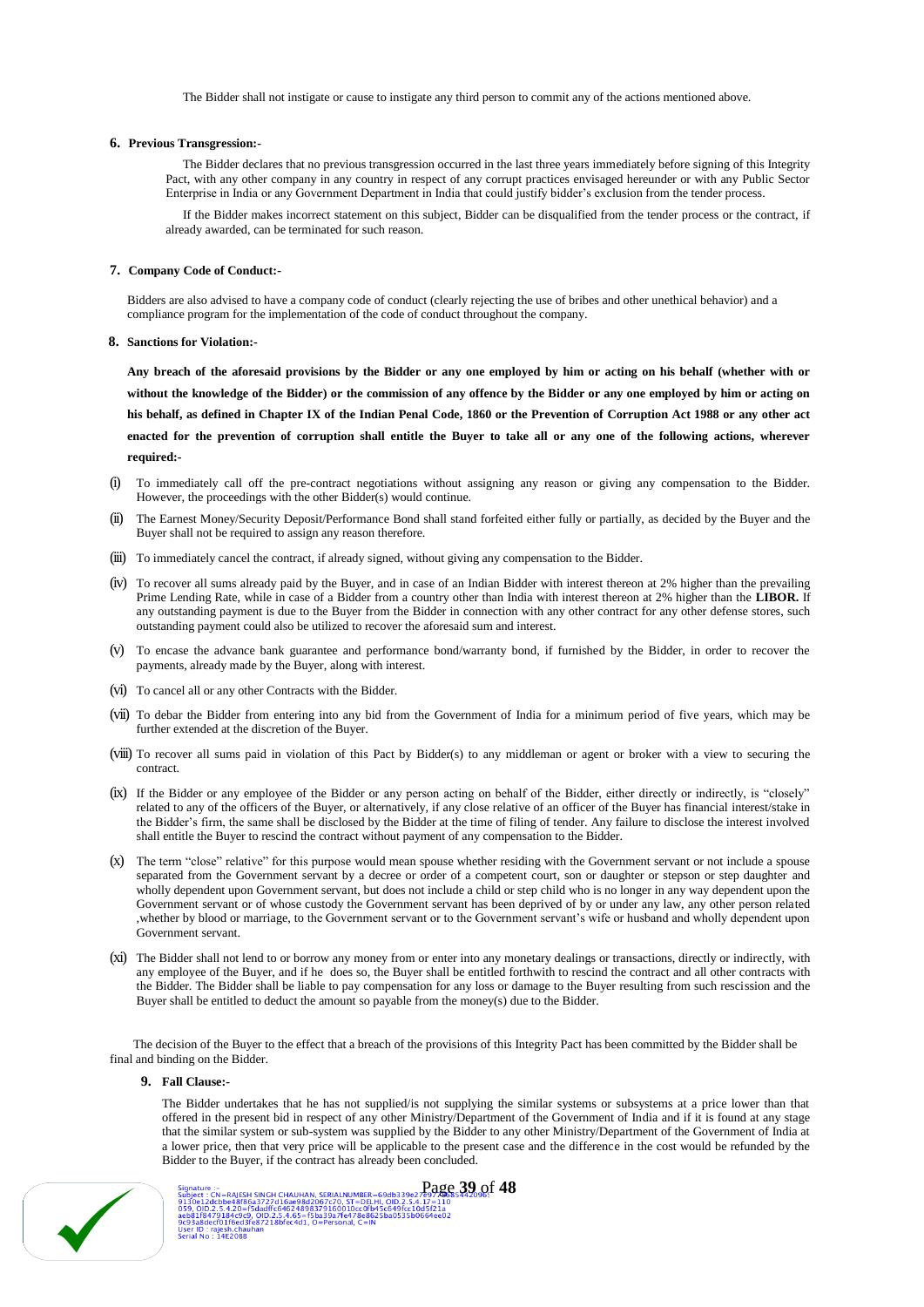The Bidder shall not instigate or cause to instigate any third person to commit any of the actions mentioned above.

#### **6. Previous Transgression:-**

The Bidder declares that no previous transgression occurred in the last three years immediately before signing of this Integrity Pact, with any other company in any country in respect of any corrupt practices envisaged hereunder or with any Public Sector Enterprise in India or any Government Department in India that could justify bidder's exclusion from the tender process.

If the Bidder makes incorrect statement on this subject, Bidder can be disqualified from the tender process or the contract, if already awarded, can be terminated for such reason.

#### **7. Company Code of Conduct:-**

Bidders are also advised to have a company code of conduct (clearly rejecting the use of bribes and other unethical behavior) and a compliance program for the implementation of the code of conduct throughout the company.

#### **8. Sanctions for Violation:-**

**Any breach of the aforesaid provisions by the Bidder or any one employed by him or acting on his behalf (whether with or without the knowledge of the Bidder) or the commission of any offence by the Bidder or any one employed by him or acting on his behalf, as defined in Chapter IX of the Indian Penal Code, 1860 or the Prevention of Corruption Act 1988 or any other act enacted for the prevention of corruption shall entitle the Buyer to take all or any one of the following actions, wherever required:-**

- To immediately call off the pre-contract negotiations without assigning any reason or giving any compensation to the Bidder. However, the proceedings with the other Bidder(s) would continue.
- (ii) The Earnest Money/Security Deposit/Performance Bond shall stand forfeited either fully or partially, as decided by the Buyer and the Buyer shall not be required to assign any reason therefore.
- (iii) To immediately cancel the contract, if already signed, without giving any compensation to the Bidder.
- (iv) To recover all sums already paid by the Buyer, and in case of an Indian Bidder with interest thereon at 2% higher than the prevailing Prime Lending Rate, while in case of a Bidder from a country other than India with interest thereon at 2% higher than the **LIBOR.** If any outstanding payment is due to the Buyer from the Bidder in connection with any other contract for any other defense stores, such outstanding payment could also be utilized to recover the aforesaid sum and interest.
- (v) To encase the advance bank guarantee and performance bond/warranty bond, if furnished by the Bidder, in order to recover the payments, already made by the Buyer, along with interest.
- (vi) To cancel all or any other Contracts with the Bidder.
- (vii) To debar the Bidder from entering into any bid from the Government of India for a minimum period of five years, which may be further extended at the discretion of the Buyer.
- (viii) To recover all sums paid in violation of this Pact by Bidder(s) to any middleman or agent or broker with a view to securing the contract.
- (ix) If the Bidder or any employee of the Bidder or any person acting on behalf of the Bidder, either directly or indirectly, is "closely" related to any of the officers of the Buyer, or alternatively, if any close relative of an officer of the Buyer has financial interest/stake in the Bidder's firm, the same shall be disclosed by the Bidder at the time of filing of tender. Any failure to disclose the interest involved shall entitle the Buyer to rescind the contract without payment of any compensation to the Bidder.
- (x) The term "close" relative" for this purpose would mean spouse whether residing with the Government servant or not include a spouse separated from the Government servant by a decree or order of a competent court, son or daughter or stepson or step daughter and wholly dependent upon Government servant, but does not include a child or step child who is no longer in any way dependent upon the Government servant or of whose custody the Government servant has been deprived of by or under any law, any other person related ,whether by blood or marriage, to the Government servant or to the Government servant's wife or husband and wholly dependent upon Government servant.
- (xi) The Bidder shall not lend to or borrow any money from or enter into any monetary dealings or transactions, directly or indirectly, with any employee of the Buyer, and if he does so, the Buyer shall be entitled forthwith to rescind the contract and all other contracts with the Bidder. The Bidder shall be liable to pay compensation for any loss or damage to the Buyer resulting from such rescission and the Buyer shall be entitled to deduct the amount so payable from the money(s) due to the Bidder.

The decision of the Buyer to the effect that a breach of the provisions of this Integrity Pact has been committed by the Bidder shall be final and binding on the Bidder.

#### **9. Fall Clause:-**

The Bidder undertakes that he has not supplied/is not supplying the similar systems or subsystems at a price lower than that offered in the present bid in respect of any other Ministry/Department of the Government of India and if it is found at any stage that the similar system or sub-system was supplied by the Bidder to any other Ministry/Department of the Government of India at a lower price, then that very price will be applicable to the present case and the difference in the cost would be refunded by the Bidder to the Buyer, if the contract has already been concluded.

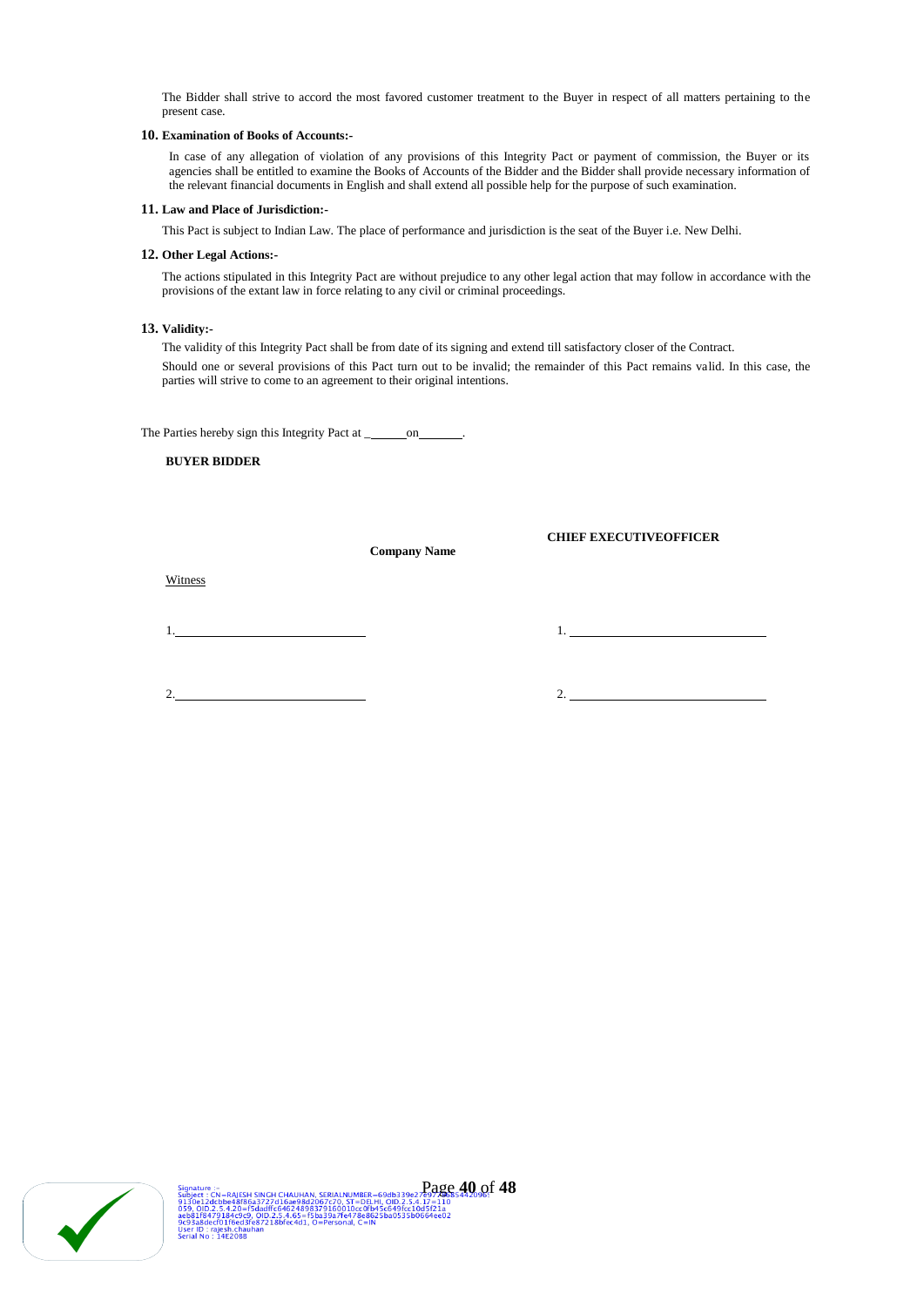The Bidder shall strive to accord the most favored customer treatment to the Buyer in respect of all matters pertaining to the present case.

#### **10. Examination of Books of Accounts:-**

In case of any allegation of violation of any provisions of this Integrity Pact or payment of commission, the Buyer or its agencies shall be entitled to examine the Books of Accounts of the Bidder and the Bidder shall provide necessary information of the relevant financial documents in English and shall extend all possible help for the purpose of such examination.

#### **11. Law and Place of Jurisdiction:-**

This Pact is subject to Indian Law. The place of performance and jurisdiction is the seat of the Buyer i.e. New Delhi.

#### **12. Other Legal Actions:-**

The actions stipulated in this Integrity Pact are without prejudice to any other legal action that may follow in accordance with the provisions of the extant law in force relating to any civil or criminal proceedings.

## **13. Validity:-**

The validity of this Integrity Pact shall be from date of its signing and extend till satisfactory closer of the Contract. Should one or several provisions of this Pact turn out to be invalid; the remainder of this Pact remains valid. In this case, the parties will strive to come to an agreement to their original intentions.

The Parties hereby sign this Integrity Pact at \_\_\_\_\_\_\_\_ on \_\_\_\_

## **BUYER BIDDER**

**Company Name**

**CHIEF EXECUTIVEOFFICER**

Witness

1. 1.

2.  $\overline{\phantom{a}2.}$  2.

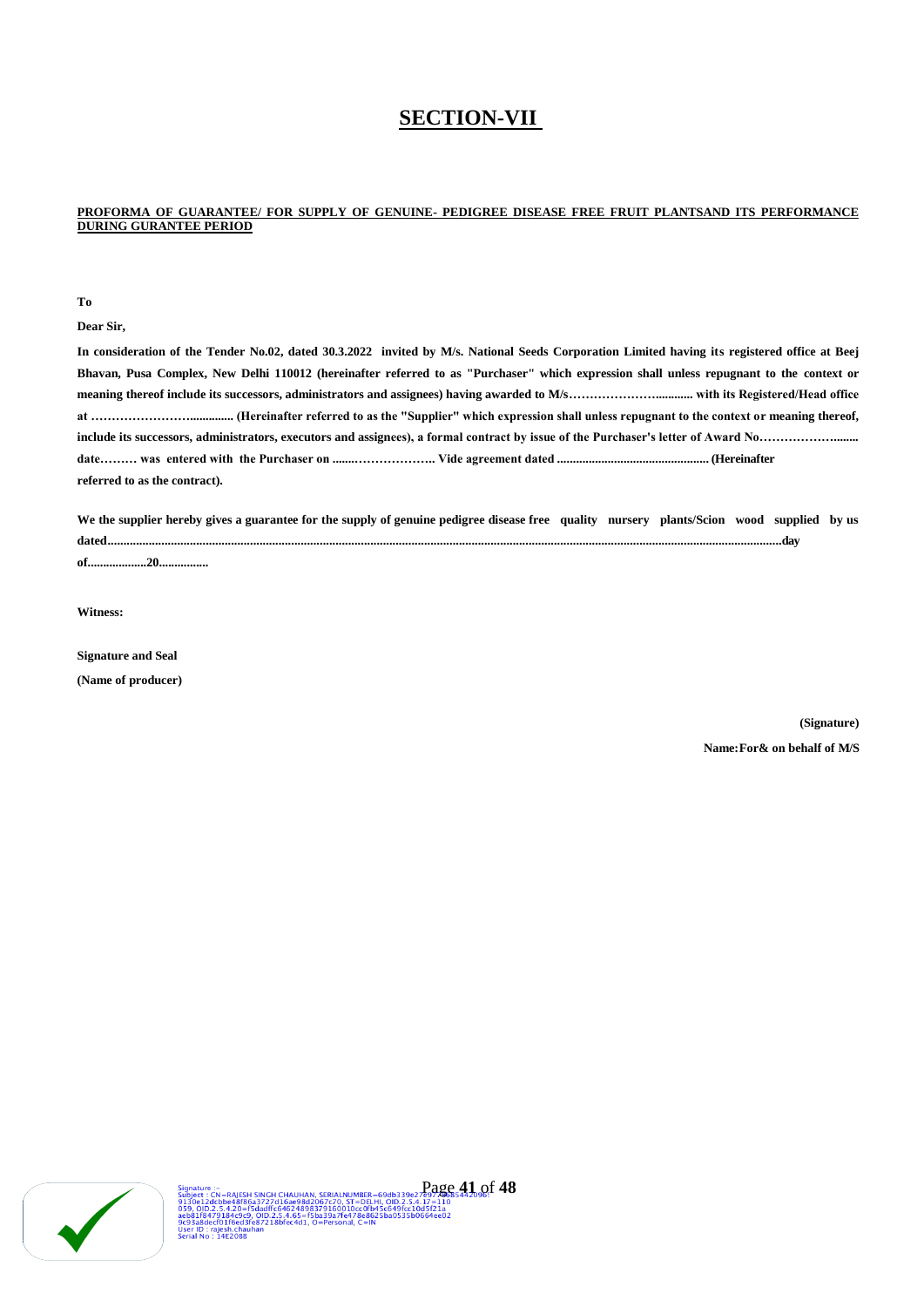# **SECTION-VII**

### **PROFORMA OF GUARANTEE/ FOR SUPPLY OF GENUINE- PEDIGREE DISEASE FREE FRUIT PLANTSAND ITS PERFORMANCE DURING GURANTEE PERIOD**

**To**

**Dear Sir,**

**In consideration of the Tender No.02, dated 30.3.2022 invited by M/s. National Seeds Corporation Limited having its registered office at Beej Bhavan, Pusa Complex, New Delhi 110012 (hereinafter referred to as "Purchaser" which expression shall unless repugnant to the context or meaning thereof include its successors, administrators and assignees) having awarded to M/s…………………............ with its Registered/Head office at …………………….............. (Hereinafter referred to as the "Supplier" which expression shall unless repugnant to the context or meaning thereof, include its successors, administrators, executors and assignees), a formal contract by issue of the Purchaser's letter of Award No………………........ date……… was entered with the Purchaser on .......……………….. Vide agreement dated ................................................ (Hereinafter referred to as the contract).**

**We the supplier hereby gives a guarantee for the supply of genuine pedigree disease free quality nursery plants/Scion wood supplied by us dated.....................................................................................................................................................................................................................day**

**of...................20................**

**Witness:**

**Signature and Seal**

**(Name of producer)**

**(Signature) Name: For& on behalf of M/S**

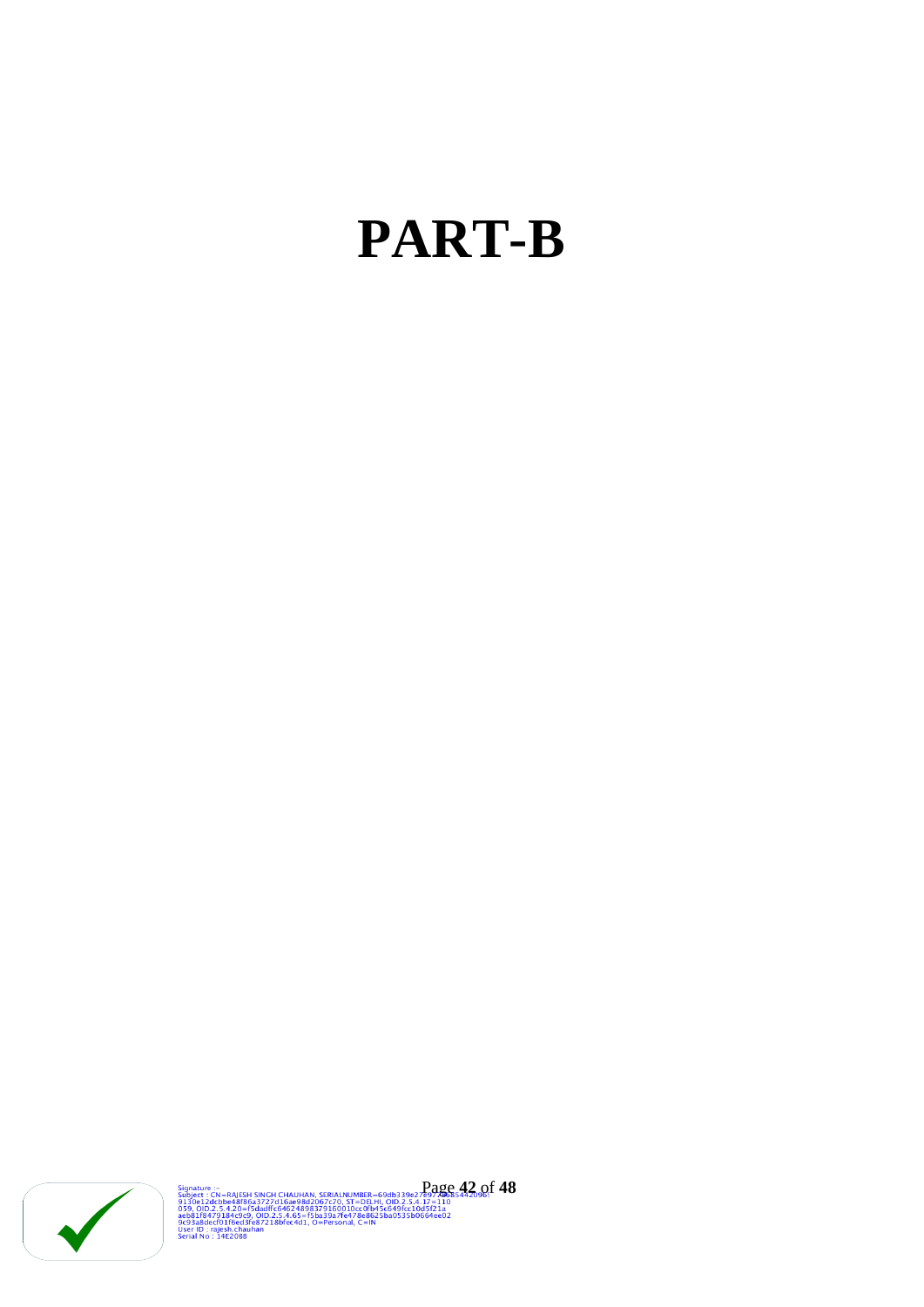# **PART-B**



Signature :-<br>
Subject : CN=RAJESH SINGH CHAUHAN, SERIALNUMBER=69db339e27e97**,@p854422.off 48**<br>
9130e12dcbbe48f86a3727d16ae98d2067c70.5T=DELMI, OID.2.5.4.17=110<br>
059, 010.22.4.20=15dadff:64624898379160010cc0fb45c649fcc10d5f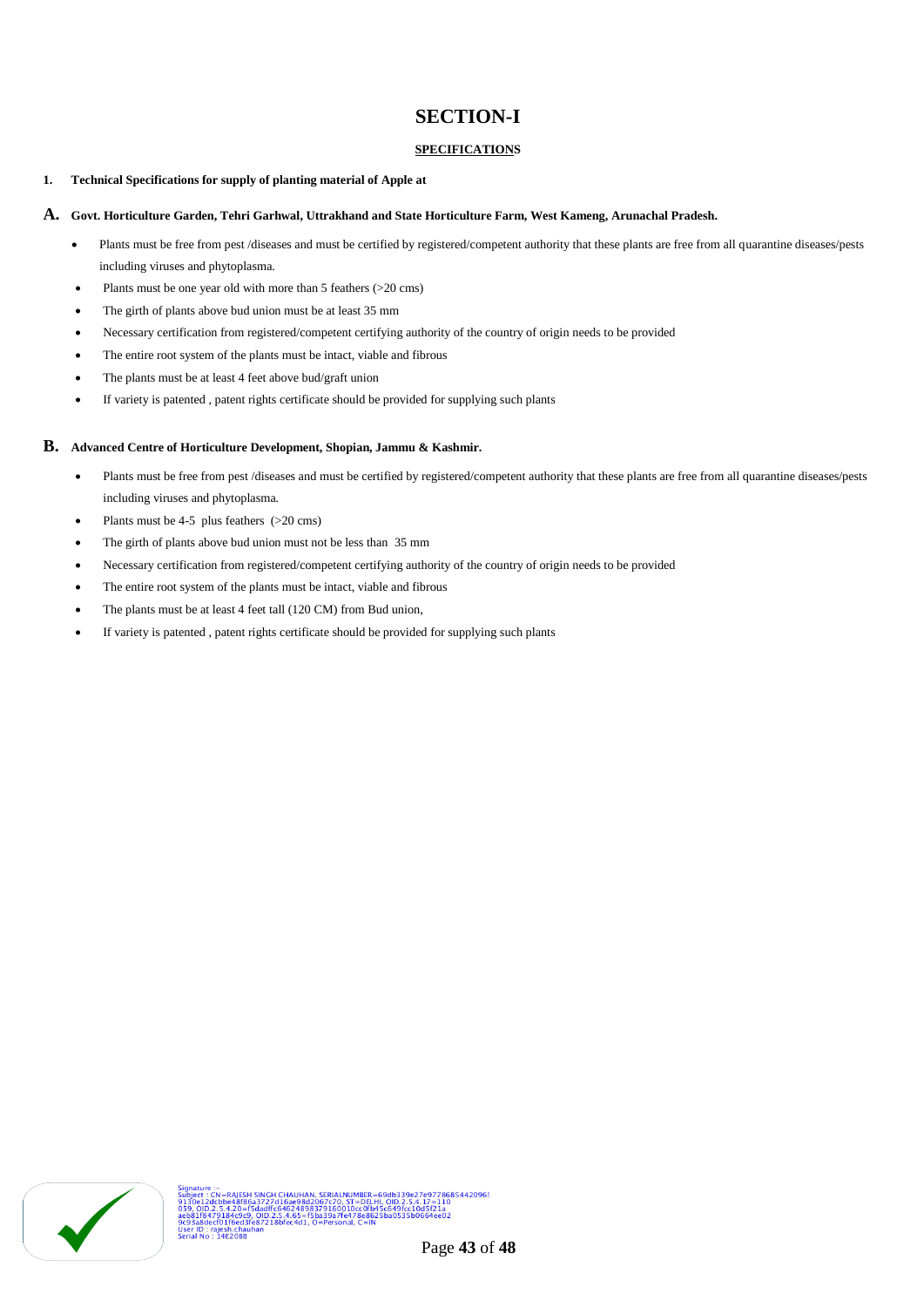# **SECTION-I**

## **SPECIFICATIONS**

## **1. Technical Specifications for supply of planting material of Apple at**

#### **A. Govt. Horticulture Garden, Tehri Garhwal, Uttrakhand and State Horticulture Farm, West Kameng, Arunachal Pradesh.**

- Plants must be free from pest /diseases and must be certified by registered/competent authority that these plants are free from all quarantine diseases/pests including viruses and phytoplasma.
- Plants must be one year old with more than 5 feathers (>20 cms)
- The girth of plants above bud union must be at least 35 mm
- Necessary certification from registered/competent certifying authority of the country of origin needs to be provided
- The entire root system of the plants must be intact, viable and fibrous
- The plants must be at least 4 feet above bud/graft union
- If variety is patented , patent rights certificate should be provided for supplying such plants

## **B. Advanced Centre of Horticulture Development, Shopian, Jammu & Kashmir.**

- Plants must be free from pest /diseases and must be certified by registered/competent authority that these plants are free from all quarantine diseases/pests including viruses and phytoplasma.
- Plants must be 4-5 plus feathers (>20 cms)
- The girth of plants above bud union must not be less than 35 mm
- Necessary certification from registered/competent certifying authority of the country of origin needs to be provided
- The entire root system of the plants must be intact, viable and fibrous
- The plants must be at least 4 feet tall (120 CM) from Bud union,
- If variety is patented , patent rights certificate should be provided for supplying such plants

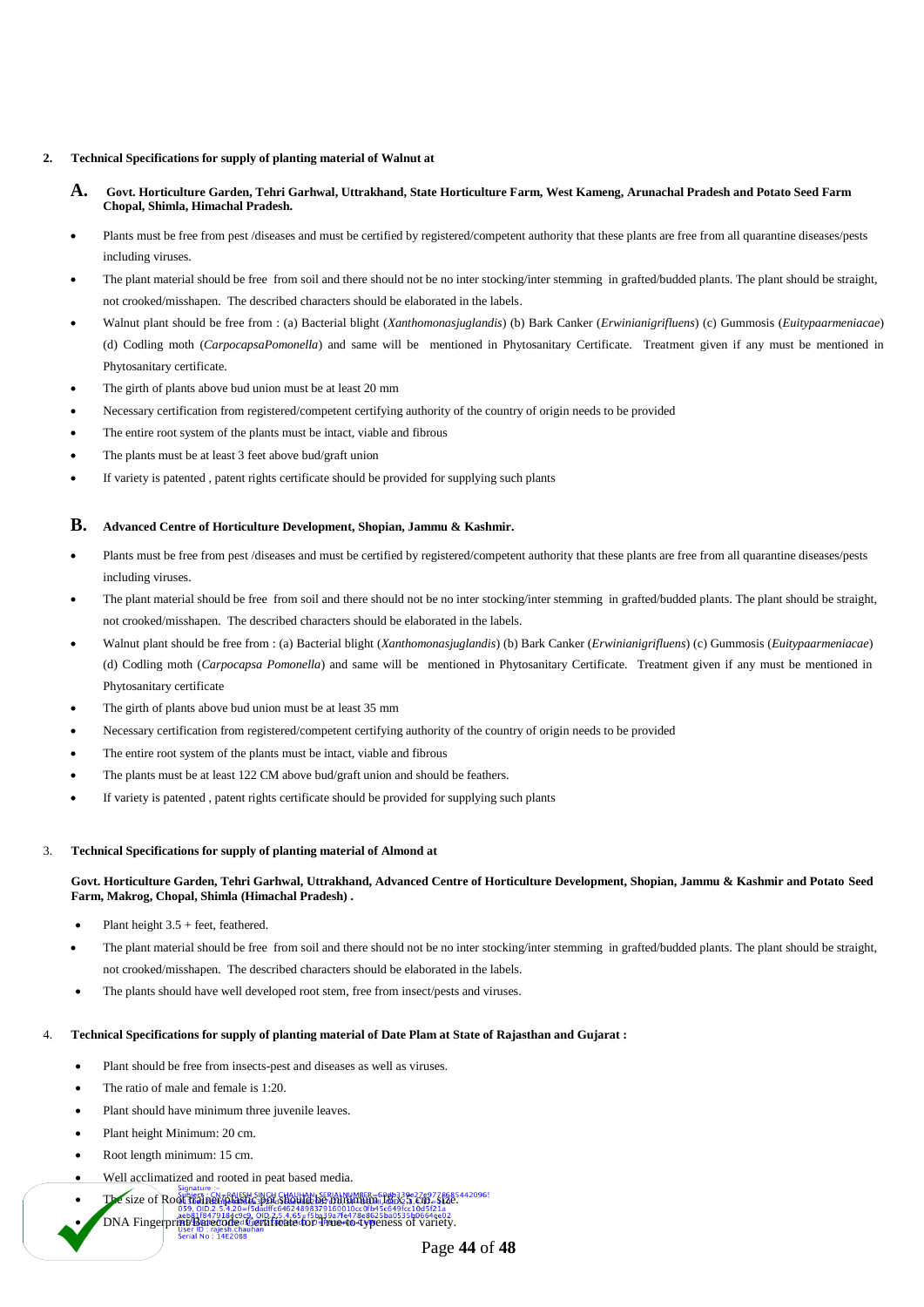#### **2. Technical Specifications for supply of planting material of Walnut at**

- **A. Govt. Horticulture Garden, Tehri Garhwal, Uttrakhand, State Horticulture Farm, West Kameng, Arunachal Pradesh and Potato Seed Farm Chopal, Shimla, Himachal Pradesh.**
- Plants must be free from pest /diseases and must be certified by registered/competent authority that these plants are free from all quarantine diseases/pests including viruses.
- The plant material should be free from soil and there should not be no inter stocking/inter stemming in grafted/budded plants. The plant should be straight, not crooked/misshapen. The described characters should be elaborated in the labels.
- Walnut plant should be free from : (a) Bacterial blight (*Xanthomonasjuglandis*) (b) Bark Canker (*Erwinianigrifluens*) (c) Gummosis (*Euitypaarmeniacae*) (d) Codling moth (*CarpocapsaPomonella*) and same will be mentioned in Phytosanitary Certificate. Treatment given if any must be mentioned in Phytosanitary certificate.
- The girth of plants above bud union must be at least 20 mm
- Necessary certification from registered/competent certifying authority of the country of origin needs to be provided
- The entire root system of the plants must be intact, viable and fibrous
- The plants must be at least 3 feet above bud/graft union
- If variety is patented , patent rights certificate should be provided for supplying such plants

#### **B. Advanced Centre of Horticulture Development, Shopian, Jammu & Kashmir.**

- Plants must be free from pest /diseases and must be certified by registered/competent authority that these plants are free from all quarantine diseases/pests including viruses.
- The plant material should be free from soil and there should not be no inter stocking/inter stemming in grafted/budded plants. The plant should be straight, not crooked/misshapen. The described characters should be elaborated in the labels.
- Walnut plant should be free from : (a) Bacterial blight (*Xanthomonasjuglandis*) (b) Bark Canker (*Erwinianigrifluens*) (c) Gummosis (*Euitypaarmeniacae*) (d) Codling moth (*Carpocapsa Pomonella*) and same will be mentioned in Phytosanitary Certificate. Treatment given if any must be mentioned in Phytosanitary certificate
- The girth of plants above bud union must be at least 35 mm
- Necessary certification from registered/competent certifying authority of the country of origin needs to be provided
- The entire root system of the plants must be intact, viable and fibrous
- The plants must be at least 122 CM above bud/graft union and should be feathers.
- If variety is patented , patent rights certificate should be provided for supplying such plants

#### 3. **Technical Specifications for supply of planting material of Almond at**

## **Govt. Horticulture Garden, Tehri Garhwal, Uttrakhand, Advanced Centre of Horticulture Development, Shopian, Jammu & Kashmir and Potato Seed Farm, Makrog, Chopal, Shimla (Himachal Pradesh) .**

- Plant height 3.5 + feet, feathered.
- The plant material should be free from soil and there should not be no inter stocking/inter stemming in grafted/budded plants. The plant should be straight, not crooked/misshapen. The described characters should be elaborated in the labels.
- The plants should have well developed root stem, free from insect/pests and viruses.

#### 4. **Technical Specifications for supply of planting material of Date Plam at State of Rajasthan and Gujarat :**

- Plant should be free from insects-pest and diseases as well as viruses.
- The ratio of male and female is 1:20.
- Plant should have minimum three juvenile leaves.
- Plant height Minimum: 20 cm.
- Root length minimum: 15 cm.
- Well acclimatized and rooted in peat based media.
- The size of Root trainer/plastic pot should be minimum (lock 5.cm-size. 2006)
- DNA Fingerprints Bareco Close Certificate The State of Principle of Variety.
	- Page **44** of **48**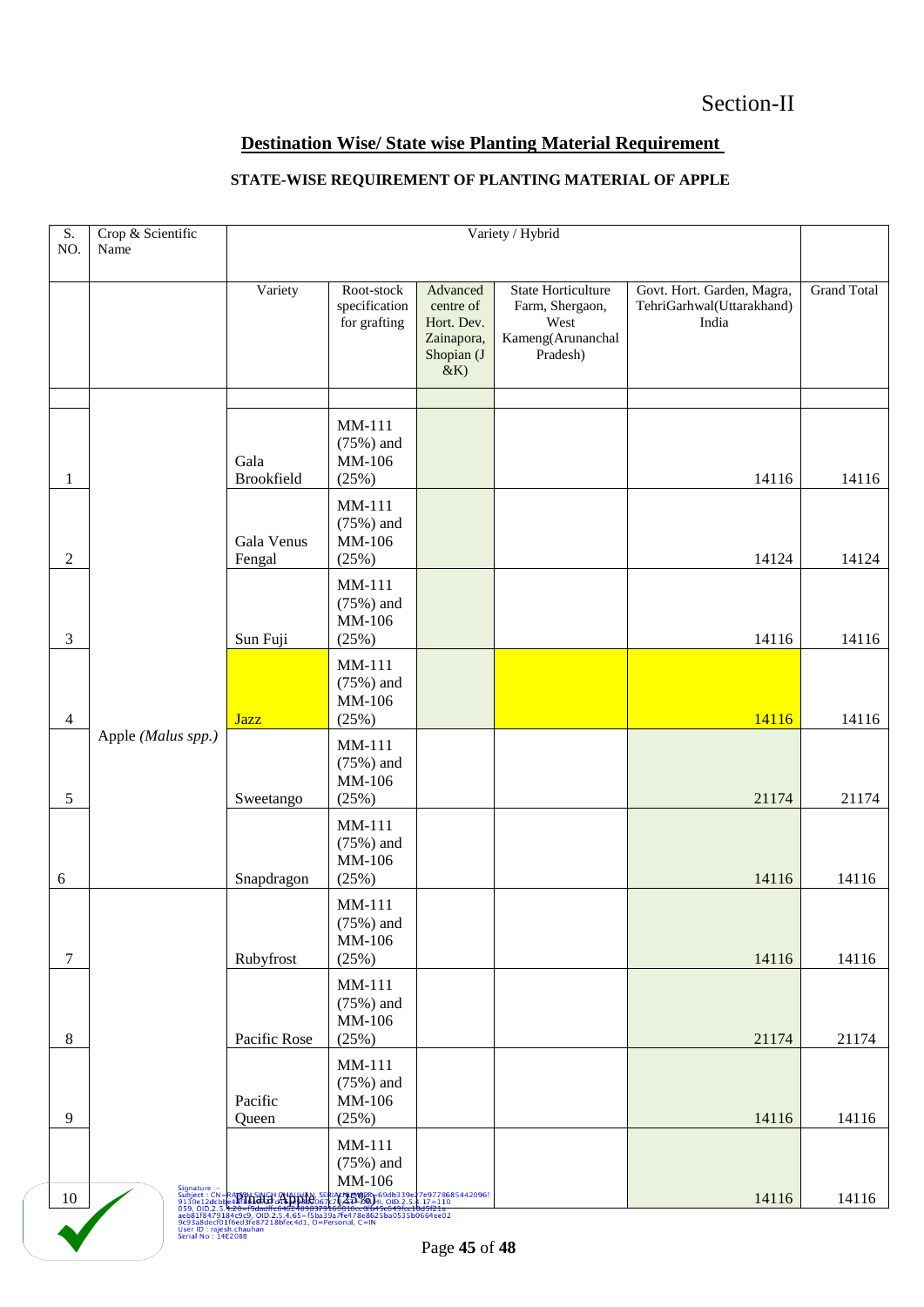# **Destination Wise/ State wise Planting Material Requirement**

# **STATE-WISE REQUIREMENT OF PLANTING MATERIAL OF APPLE**

|                                                             |                           | Crop & Scientific<br>Variety / Hybrid<br>$\overline{S}$ .<br>NO.<br>Name |                                                                 |                                                                                       |                                                                  |                    |
|-------------------------------------------------------------|---------------------------|--------------------------------------------------------------------------|-----------------------------------------------------------------|---------------------------------------------------------------------------------------|------------------------------------------------------------------|--------------------|
|                                                             |                           |                                                                          |                                                                 |                                                                                       |                                                                  |                    |
|                                                             | Variety                   | Root-stock<br>specification<br>for grafting                              | Advanced<br>centre of<br>Hort. Dev.<br>Zainapora,<br>Shopian (J | <b>State Horticulture</b><br>Farm, Shergaon,<br>West<br>Kameng(Arunanchal<br>Pradesh) | Govt. Hort. Garden, Magra,<br>TehriGarhwal(Uttarakhand)<br>India | <b>Grand Total</b> |
|                                                             |                           |                                                                          |                                                                 |                                                                                       |                                                                  |                    |
|                                                             | Gala<br><b>Brookfield</b> | MM-111<br>$(75%)$ and<br>MM-106<br>(25%)                                 |                                                                 |                                                                                       | 14116                                                            | 14116              |
|                                                             | Gala Venus<br>Fengal      | MM-111<br>$(75%)$ and<br>MM-106<br>(25%)                                 |                                                                 |                                                                                       | 14124                                                            | 14124              |
|                                                             | Sun Fuji                  | $MM-111$<br>$(75%)$ and<br>MM-106<br>(25%)                               |                                                                 |                                                                                       | 14116                                                            | 14116              |
|                                                             | <b>Jazz</b>               | MM-111<br>$(75%)$ and<br>MM-106<br>(25%)                                 |                                                                 |                                                                                       | 14116                                                            | 14116              |
| Apple (Malus spp.)                                          | Sweetango                 | MM-111<br>$(75%)$ and<br>MM-106<br>(25%)                                 |                                                                 |                                                                                       | 21174                                                            | 21174              |
|                                                             | Snapdragon                | MM-111<br>$(75%)$ and<br>MM-106<br>(25%)                                 |                                                                 |                                                                                       | 14116                                                            | 14116              |
|                                                             | Rubyfrost                 | $MM-111$<br>$(75%)$ and<br>MM-106<br>(25%)                               |                                                                 |                                                                                       | 14116                                                            | 14116              |
|                                                             | Pacific Rose              | MM-111<br>$(75%)$ and<br>MM-106<br>(25%)                                 |                                                                 |                                                                                       | 21174                                                            | 21174              |
|                                                             | Pacific<br>Queen          | $MM-111$<br>$(75%)$ and<br>MM-106<br>(25%)                               |                                                                 |                                                                                       | 14116                                                            | 14116              |
| Signature :-<br>Subject : CN=<br>9130e12dcb<br>059, OID.2.5 |                           | MM-111<br>$(75%)$ and<br>MM-106                                          |                                                                 |                                                                                       | 14116                                                            | 14116              |
|                                                             |                           | Bearing Single Chaurian                                                  |                                                                 | &K<br>ALNUMBER = 69db339e27e97786854420965<br>20 AD=20LHI, OID.2.5.4.17 = 110         | $P200$ $\overline{45}$ of $\overline{48}$                        |                    |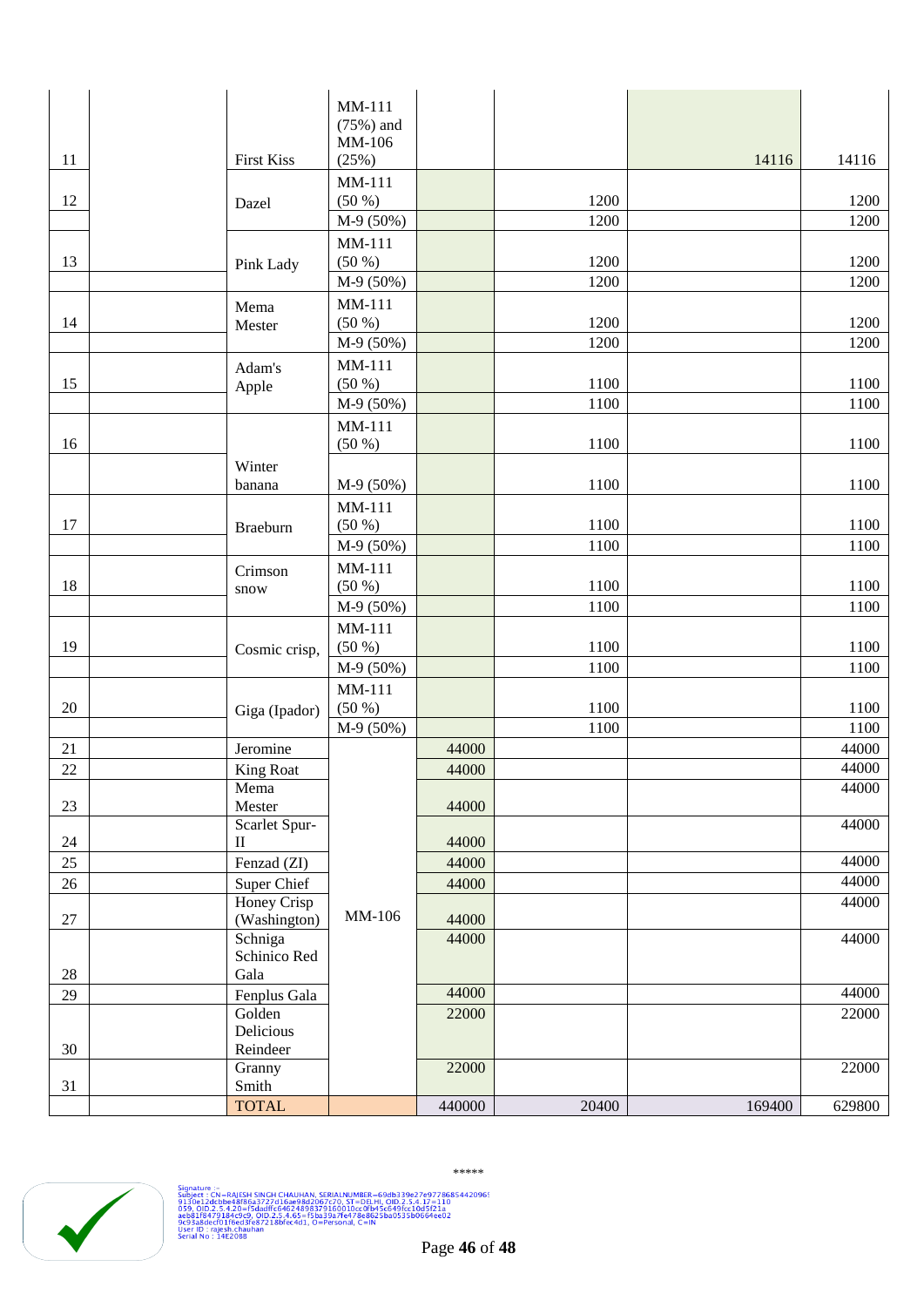|              |                         | MM-111           |                |       |        |                |
|--------------|-------------------------|------------------|----------------|-------|--------|----------------|
|              |                         | $(75%)$ and      |                |       |        |                |
|              |                         | MM-106           |                |       |        |                |
| 11           | <b>First Kiss</b>       | (25%)            |                |       | 14116  | 14116          |
|              |                         | MM-111           |                |       |        |                |
| 12           | Dazel                   | (50 %)           |                | 1200  |        | 1200           |
|              |                         | M-9 (50%)        |                | 1200  |        | 1200           |
|              |                         | MM-111           |                |       |        |                |
| 13           | Pink Lady               | (50 %)           |                | 1200  |        | 1200           |
|              |                         | M-9 (50%)        |                | 1200  |        | 1200           |
| 14           | Mema                    | MM-111<br>(50 %) |                | 1200  |        | 1200           |
|              | Mester                  | M-9 (50%)        |                | 1200  |        | 1200           |
|              |                         | MM-111           |                |       |        |                |
| 15           | Adam's                  | (50 %)           |                | 1100  |        | 1100           |
|              | Apple                   | M-9 (50%)        |                | 1100  |        | 1100           |
|              |                         | MM-111           |                |       |        |                |
| 16           |                         | (50 %)           |                | 1100  |        | 1100           |
|              | Winter                  |                  |                |       |        |                |
|              | banana                  | M-9 (50%)        |                | 1100  |        | 1100           |
|              |                         | MM-111           |                |       |        |                |
| 17           | <b>Braeburn</b>         | (50 %)           |                | 1100  |        | 1100           |
|              |                         | M-9 (50%)        |                | 1100  |        | 1100           |
|              | Crimson                 | MM-111           |                |       |        |                |
| 18           | snow                    | (50 %)           |                | 1100  |        | 1100           |
|              |                         | M-9 (50%)        |                | 1100  |        | 1100           |
|              |                         | MM-111           |                |       |        |                |
| 19           | Cosmic crisp,           | (50 %)           |                | 1100  |        | 1100           |
|              |                         | M-9 (50%)        |                | 1100  |        | 1100           |
|              |                         | MM-111           |                |       |        |                |
| 20           | Giga (Ipador)           | (50 %)           |                | 1100  |        | 1100           |
|              |                         | M-9 (50%)        |                | 1100  |        | 1100           |
| 21<br>$22\,$ | Jeromine                |                  | 44000<br>44000 |       |        | 44000<br>44000 |
|              | King Roat<br>Mema       |                  |                |       |        | 44000          |
| 23           | Mester                  |                  | 44000          |       |        |                |
|              | Scarlet Spur-           |                  |                |       |        | 44000          |
| 24           | $\rm II$                |                  | 44000          |       |        |                |
| 25           | Fenzad (ZI)             |                  | 44000          |       |        | 44000          |
| 26           | Super Chief             |                  | 44000          |       |        | 44000          |
|              | Honey Crisp             | MM-106           |                |       |        | 44000          |
| $27\,$       | (Washington)            |                  | 44000<br>44000 |       |        | 44000          |
|              | Schniga<br>Schinico Red |                  |                |       |        |                |
| 28           | Gala                    |                  |                |       |        |                |
| 29           | Fenplus Gala            |                  | 44000          |       |        | 44000          |
|              | Golden                  |                  | 22000          |       |        | 22000          |
|              | Delicious               |                  |                |       |        |                |
| 30           | Reindeer                |                  |                |       |        |                |
|              | Granny<br>Smith         |                  | 22000          |       |        | 22000          |
| 31           | <b>TOTAL</b>            |                  | 440000         | 20400 | 169400 | 629800         |
|              |                         |                  |                |       |        |                |



\*\*\*\*\*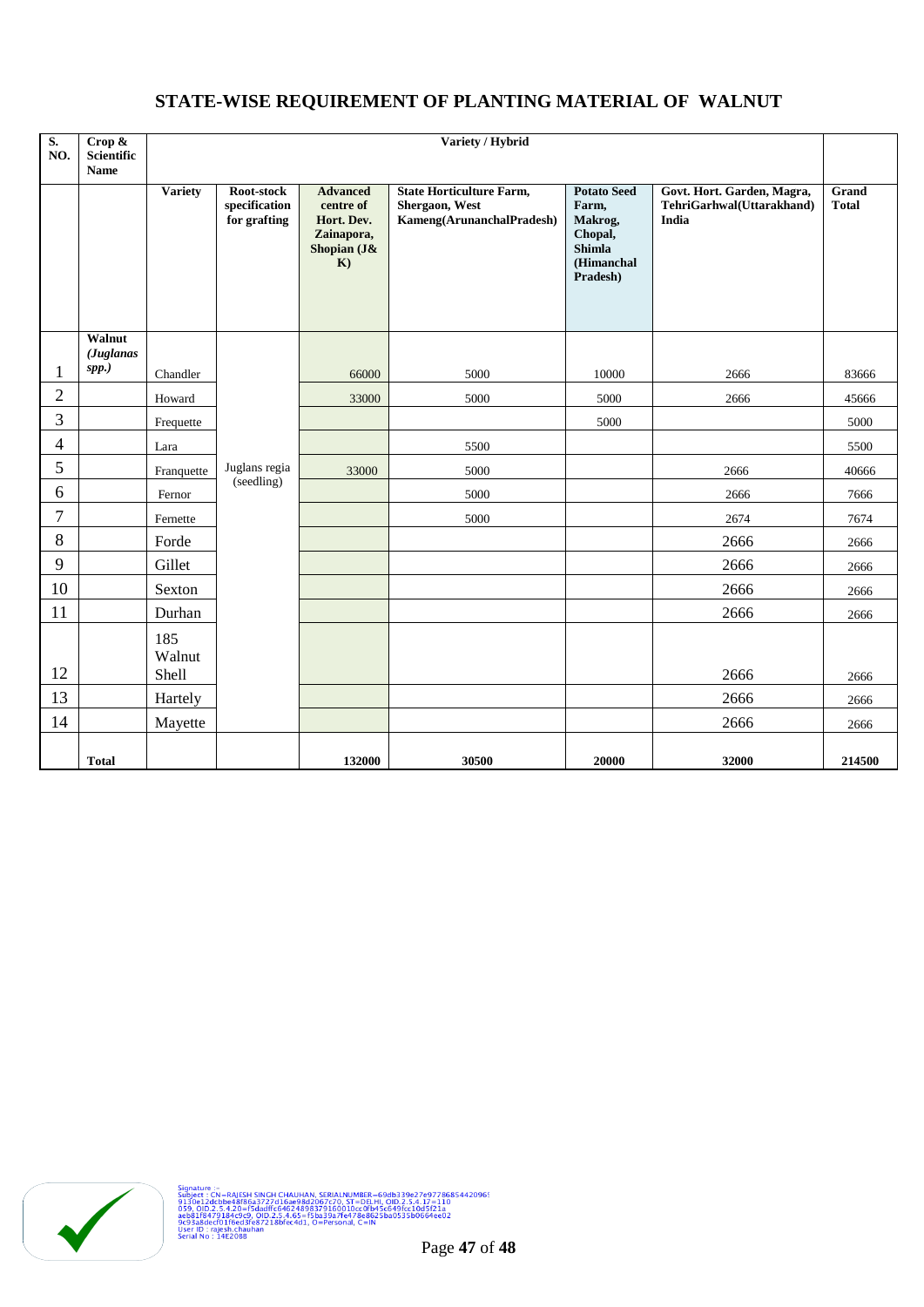# **STATE-WISE REQUIREMENT OF PLANTING MATERIAL OF WALNUT**

| $\overline{\mathbf{S}}$ .<br>NO. | Crop &<br><b>Scientific</b><br><b>Name</b> | Variety / Hybrid       |                                             |                                                                               |                                                                                |                                                                                       |                                                                  |                       |
|----------------------------------|--------------------------------------------|------------------------|---------------------------------------------|-------------------------------------------------------------------------------|--------------------------------------------------------------------------------|---------------------------------------------------------------------------------------|------------------------------------------------------------------|-----------------------|
|                                  |                                            | <b>Variety</b>         | Root-stock<br>specification<br>for grafting | <b>Advanced</b><br>centre of<br>Hort. Dev.<br>Zainapora,<br>Shopian (J&<br>K) | <b>State Horticulture Farm,</b><br>Shergaon, West<br>Kameng(ArunanchalPradesh) | <b>Potato Seed</b><br>Farm,<br>Makrog,<br>Chopal,<br>Shimla<br>(Himanchal<br>Pradesh) | Govt. Hort. Garden, Magra,<br>TehriGarhwal(Uttarakhand)<br>India | Grand<br><b>Total</b> |
|                                  | Walnut<br>(Juglanas                        |                        |                                             |                                                                               |                                                                                |                                                                                       |                                                                  |                       |
|                                  | spp.)                                      | Chandler               |                                             | 66000                                                                         | 5000                                                                           | 10000                                                                                 | 2666                                                             | 83666                 |
| $\overline{2}$                   |                                            | Howard                 |                                             | 33000                                                                         | 5000                                                                           | 5000                                                                                  | 2666                                                             | 45666                 |
| 3                                |                                            | Frequette              |                                             |                                                                               |                                                                                | 5000                                                                                  |                                                                  | 5000                  |
| 4                                |                                            | Lara                   |                                             |                                                                               | 5500                                                                           |                                                                                       |                                                                  | 5500                  |
| 5                                |                                            | Franquette             | Juglans regia<br>(seedling)                 | 33000                                                                         | 5000                                                                           |                                                                                       | 2666                                                             | 40666                 |
| 6                                |                                            | Fernor                 |                                             |                                                                               | 5000                                                                           |                                                                                       | 2666                                                             | 7666                  |
| 7                                |                                            | Fernette               |                                             |                                                                               | 5000                                                                           |                                                                                       | 2674                                                             | 7674                  |
| 8                                |                                            | Forde                  |                                             |                                                                               |                                                                                |                                                                                       | 2666                                                             | 2666                  |
| 9                                |                                            | Gillet                 |                                             |                                                                               |                                                                                |                                                                                       | 2666                                                             | 2666                  |
| 10                               |                                            | Sexton                 |                                             |                                                                               |                                                                                |                                                                                       | 2666                                                             | 2666                  |
| 11                               |                                            | Durhan                 |                                             |                                                                               |                                                                                |                                                                                       | 2666                                                             | 2666                  |
| 12                               |                                            | 185<br>Walnut<br>Shell |                                             |                                                                               |                                                                                |                                                                                       | 2666                                                             | 2666                  |
| 13                               |                                            | Hartely                |                                             |                                                                               |                                                                                |                                                                                       | 2666                                                             | 2666                  |
| 14                               |                                            | Mayette                |                                             |                                                                               |                                                                                |                                                                                       | 2666                                                             | 2666                  |
|                                  | <b>Total</b>                               |                        |                                             | 132000                                                                        | 30500                                                                          | 20000                                                                                 | 32000                                                            | 214500                |